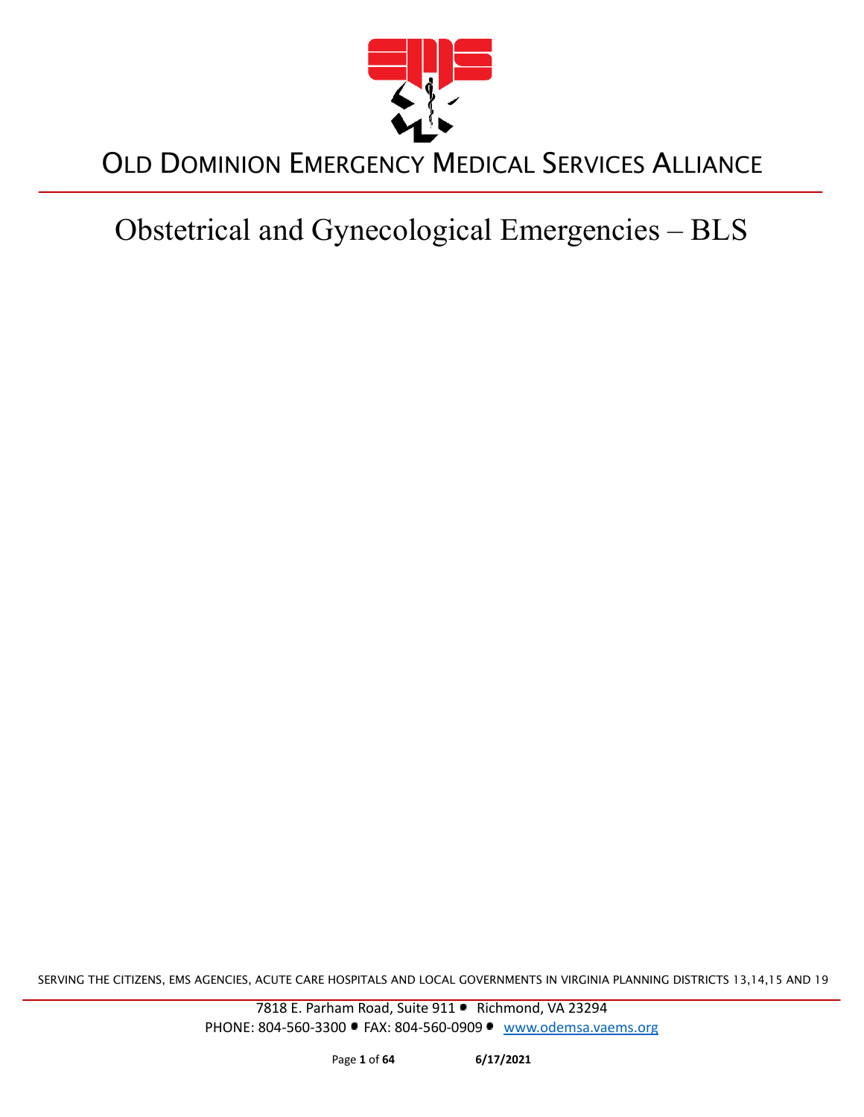

Obstetrical and Gynecological Emergencies – BLS

SERVING THE CITIZENS, EMS AGENCIES, ACUTE CARE HOSPITALS AND LOCAL GOVERNMENTS IN VIRGINIA PLANNING DISTRICTS 13,14,15 AND 19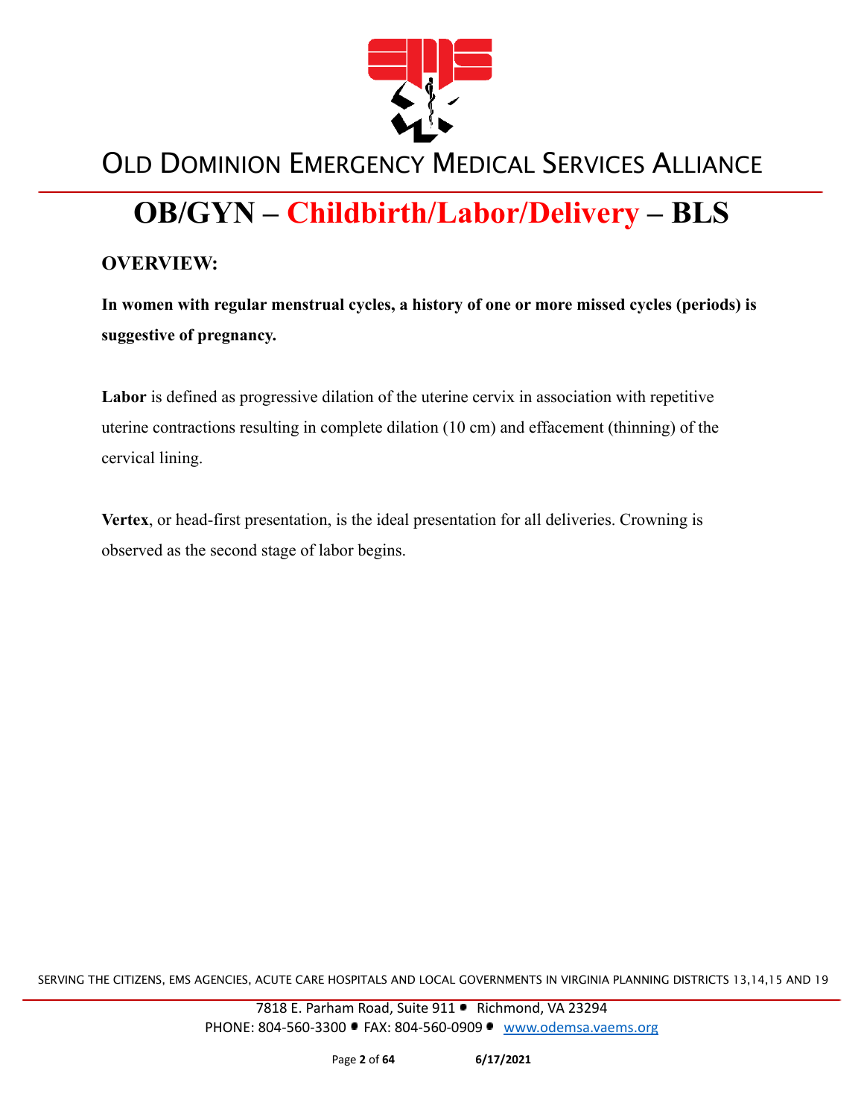

# **OB/GYN – Childbirth/Labor/Delivery – BLS**

#### **OVERVIEW:**

**In women with regular menstrual cycles, a history of one or more missed cycles (periods) is suggestive of pregnancy.**

**Labor** is defined as progressive dilation of the uterine cervix in association with repetitive uterine contractions resulting in complete dilation (10 cm) and effacement (thinning) of the cervical lining.

**Vertex**, or head-first presentation, is the ideal presentation for all deliveries. Crowning is observed as the second stage of labor begins.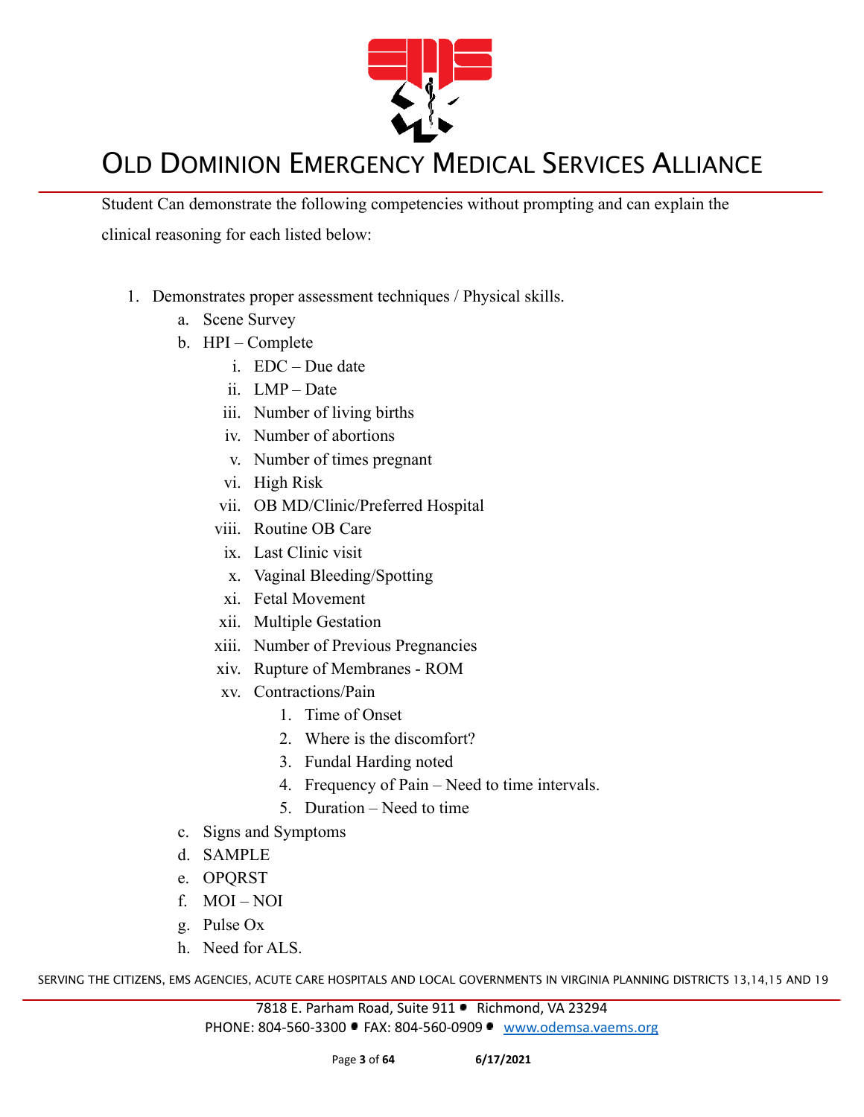

Student Can demonstrate the following competencies without prompting and can explain the clinical reasoning for each listed below:

- 1. Demonstrates proper assessment techniques / Physical skills.
	- a. Scene Survey
	- b. HPI Complete
		- i. EDC Due date
		- ii. LMP Date
		- iii. Number of living births
		- iv. Number of abortions
		- v. Number of times pregnant
		- vi. High Risk
		- vii. OB MD/Clinic/Preferred Hospital
		- viii. Routine OB Care
		- ix. Last Clinic visit
		- x. Vaginal Bleeding/Spotting
		- xi. Fetal Movement
		- xii. Multiple Gestation
		- xiii. Number of Previous Pregnancies
		- xiv. Rupture of Membranes ROM
		- xv. Contractions/Pain
			- 1. Time of Onset
			- 2. Where is the discomfort?
			- 3. Fundal Harding noted
			- 4. Frequency of Pain Need to time intervals.
			- 5. Duration Need to time
	- c. Signs and Symptoms
	- d. SAMPLE
	- e. OPQRST
	- f. MOI NOI
	- g. Pulse Ox
	- h. Need for ALS.

SERVING THE CITIZENS, EMS AGENCIES, ACUTE CARE HOSPITALS AND LOCAL GOVERNMENTS IN VIRGINIA PLANNING DISTRICTS 13,14,15 AND 19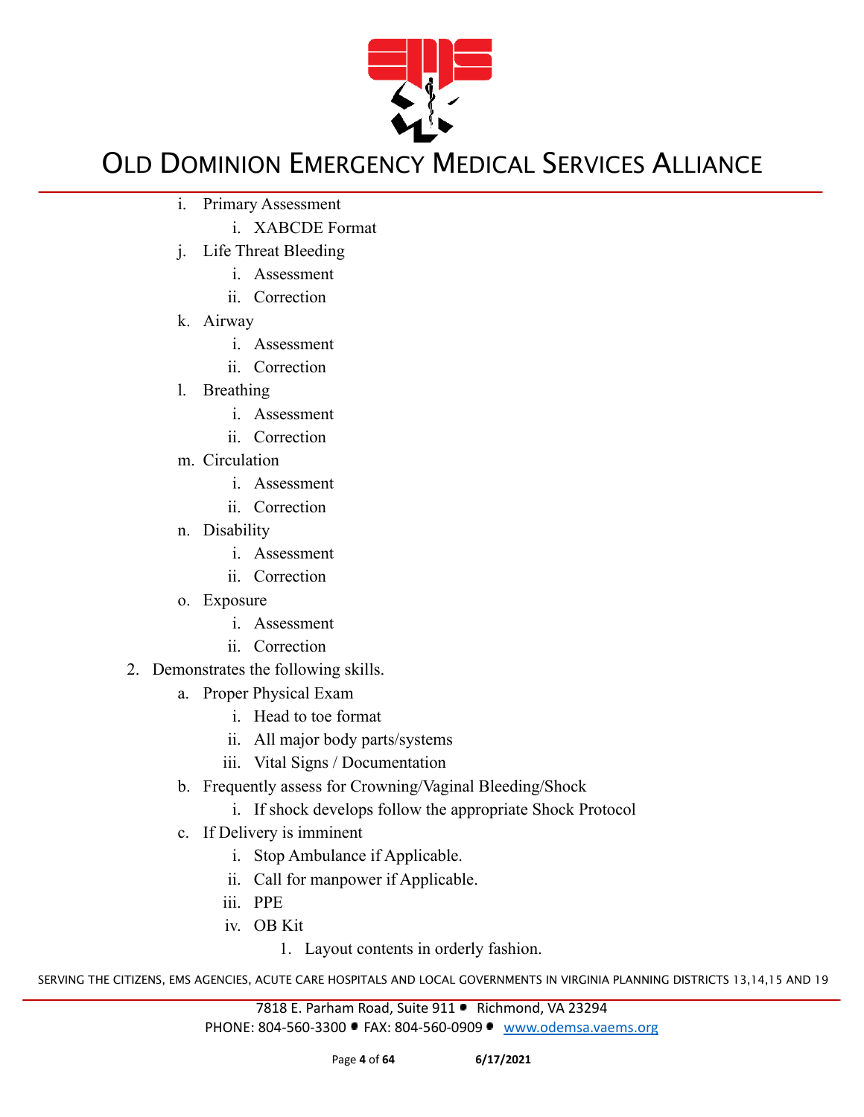

- i. Primary Assessment
	- i. XABCDE Format
- j. Life Threat Bleeding
	- i. Assessment
	- ii. Correction
- k. Airway
	- i. Assessment
	- ii. Correction
- l. Breathing
	- i. Assessment
	- ii. Correction
- m. Circulation
	- i. Assessment
	- ii. Correction
- n. Disability
	- i. Assessment
	- ii. Correction
- o. Exposure
	- i. Assessment
	- ii. Correction
- 2. Demonstrates the following skills.
	- a. Proper Physical Exam
		- i. Head to toe format
		- ii. All major body parts/systems
		- iii. Vital Signs / Documentation
	- b. Frequently assess for Crowning/Vaginal Bleeding/Shock
		- i. If shock develops follow the appropriate Shock Protocol
	- c. If Delivery is imminent
		- i. Stop Ambulance if Applicable.
		- ii. Call for manpower if Applicable.
		- iii. PPE
		- iv. OB Kit

1. Layout contents in orderly fashion.

SERVING THE CITIZENS, EMS AGENCIES, ACUTE CARE HOSPITALS AND LOCAL GOVERNMENTS IN VIRGINIA PLANNING DISTRICTS 13,14,15 AND 19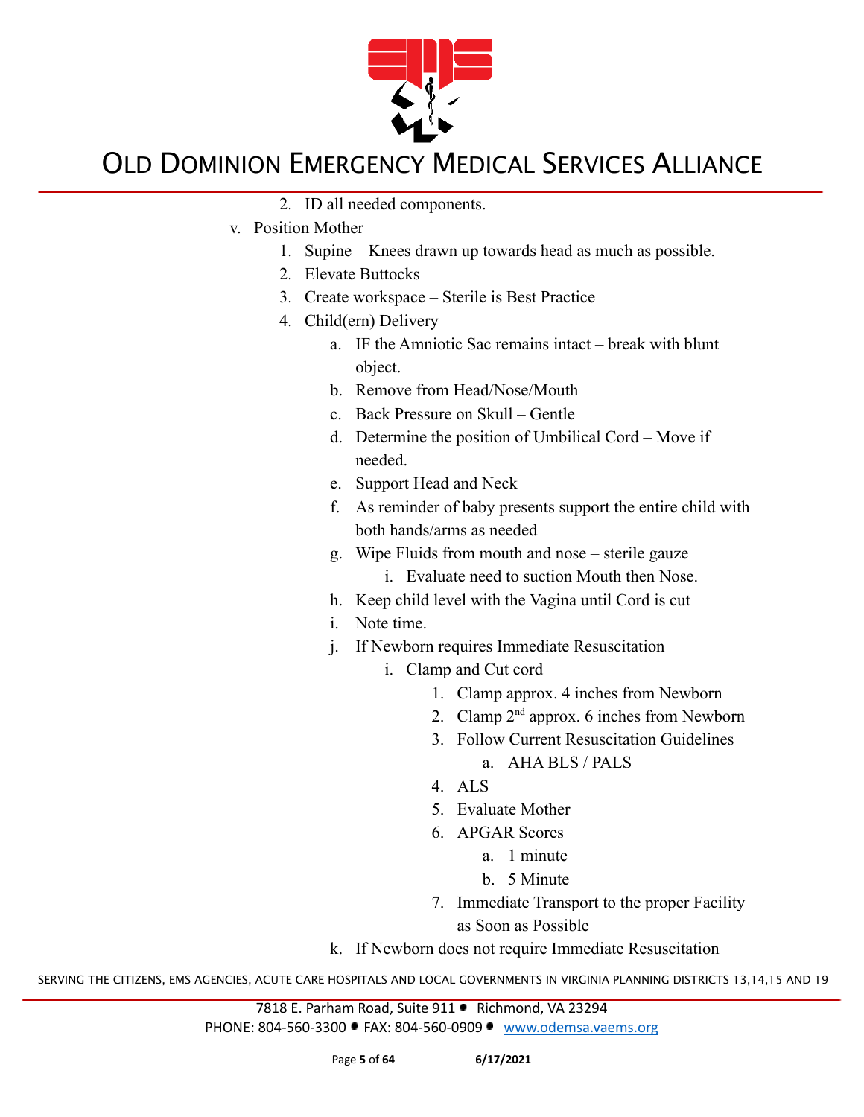

- 2. ID all needed components.
- v. Position Mother
	- 1. Supine Knees drawn up towards head as much as possible.
	- 2. Elevate Buttocks
	- 3. Create workspace Sterile is Best Practice
	- 4. Child(ern) Delivery
		- a. IF the Amniotic Sac remains intact break with blunt object.
		- b. Remove from Head/Nose/Mouth
		- c. Back Pressure on Skull Gentle
		- d. Determine the position of Umbilical Cord Move if needed.
		- e. Support Head and Neck
		- f. As reminder of baby presents support the entire child with both hands/arms as needed
		- g. Wipe Fluids from mouth and nose sterile gauze
			- i. Evaluate need to suction Mouth then Nose.
		- h. Keep child level with the Vagina until Cord is cut
		- i. Note time.
		- j. If Newborn requires Immediate Resuscitation
			- i. Clamp and Cut cord
				- 1. Clamp approx. 4 inches from Newborn
				- 2. Clamp  $2<sup>nd</sup>$  approx. 6 inches from Newborn
				- 3. Follow Current Resuscitation Guidelines
					- a. AHA BLS / PALS
				- 4. ALS
				- 5. Evaluate Mother
				- 6. APGAR Scores
					- a. 1 minute
					- b. 5 Minute
				- 7. Immediate Transport to the proper Facility as Soon as Possible

k. If Newborn does not require Immediate Resuscitation

SERVING THE CITIZENS, EMS AGENCIES, ACUTE CARE HOSPITALS AND LOCAL GOVERNMENTS IN VIRGINIA PLANNING DISTRICTS 13,14,15 AND 19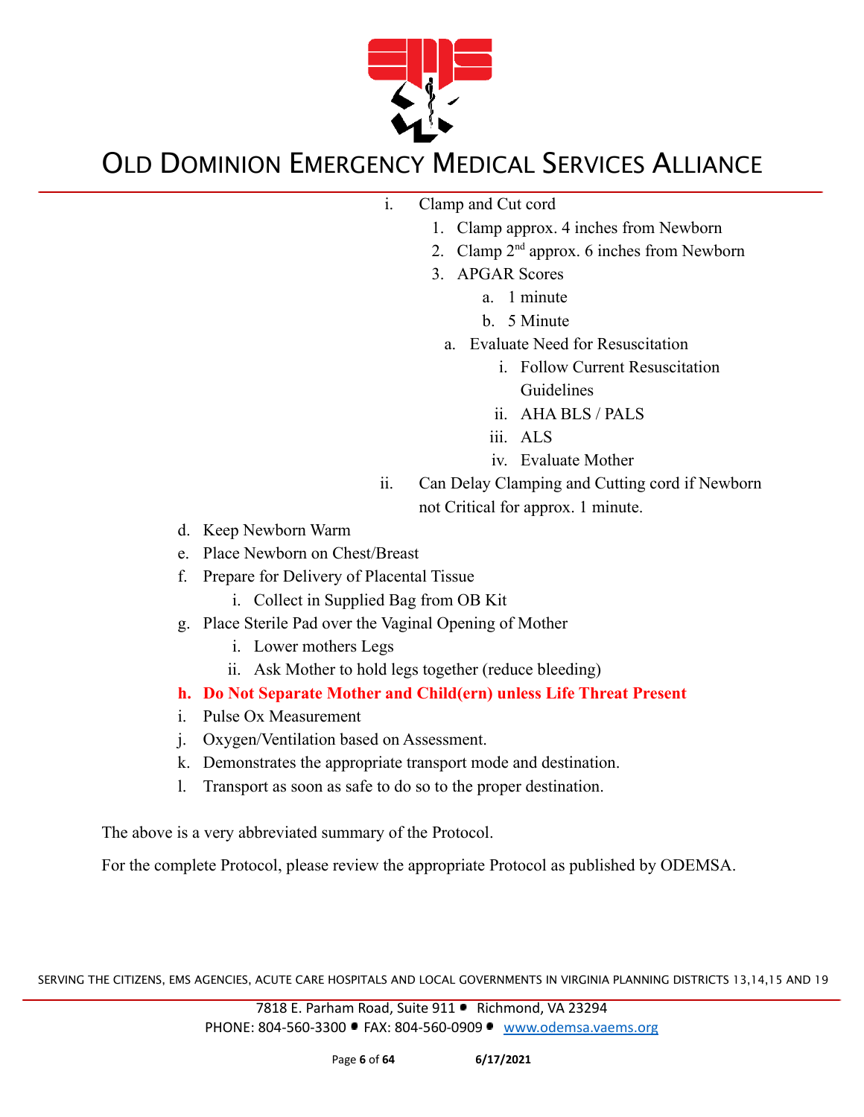

i. Clamp and Cut cord

- 1. Clamp approx. 4 inches from Newborn
- 2. Clamp  $2<sup>nd</sup>$  approx. 6 inches from Newborn
- 3. APGAR Scores
	- a. 1 minute
	- b. 5 Minute
	- a. Evaluate Need for Resuscitation
		- i. Follow Current Resuscitation Guidelines
		- ii. AHA BLS / PALS
		- iii. ALS
		- iv. Evaluate Mother
- ii. Can Delay Clamping and Cutting cord if Newborn not Critical for approx. 1 minute.
- d. Keep Newborn Warm
- e. Place Newborn on Chest/Breast
- f. Prepare for Delivery of Placental Tissue
	- i. Collect in Supplied Bag from OB Kit
- g. Place Sterile Pad over the Vaginal Opening of Mother
	- i. Lower mothers Legs
	- ii. Ask Mother to hold legs together (reduce bleeding)
- **h. Do Not Separate Mother and Child(ern) unless Life Threat Present**
- i. Pulse Ox Measurement
- j. Oxygen/Ventilation based on Assessment.
- k. Demonstrates the appropriate transport mode and destination.
- l. Transport as soon as safe to do so to the proper destination.

The above is a very abbreviated summary of the Protocol.

For the complete Protocol, please review the appropriate Protocol as published by ODEMSA.

SERVING THE CITIZENS, EMS AGENCIES, ACUTE CARE HOSPITALS AND LOCAL GOVERNMENTS IN VIRGINIA PLANNING DISTRICTS 13,14,15 AND 19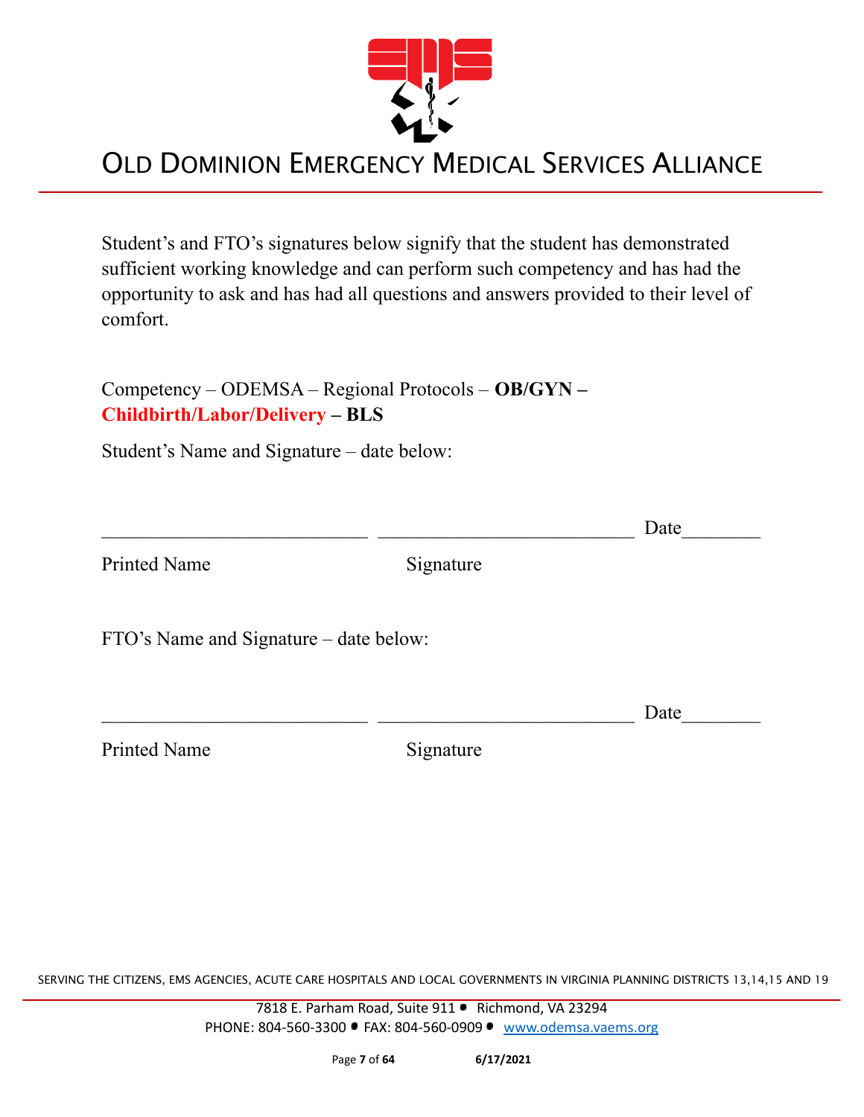

Student's and FTO's signatures below signify that the student has demonstrated sufficient working knowledge and can perform such competency and has had the opportunity to ask and has had all questions and answers provided to their level of comfort.

Competency – ODEMSA – Regional Protocols – **OB/GYN – Childbirth/Labor/Delivery – BLS**

Student's Name and Signature – date below:

|                                        |           | Date |
|----------------------------------------|-----------|------|
| <b>Printed Name</b>                    | Signature |      |
| FTO's Name and Signature – date below: |           |      |
|                                        |           | Date |
| <b>Printed Name</b>                    | Signature |      |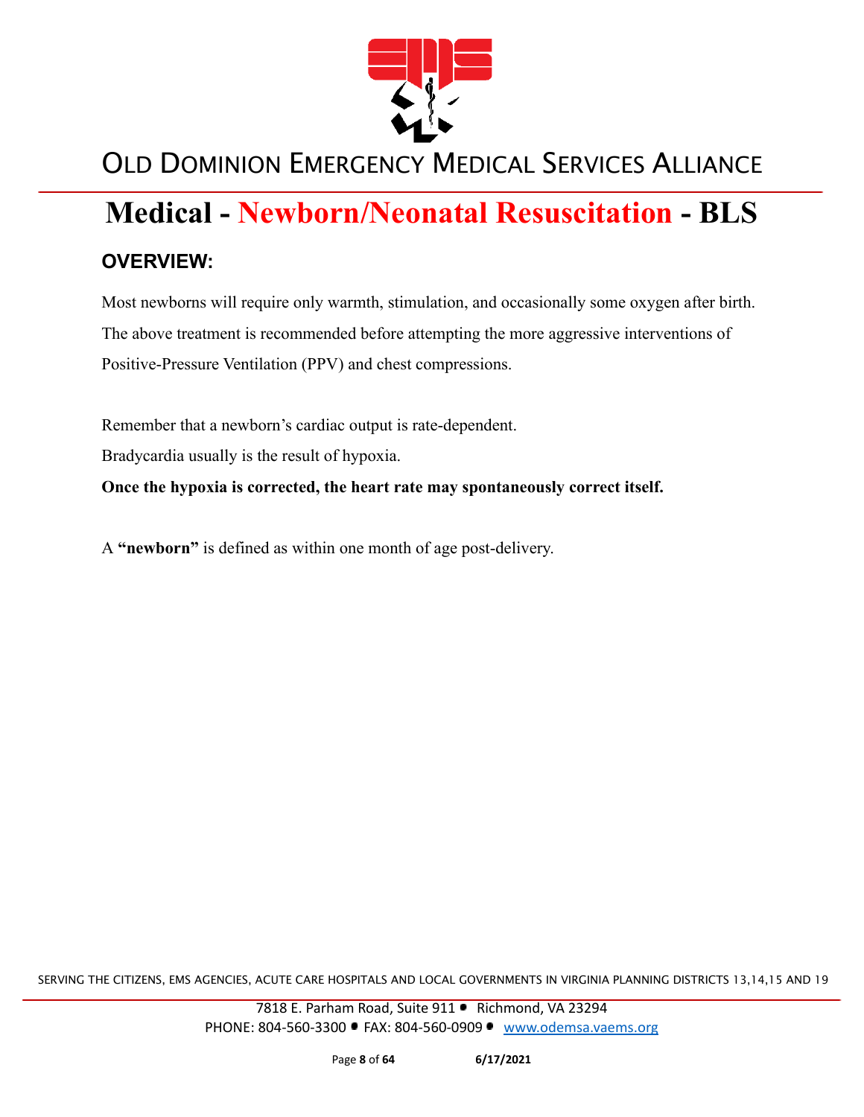

# **Medical - Newborn/Neonatal Resuscitation - BLS**

#### **OVERVIEW:**

Most newborns will require only warmth, stimulation, and occasionally some oxygen after birth. The above treatment is recommended before attempting the more aggressive interventions of Positive-Pressure Ventilation (PPV) and chest compressions.

Remember that a newborn's cardiac output is rate-dependent.

Bradycardia usually is the result of hypoxia.

**Once the hypoxia is corrected, the heart rate may spontaneously correct itself.**

A **"newborn"** is defined as within one month of age post-delivery.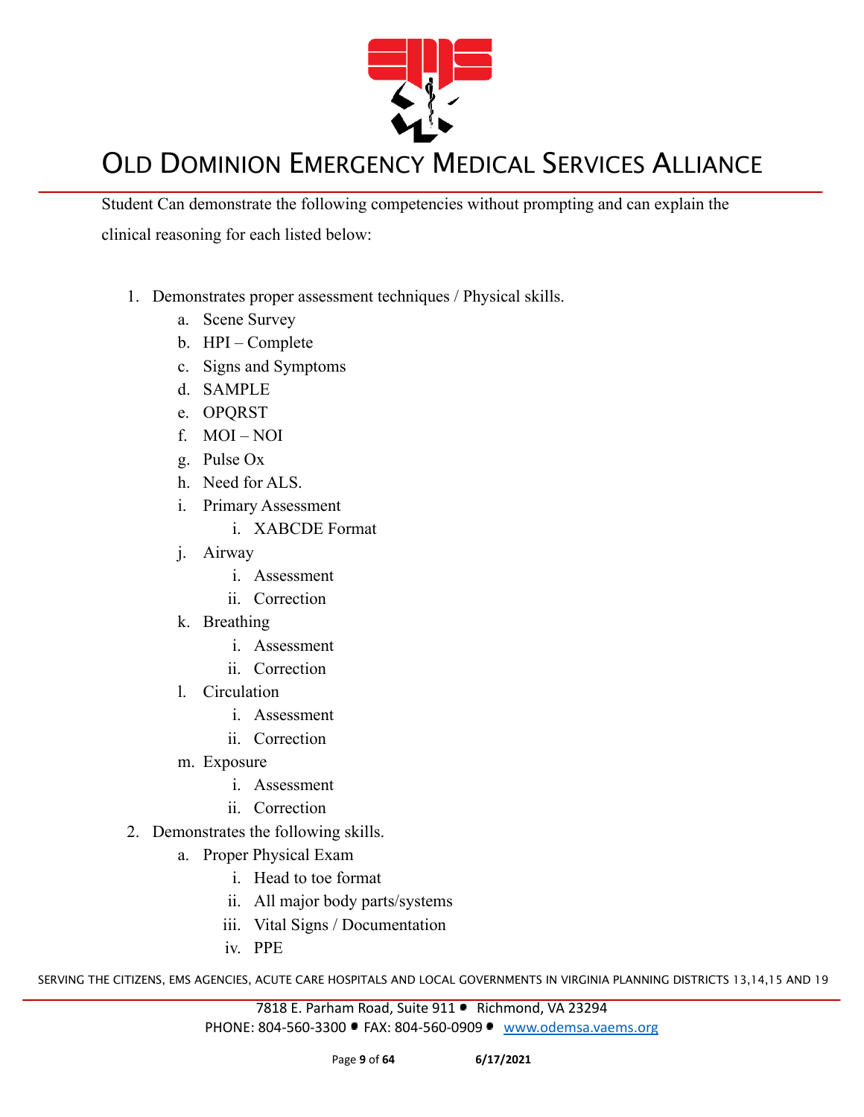

Student Can demonstrate the following competencies without prompting and can explain the clinical reasoning for each listed below:

- 1. Demonstrates proper assessment techniques / Physical skills.
	- a. Scene Survey
	- b. HPI Complete
	- c. Signs and Symptoms
	- d. SAMPLE
	- e. OPQRST
	- f. MOI NOI
	- g. Pulse Ox
	- h. Need for ALS.
	- i. Primary Assessment
		- i. XABCDE Format
	- j. Airway
		- i. Assessment
		- ii. Correction
	- k. Breathing
		- i. Assessment
		- ii. Correction
	- l. Circulation
		- i. Assessment
		- ii. Correction
	- m. Exposure
		- i. Assessment
		- ii. Correction
- 2. Demonstrates the following skills.
	- a. Proper Physical Exam
		- i. Head to toe format
		- ii. All major body parts/systems
		- iii. Vital Signs / Documentation
		- iv. PPE

SERVING THE CITIZENS, EMS AGENCIES, ACUTE CARE HOSPITALS AND LOCAL GOVERNMENTS IN VIRGINIA PLANNING DISTRICTS 13,14,15 AND 19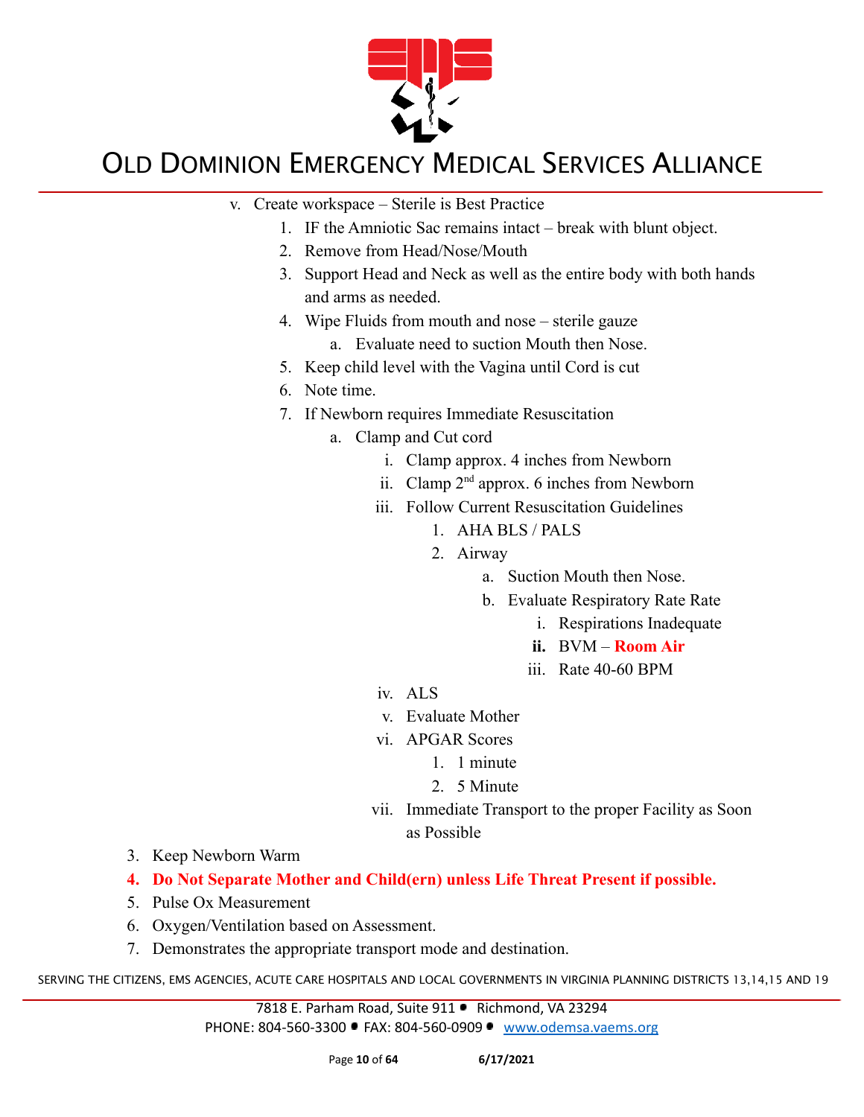

- v. Create workspace Sterile is Best Practice
	- 1. IF the Amniotic Sac remains intact break with blunt object.
	- 2. Remove from Head/Nose/Mouth
	- 3. Support Head and Neck as well as the entire body with both hands and arms as needed.
	- 4. Wipe Fluids from mouth and nose sterile gauze
		- a. Evaluate need to suction Mouth then Nose.
	- 5. Keep child level with the Vagina until Cord is cut
	- 6. Note time.
	- 7. If Newborn requires Immediate Resuscitation
		- a. Clamp and Cut cord
			- i. Clamp approx. 4 inches from Newborn
			- ii. Clamp  $2<sup>nd</sup>$  approx. 6 inches from Newborn
			- iii. Follow Current Resuscitation Guidelines
				- 1. AHA BLS / PALS
				- 2. Airway
					- a. Suction Mouth then Nose.
					- b. Evaluate Respiratory Rate Rate
						- i. Respirations Inadequate
						- **ii.** BVM **Room Air**
						- iii. Rate 40-60 BPM
			- iv. ALS
			- v. Evaluate Mother
			- vi. APGAR Scores
				- 1. 1 minute
				- 2. 5 Minute
			- vii. Immediate Transport to the proper Facility as Soon as Possible
- 3. Keep Newborn Warm
- **4. Do Not Separate Mother and Child(ern) unless Life Threat Present if possible.**
- 5. Pulse Ox Measurement
- 6. Oxygen/Ventilation based on Assessment.
- 7. Demonstrates the appropriate transport mode and destination.

SERVING THE CITIZENS, EMS AGENCIES, ACUTE CARE HOSPITALS AND LOCAL GOVERNMENTS IN VIRGINIA PLANNING DISTRICTS 13,14,15 AND 19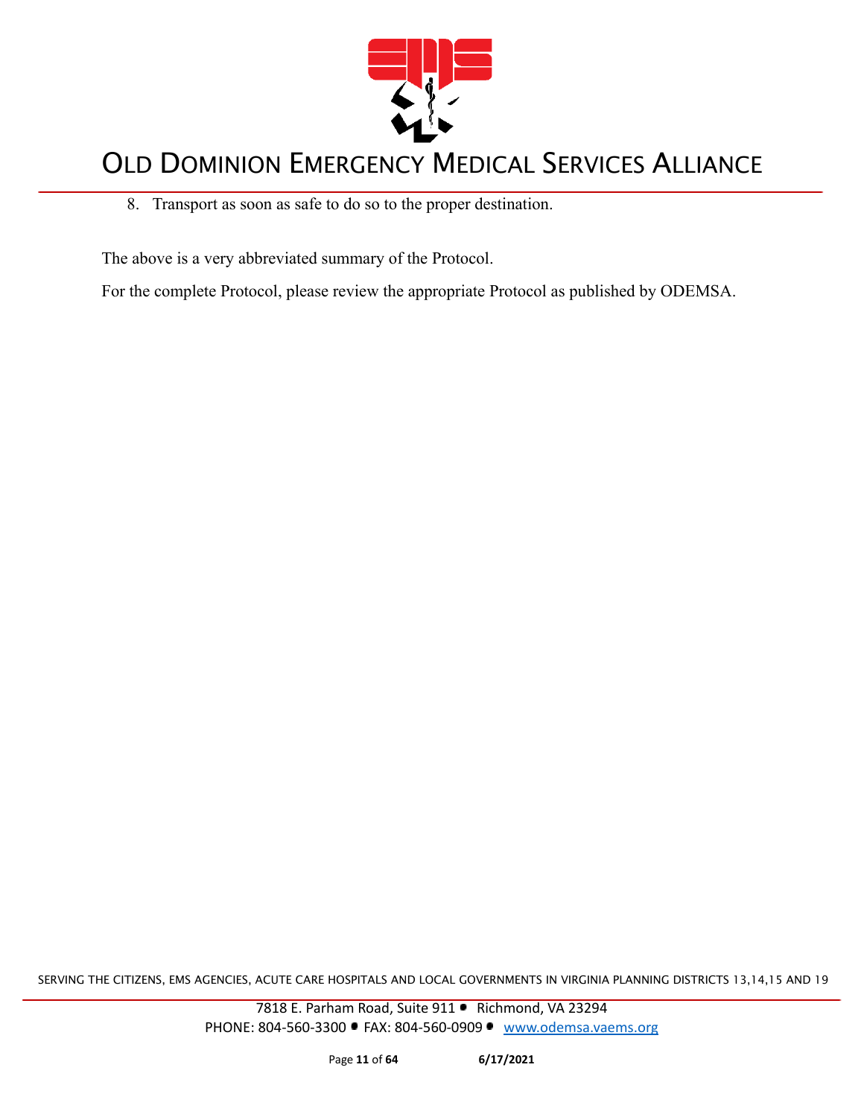

8. Transport as soon as safe to do so to the proper destination.

The above is a very abbreviated summary of the Protocol.

For the complete Protocol, please review the appropriate Protocol as published by ODEMSA.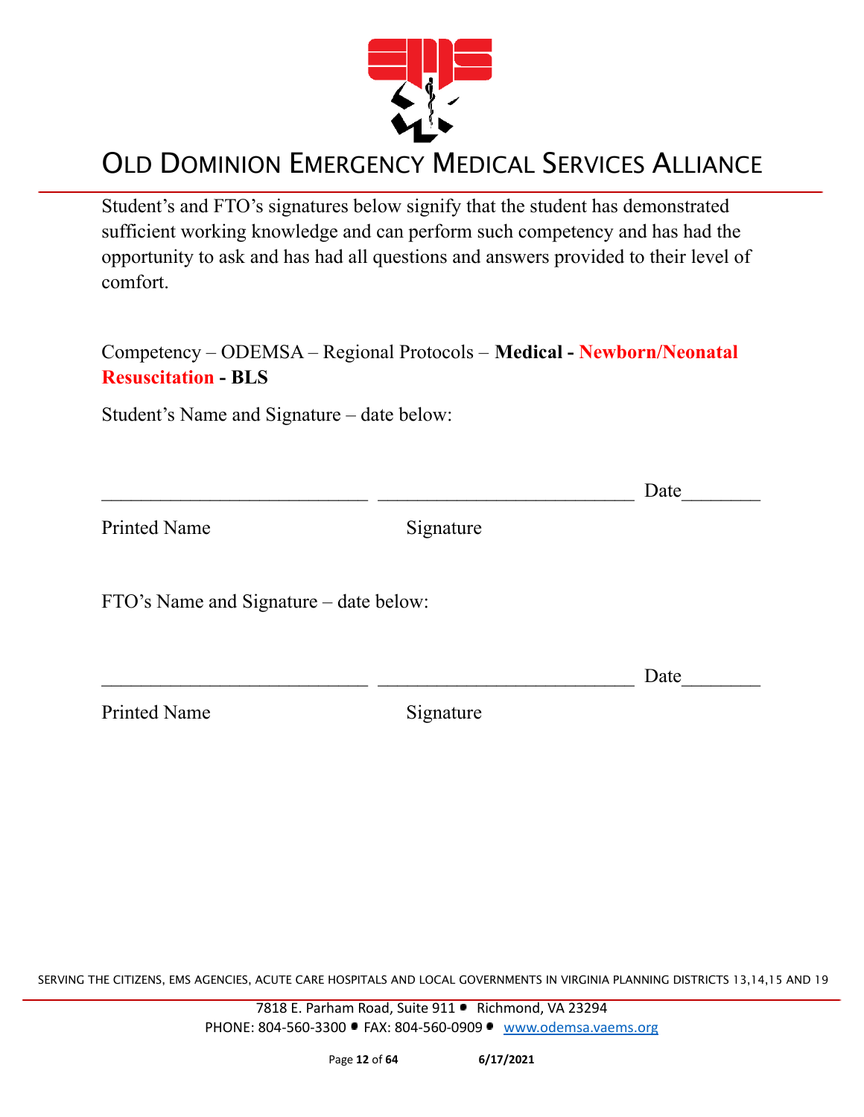

Student's and FTO's signatures below signify that the student has demonstrated sufficient working knowledge and can perform such competency and has had the opportunity to ask and has had all questions and answers provided to their level of comfort.

Competency – ODEMSA – Regional Protocols – **Medical - Newborn/Neonatal Resuscitation - BLS**

Student's Name and Signature – date below:

|                                        |           | Date |
|----------------------------------------|-----------|------|
| <b>Printed Name</b>                    | Signature |      |
| FTO's Name and Signature – date below: |           |      |
|                                        |           | Date |
| <b>Printed Name</b>                    | Signature |      |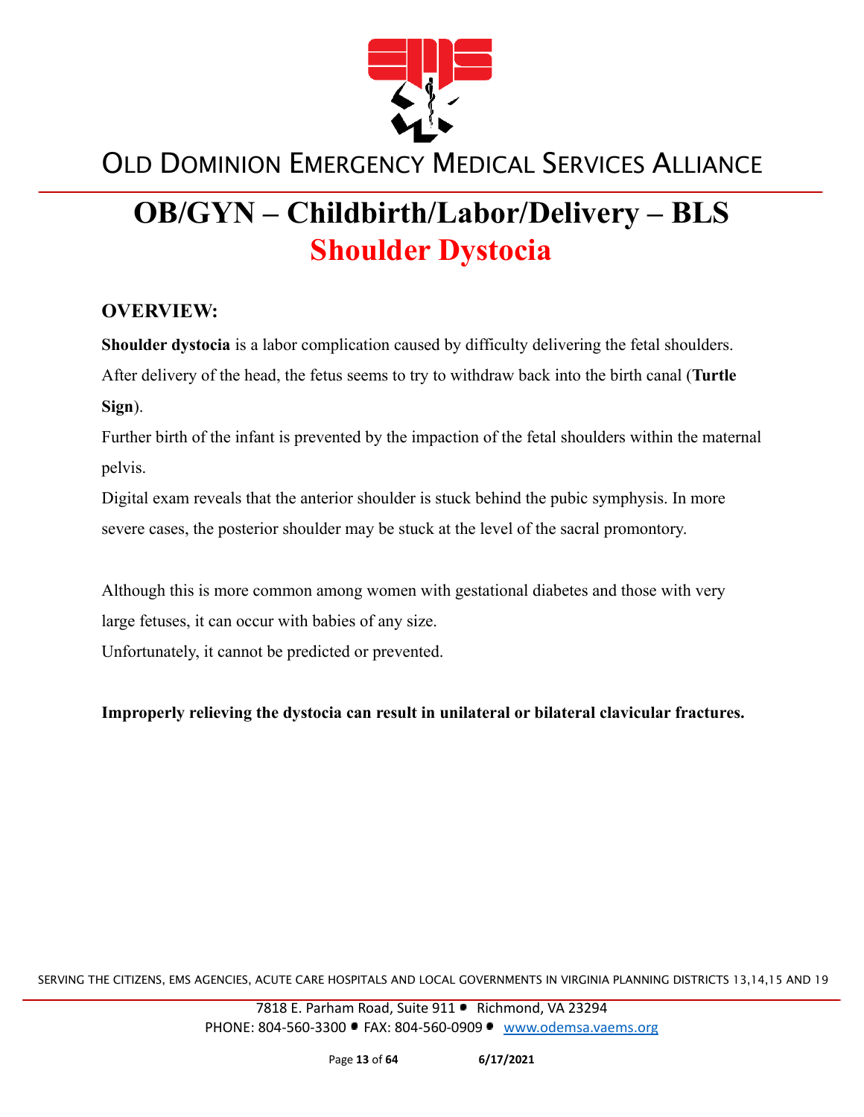

# **OB/GYN – Childbirth/Labor/Delivery – BLS Shoulder Dystocia**

#### **OVERVIEW:**

**Shoulder dystocia** is a labor complication caused by difficulty delivering the fetal shoulders. After delivery of the head, the fetus seems to try to withdraw back into the birth canal (**Turtle Sign**).

Further birth of the infant is prevented by the impaction of the fetal shoulders within the maternal pelvis.

Digital exam reveals that the anterior shoulder is stuck behind the pubic symphysis. In more severe cases, the posterior shoulder may be stuck at the level of the sacral promontory.

Although this is more common among women with gestational diabetes and those with very large fetuses, it can occur with babies of any size.

Unfortunately, it cannot be predicted or prevented.

**Improperly relieving the dystocia can result in unilateral or bilateral clavicular fractures.**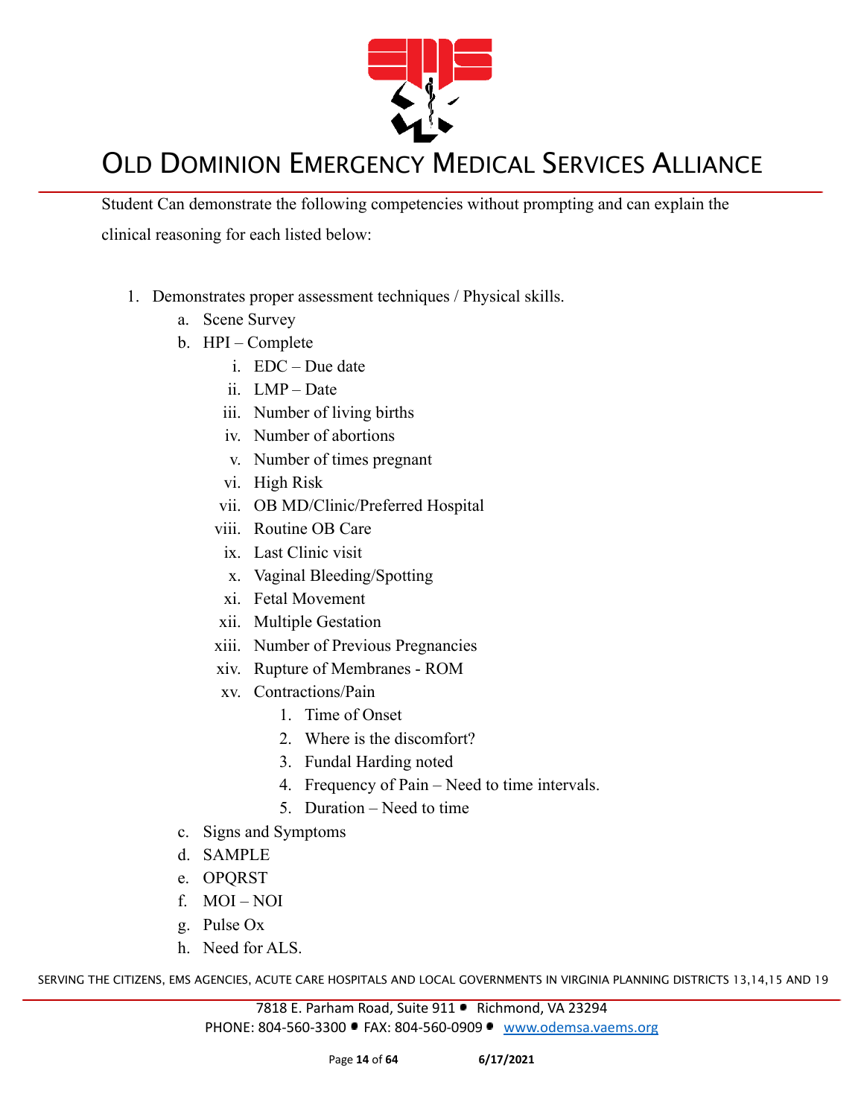

Student Can demonstrate the following competencies without prompting and can explain the clinical reasoning for each listed below:

- 1. Demonstrates proper assessment techniques / Physical skills.
	- a. Scene Survey
	- b. HPI Complete
		- i. EDC Due date
		- ii. LMP Date
		- iii. Number of living births
		- iv. Number of abortions
		- v. Number of times pregnant
		- vi. High Risk
		- vii. OB MD/Clinic/Preferred Hospital
		- viii. Routine OB Care
		- ix. Last Clinic visit
		- x. Vaginal Bleeding/Spotting
		- xi. Fetal Movement
		- xii. Multiple Gestation
		- xiii. Number of Previous Pregnancies
		- xiv. Rupture of Membranes ROM
		- xv. Contractions/Pain
			- 1. Time of Onset
			- 2. Where is the discomfort?
			- 3. Fundal Harding noted
			- 4. Frequency of Pain Need to time intervals.
			- 5. Duration Need to time
	- c. Signs and Symptoms
	- d. SAMPLE
	- e. OPQRST
	- f. MOI NOI
	- g. Pulse Ox
	- h. Need for ALS.

SERVING THE CITIZENS, EMS AGENCIES, ACUTE CARE HOSPITALS AND LOCAL GOVERNMENTS IN VIRGINIA PLANNING DISTRICTS 13,14,15 AND 19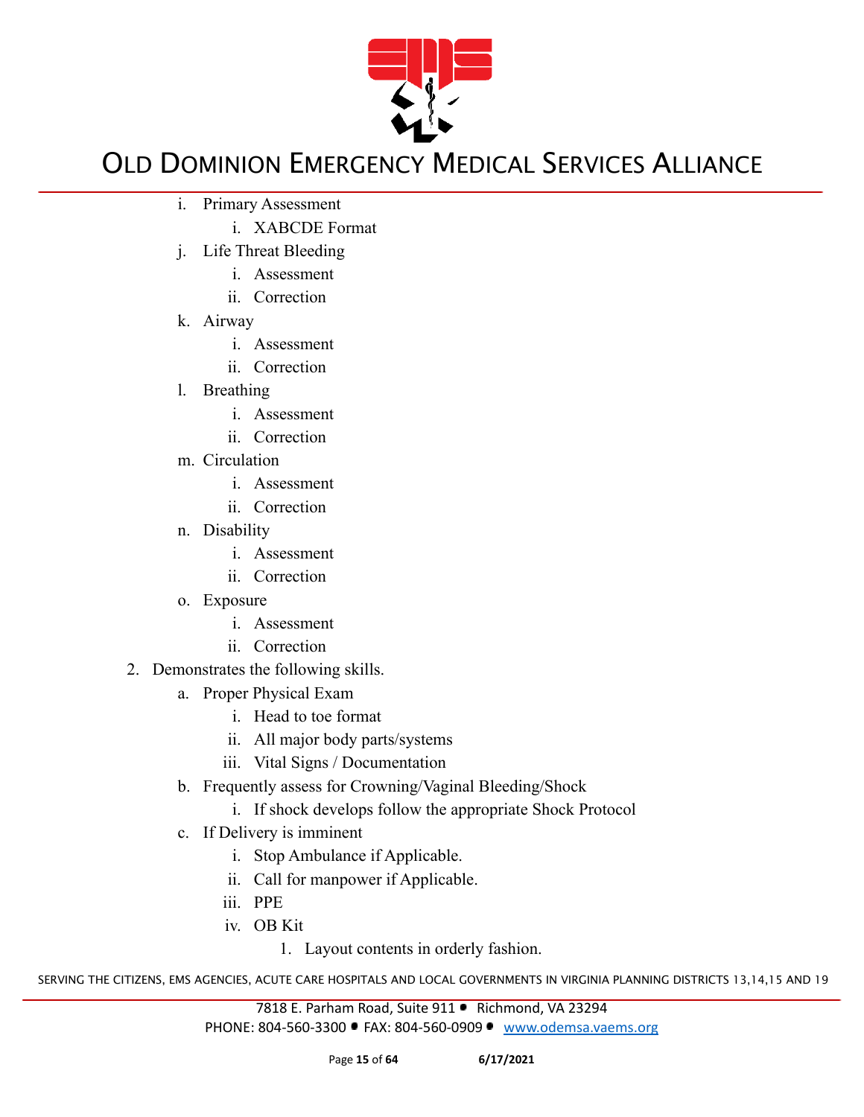

- i. Primary Assessment
	- i. XABCDE Format
- j. Life Threat Bleeding
	- i. Assessment
	- ii. Correction
- k. Airway
	- i. Assessment
	- ii. Correction
- l. Breathing
	- i. Assessment
	- ii. Correction
- m. Circulation
	- i. Assessment
	- ii. Correction
- n. Disability
	- i. Assessment
	- ii. Correction
- o. Exposure
	- i. Assessment
	- ii. Correction
- 2. Demonstrates the following skills.
	- a. Proper Physical Exam
		- i. Head to toe format
		- ii. All major body parts/systems
		- iii. Vital Signs / Documentation
	- b. Frequently assess for Crowning/Vaginal Bleeding/Shock
		- i. If shock develops follow the appropriate Shock Protocol
	- c. If Delivery is imminent
		- i. Stop Ambulance if Applicable.
		- ii. Call for manpower if Applicable.
		- iii. PPE
		- iv. OB Kit

1. Layout contents in orderly fashion.

SERVING THE CITIZENS, EMS AGENCIES, ACUTE CARE HOSPITALS AND LOCAL GOVERNMENTS IN VIRGINIA PLANNING DISTRICTS 13,14,15 AND 19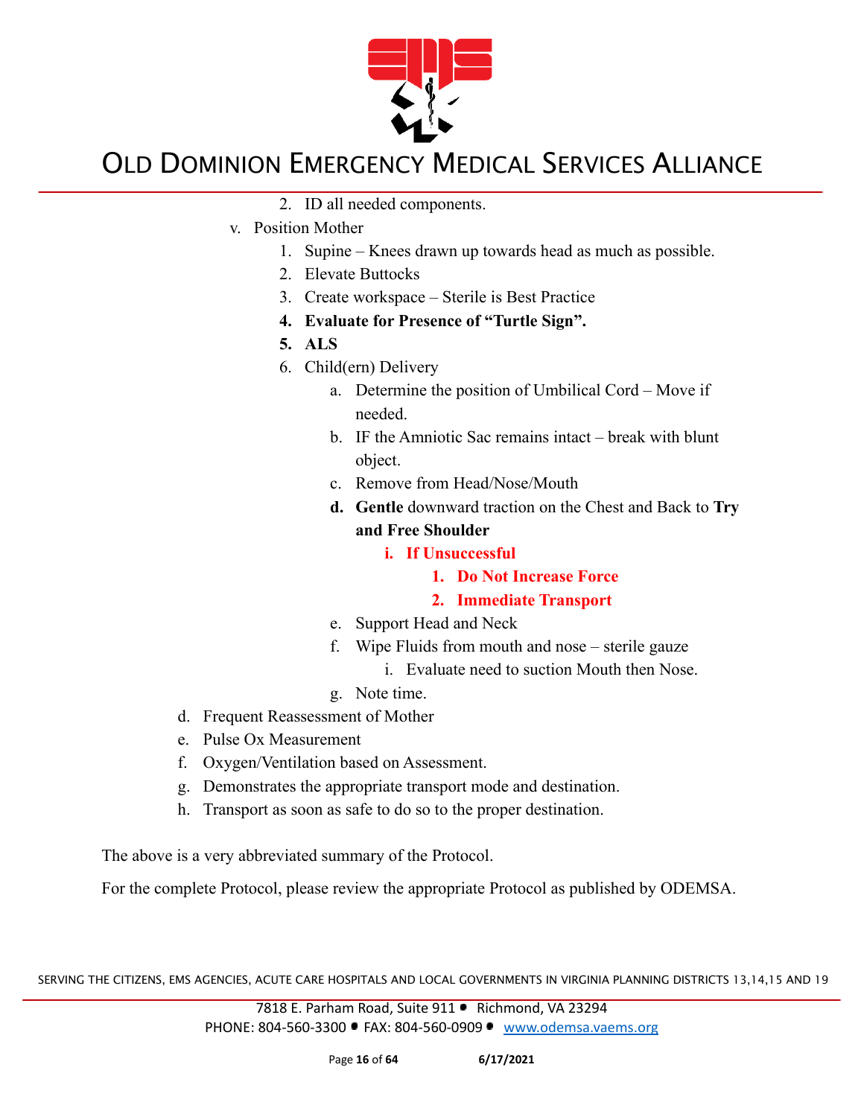

- 2. ID all needed components.
- v. Position Mother
	- 1. Supine Knees drawn up towards head as much as possible.
	- 2. Elevate Buttocks
	- 3. Create workspace Sterile is Best Practice
	- **4. Evaluate for Presence of "Turtle Sign".**
	- **5. ALS**
	- 6. Child(ern) Delivery
		- a. Determine the position of Umbilical Cord Move if needed.
		- b. IF the Amniotic Sac remains intact break with blunt object.
		- c. Remove from Head/Nose/Mouth
		- **d. Gentle** downward traction on the Chest and Back to **Try and Free Shoulder**
			- **i. If Unsuccessful**
				- **1. Do Not Increase Force**
				- **2. Immediate Transport**
		- e. Support Head and Neck
		- f. Wipe Fluids from mouth and nose sterile gauze
			- i. Evaluate need to suction Mouth then Nose.
		- g. Note time.
- d. Frequent Reassessment of Mother
- e. Pulse Ox Measurement
- f. Oxygen/Ventilation based on Assessment.
- g. Demonstrates the appropriate transport mode and destination.
- h. Transport as soon as safe to do so to the proper destination.

The above is a very abbreviated summary of the Protocol.

For the complete Protocol, please review the appropriate Protocol as published by ODEMSA.

SERVING THE CITIZENS, EMS AGENCIES, ACUTE CARE HOSPITALS AND LOCAL GOVERNMENTS IN VIRGINIA PLANNING DISTRICTS 13,14,15 AND 19

7818 E. Parham Road, Suite 911 · Richmond, VA 23294 PHONE: 804-560-3300 FAX: 804-560-0909 [www.odemsa.vaems.org](http://www.odemsa.vaems.org)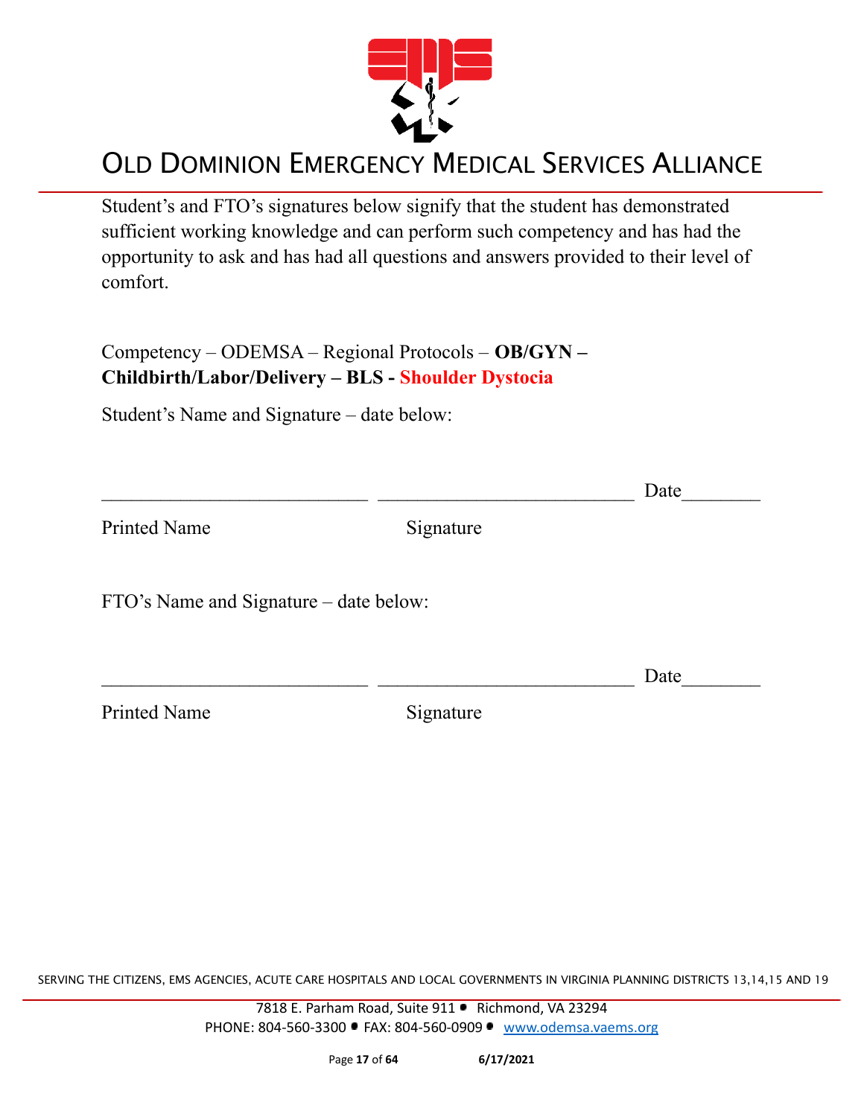

Student's and FTO's signatures below signify that the student has demonstrated sufficient working knowledge and can perform such competency and has had the opportunity to ask and has had all questions and answers provided to their level of comfort.

Competency – ODEMSA – Regional Protocols – **OB/GYN – Childbirth/Labor/Delivery – BLS - Shoulder Dystocia**

Student's Name and Signature – date below:

|                                        |           | Date |
|----------------------------------------|-----------|------|
| <b>Printed Name</b>                    | Signature |      |
| FTO's Name and Signature – date below: |           |      |
|                                        |           | Date |
| <b>Printed Name</b>                    | Signature |      |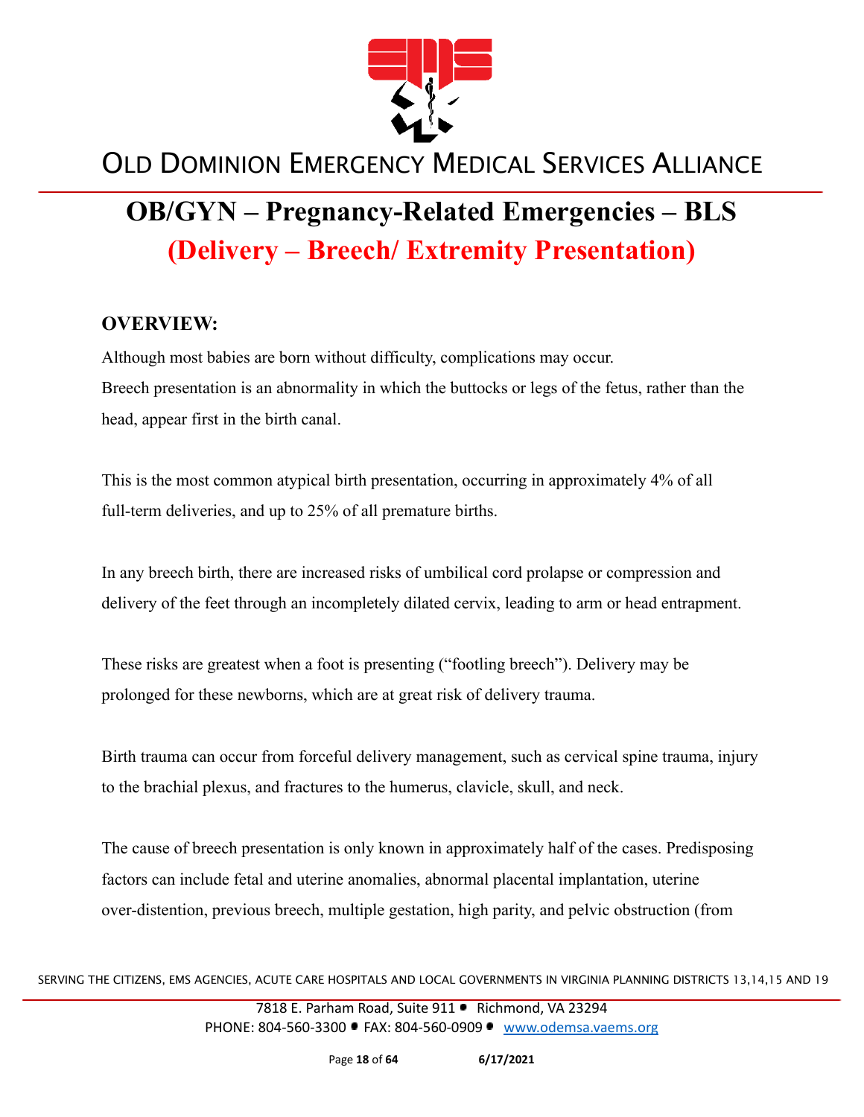

# **OB/GYN – Pregnancy-Related Emergencies – BLS (Delivery – Breech/ Extremity Presentation)**

#### **OVERVIEW:**

Although most babies are born without difficulty, complications may occur. Breech presentation is an abnormality in which the buttocks or legs of the fetus, rather than the head, appear first in the birth canal.

This is the most common atypical birth presentation, occurring in approximately 4% of all full-term deliveries, and up to 25% of all premature births.

In any breech birth, there are increased risks of umbilical cord prolapse or compression and delivery of the feet through an incompletely dilated cervix, leading to arm or head entrapment.

These risks are greatest when a foot is presenting ("footling breech"). Delivery may be prolonged for these newborns, which are at great risk of delivery trauma.

Birth trauma can occur from forceful delivery management, such as cervical spine trauma, injury to the brachial plexus, and fractures to the humerus, clavicle, skull, and neck.

The cause of breech presentation is only known in approximately half of the cases. Predisposing factors can include fetal and uterine anomalies, abnormal placental implantation, uterine over-distention, previous breech, multiple gestation, high parity, and pelvic obstruction (from

SERVING THE CITIZENS, EMS AGENCIES, ACUTE CARE HOSPITALS AND LOCAL GOVERNMENTS IN VIRGINIA PLANNING DISTRICTS 13,14,15 AND 19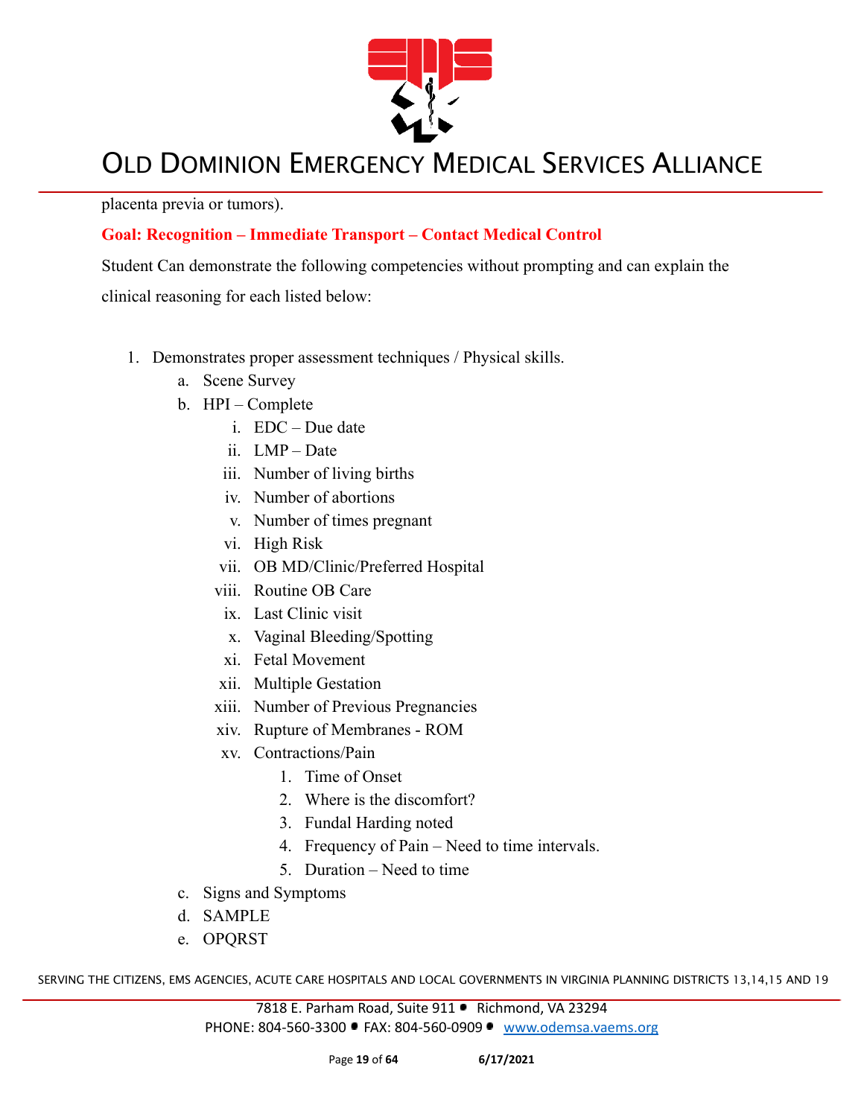

placenta previa or tumors).

#### **Goal: Recognition – Immediate Transport – Contact Medical Control**

Student Can demonstrate the following competencies without prompting and can explain the

clinical reasoning for each listed below:

- 1. Demonstrates proper assessment techniques / Physical skills.
	- a. Scene Survey
	- b. HPI Complete
		- i. EDC Due date
		- ii. LMP Date
		- iii. Number of living births
		- iv. Number of abortions
		- v. Number of times pregnant
		- vi. High Risk
		- vii. OB MD/Clinic/Preferred Hospital
		- viii. Routine OB Care
		- ix. Last Clinic visit
		- x. Vaginal Bleeding/Spotting
		- xi. Fetal Movement
		- xii. Multiple Gestation
		- xiii. Number of Previous Pregnancies
		- xiv. Rupture of Membranes ROM
		- xv. Contractions/Pain
			- 1. Time of Onset
			- 2. Where is the discomfort?
			- 3. Fundal Harding noted
			- 4. Frequency of Pain Need to time intervals.
			- 5. Duration Need to time
	- c. Signs and Symptoms
	- d. SAMPLE
	- e. OPQRST

SERVING THE CITIZENS, EMS AGENCIES, ACUTE CARE HOSPITALS AND LOCAL GOVERNMENTS IN VIRGINIA PLANNING DISTRICTS 13,14,15 AND 19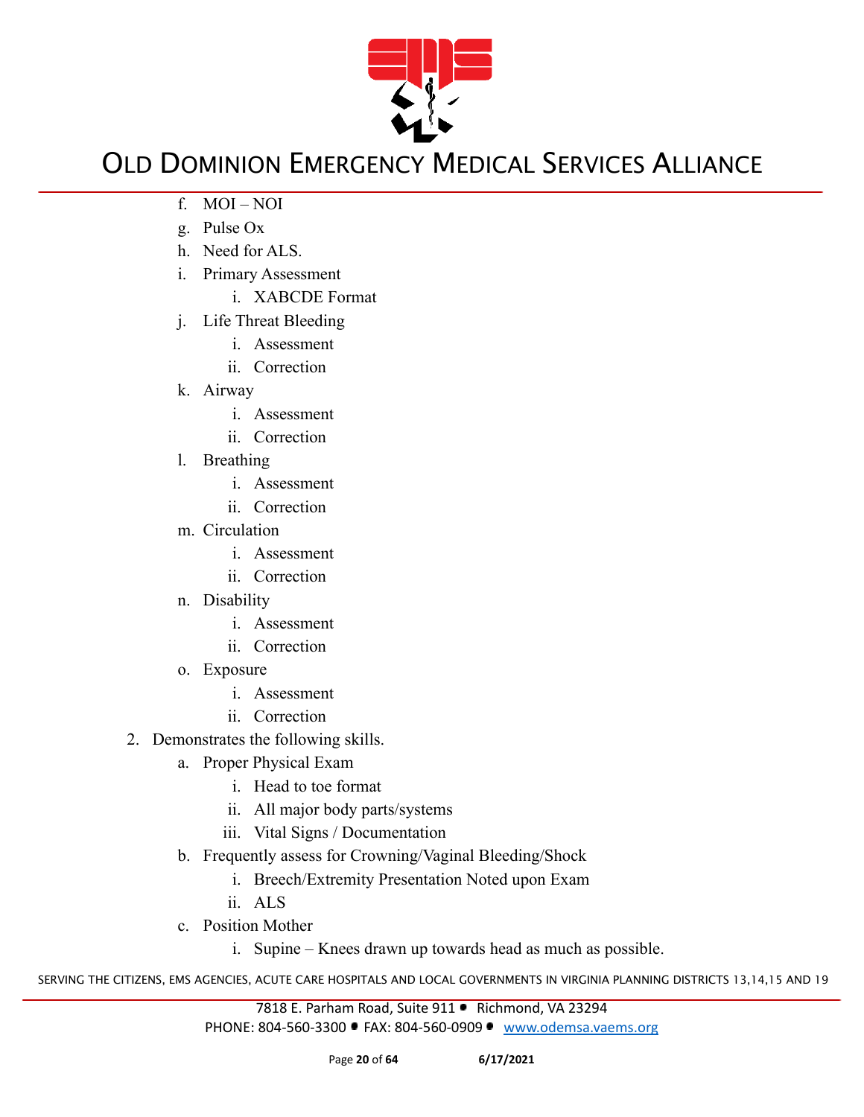

- f. MOI NOI
- g. Pulse Ox
- h. Need for ALS.
- i. Primary Assessment
	- i. XABCDE Format
- j. Life Threat Bleeding
	- i. Assessment
	- ii. Correction
- k. Airway
	- i. Assessment
	- ii. Correction
- l. Breathing
	- i. Assessment
	- ii. Correction
- m. Circulation
	- i. Assessment
	- ii. Correction
- n. Disability
	- i. Assessment
	- ii. Correction
- o. Exposure
	- i. Assessment
	- ii. Correction
- 2. Demonstrates the following skills.
	- a. Proper Physical Exam
		- i. Head to toe format
		- ii. All major body parts/systems
		- iii. Vital Signs / Documentation
	- b. Frequently assess for Crowning/Vaginal Bleeding/Shock
		- i. Breech/Extremity Presentation Noted upon Exam
		- ii. ALS
	- c. Position Mother
		- i. Supine Knees drawn up towards head as much as possible.

SERVING THE CITIZENS, EMS AGENCIES, ACUTE CARE HOSPITALS AND LOCAL GOVERNMENTS IN VIRGINIA PLANNING DISTRICTS 13,14,15 AND 19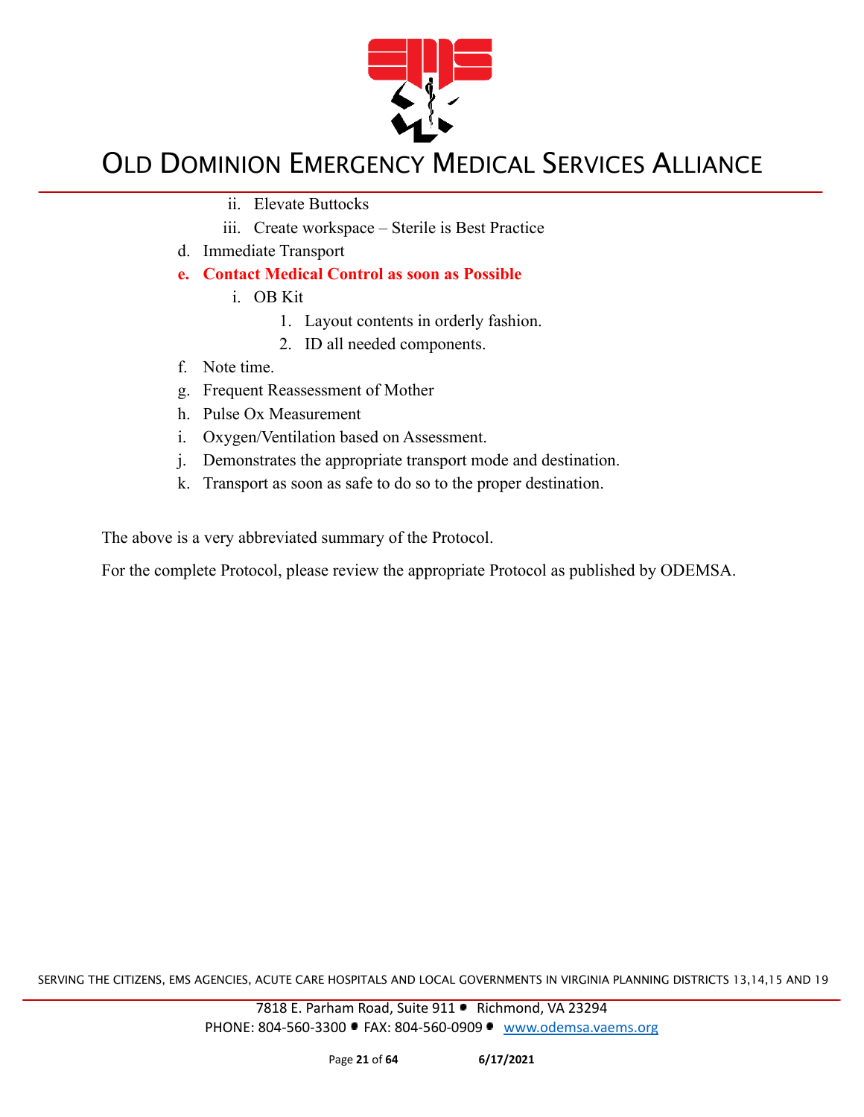

- ii. Elevate Buttocks
- iii. Create workspace Sterile is Best Practice
- d. Immediate Transport
- **e. Contact Medical Control as soon as Possible**
	- i. OB Kit
		- 1. Layout contents in orderly fashion.
		- 2. ID all needed components.
- f. Note time.
- g. Frequent Reassessment of Mother
- h. Pulse Ox Measurement
- i. Oxygen/Ventilation based on Assessment.
- j. Demonstrates the appropriate transport mode and destination.
- k. Transport as soon as safe to do so to the proper destination.

The above is a very abbreviated summary of the Protocol.

For the complete Protocol, please review the appropriate Protocol as published by ODEMSA.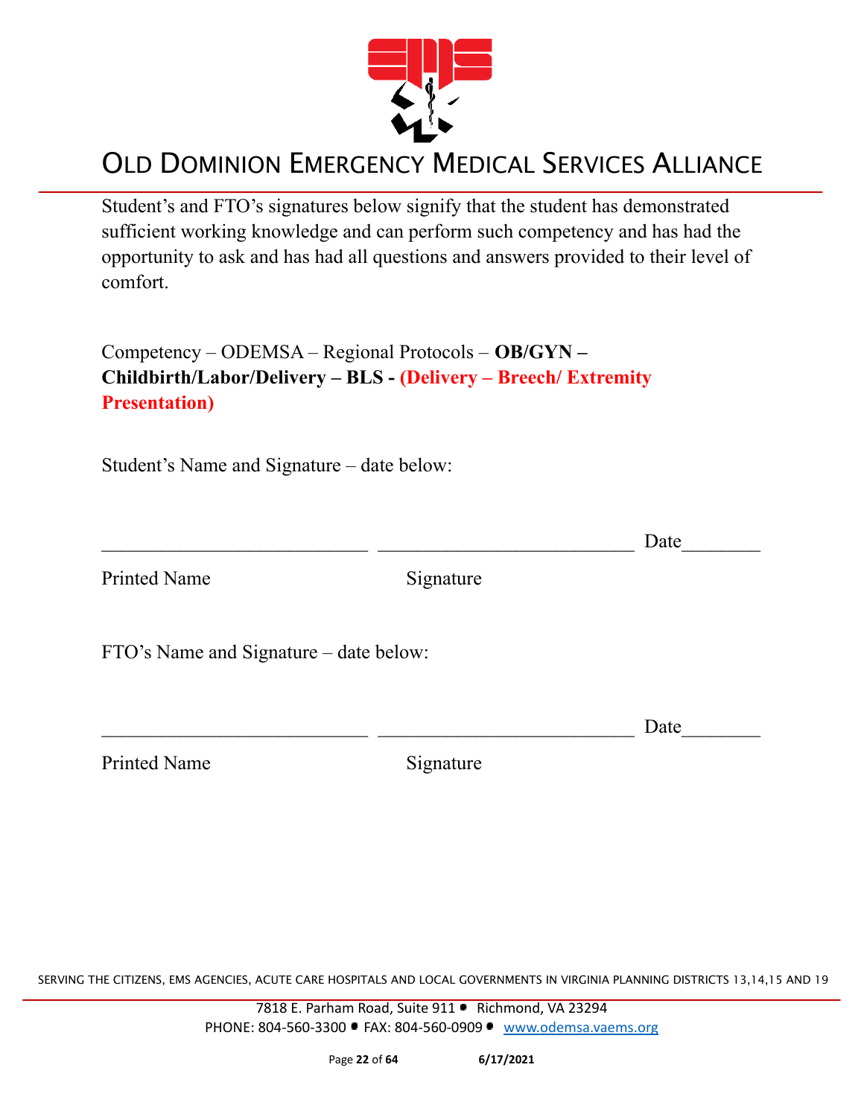

Student's and FTO's signatures below signify that the student has demonstrated sufficient working knowledge and can perform such competency and has had the opportunity to ask and has had all questions and answers provided to their level of comfort.

Competency – ODEMSA – Regional Protocols – **OB/GYN – Childbirth/Labor/Delivery – BLS - (Delivery – Breech/ Extremity Presentation)**

Student's Name and Signature – date below:

|                                        |           | Date |
|----------------------------------------|-----------|------|
| <b>Printed Name</b>                    | Signature |      |
| FTO's Name and Signature – date below: |           |      |
|                                        |           | Date |

Printed Name Signature

SERVING THE CITIZENS, EMS AGENCIES, ACUTE CARE HOSPITALS AND LOCAL GOVERNMENTS IN VIRGINIA PLANNING DISTRICTS 13,14,15 AND 19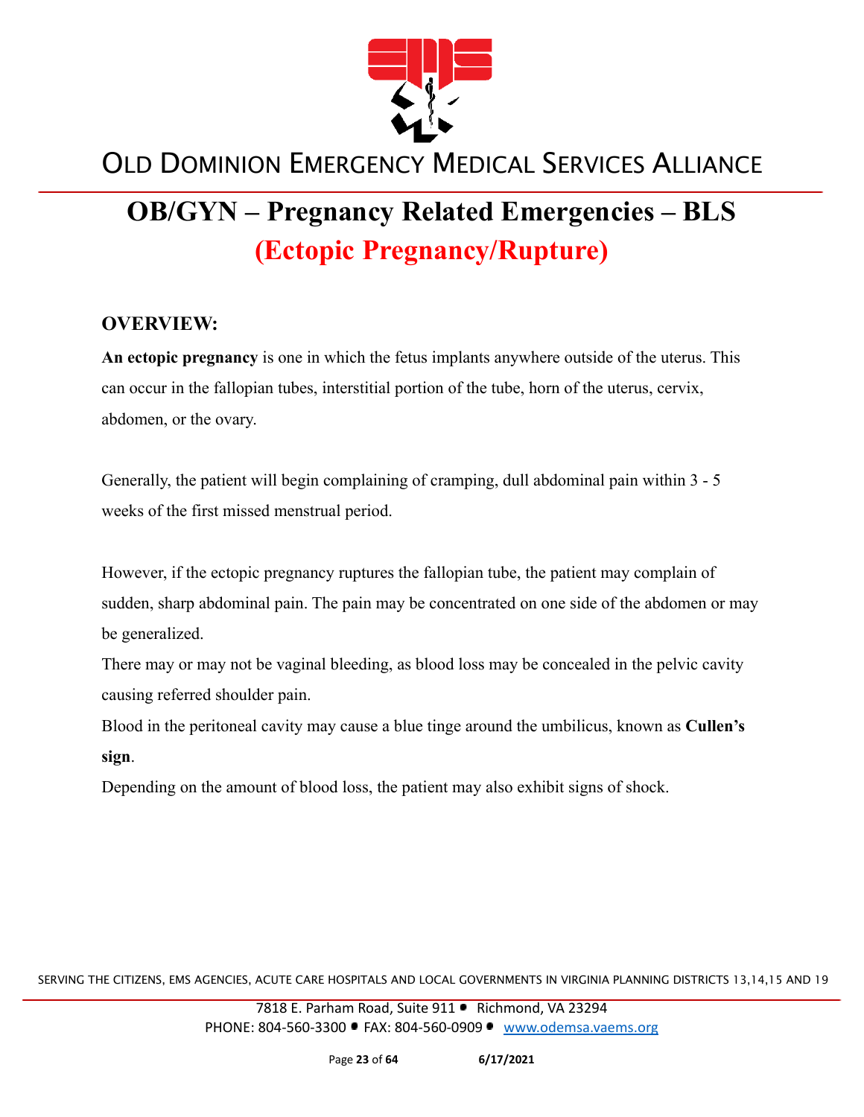

# **OB/GYN – Pregnancy Related Emergencies – BLS (Ectopic Pregnancy/Rupture)**

#### **OVERVIEW:**

**An ectopic pregnancy** is one in which the fetus implants anywhere outside of the uterus. This can occur in the fallopian tubes, interstitial portion of the tube, horn of the uterus, cervix, abdomen, or the ovary.

Generally, the patient will begin complaining of cramping, dull abdominal pain within 3 - 5 weeks of the first missed menstrual period.

However, if the ectopic pregnancy ruptures the fallopian tube, the patient may complain of sudden, sharp abdominal pain. The pain may be concentrated on one side of the abdomen or may be generalized.

There may or may not be vaginal bleeding, as blood loss may be concealed in the pelvic cavity causing referred shoulder pain.

Blood in the peritoneal cavity may cause a blue tinge around the umbilicus, known as **Cullen's sign**.

Depending on the amount of blood loss, the patient may also exhibit signs of shock.

SERVING THE CITIZENS, EMS AGENCIES, ACUTE CARE HOSPITALS AND LOCAL GOVERNMENTS IN VIRGINIA PLANNING DISTRICTS 13,14,15 AND 19

7818 E. Parham Road, Suite 911 · Richmond, VA 23294 PHONE: 804-560-3300 FAX: 804-560-0909 [www.odemsa.vaems.org](http://www.odemsa.vaems.org)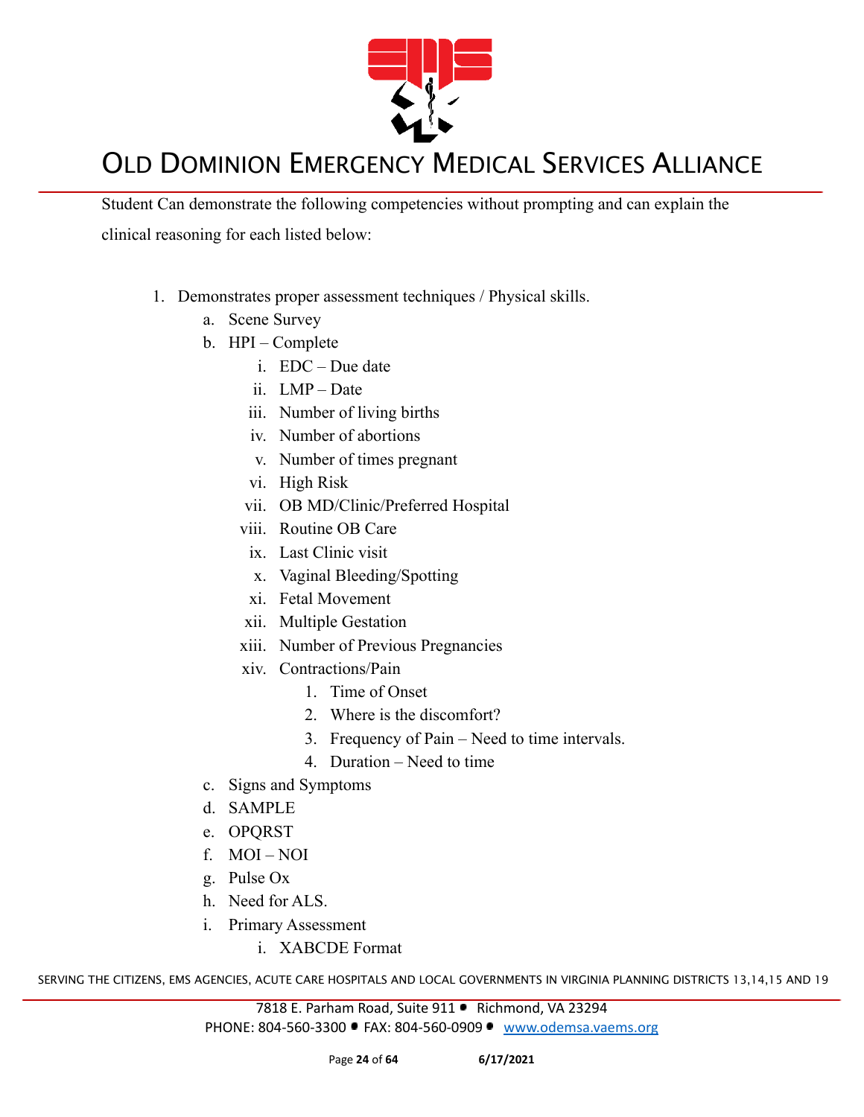

Student Can demonstrate the following competencies without prompting and can explain the clinical reasoning for each listed below:

- 1. Demonstrates proper assessment techniques / Physical skills.
	- a. Scene Survey
	- b. HPI Complete
		- i. EDC Due date
		- ii. LMP Date
		- iii. Number of living births
		- iv. Number of abortions
		- v. Number of times pregnant
		- vi. High Risk
		- vii. OB MD/Clinic/Preferred Hospital
		- viii. Routine OB Care
		- ix. Last Clinic visit
		- x. Vaginal Bleeding/Spotting
		- xi. Fetal Movement
		- xii. Multiple Gestation
		- xiii. Number of Previous Pregnancies
		- xiv. Contractions/Pain
			- 1. Time of Onset
			- 2. Where is the discomfort?
			- 3. Frequency of Pain Need to time intervals.
			- 4. Duration Need to time
	- c. Signs and Symptoms
	- d. SAMPLE
	- e. OPQRST
	- f. MOI NOI
	- g. Pulse Ox
	- h. Need for ALS.
	- i. Primary Assessment
		- i. XABCDE Format

SERVING THE CITIZENS, EMS AGENCIES, ACUTE CARE HOSPITALS AND LOCAL GOVERNMENTS IN VIRGINIA PLANNING DISTRICTS 13,14,15 AND 19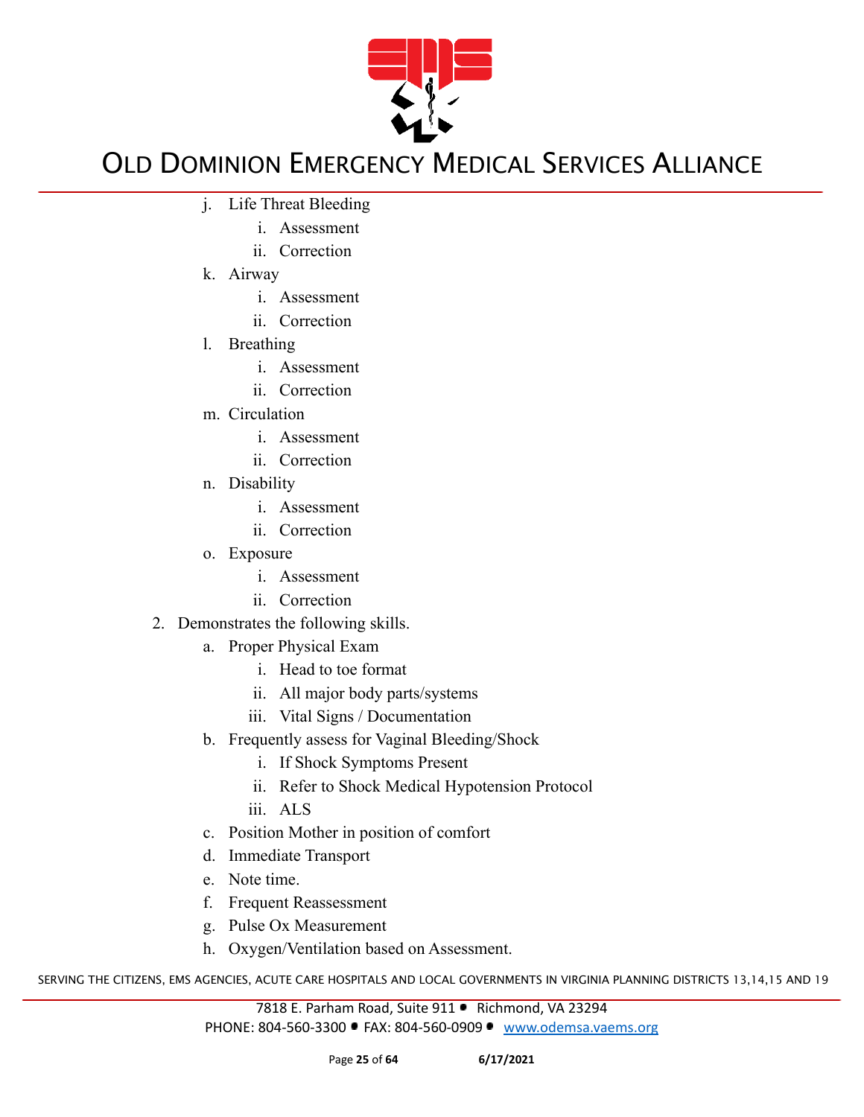

- j. Life Threat Bleeding
	- i. Assessment
	- ii. Correction
- k. Airway
	- i. Assessment
	- ii. Correction
- l. Breathing
	- i. Assessment
	- ii. Correction
- m. Circulation
	- i. Assessment
	- ii. Correction
- n. Disability
	- i. Assessment
	- ii. Correction
- o. Exposure
	- i. Assessment
	- ii. Correction
- 2. Demonstrates the following skills.
	- a. Proper Physical Exam
		- i. Head to toe format
		- ii. All major body parts/systems
		- iii. Vital Signs / Documentation
	- b. Frequently assess for Vaginal Bleeding/Shock
		- i. If Shock Symptoms Present
		- ii. Refer to Shock Medical Hypotension Protocol
		- iii. ALS
	- c. Position Mother in position of comfort
	- d. Immediate Transport
	- e. Note time.
	- f. Frequent Reassessment
	- g. Pulse Ox Measurement
	- h. Oxygen/Ventilation based on Assessment.

SERVING THE CITIZENS, EMS AGENCIES, ACUTE CARE HOSPITALS AND LOCAL GOVERNMENTS IN VIRGINIA PLANNING DISTRICTS 13,14,15 AND 19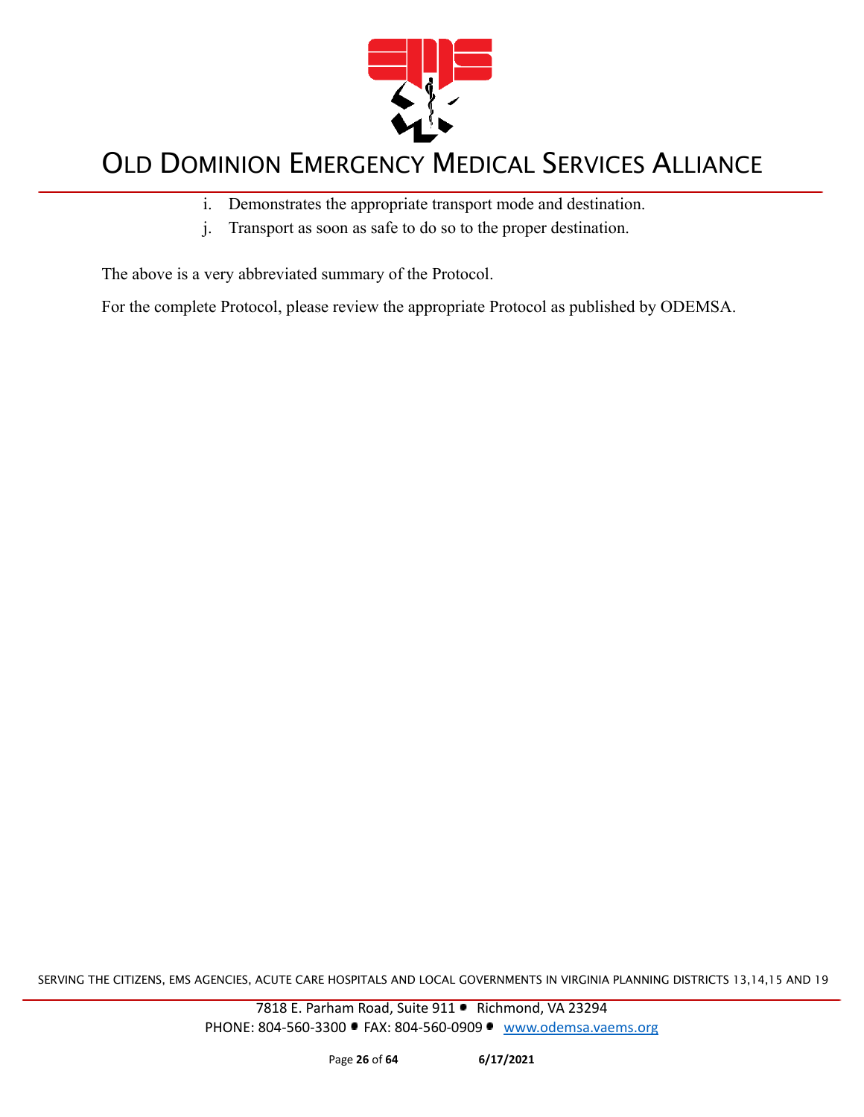

- i. Demonstrates the appropriate transport mode and destination.
- j. Transport as soon as safe to do so to the proper destination.

The above is a very abbreviated summary of the Protocol.

For the complete Protocol, please review the appropriate Protocol as published by ODEMSA.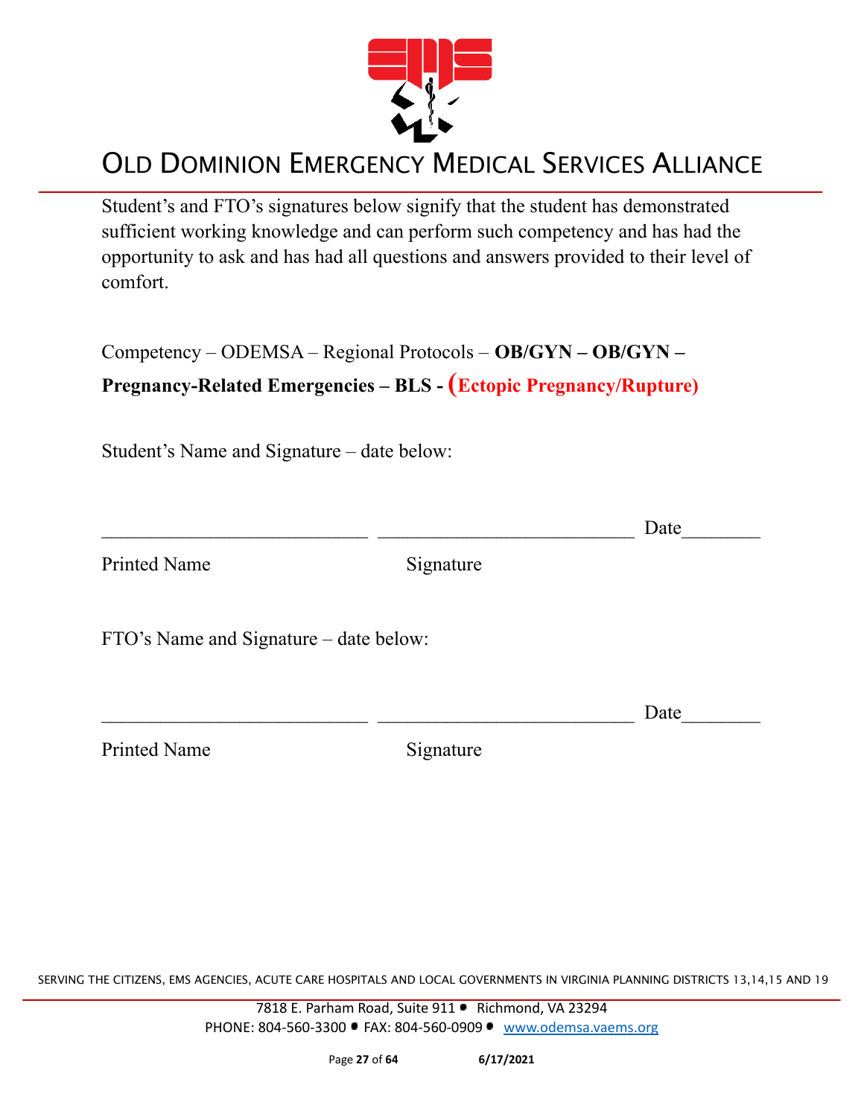

Student's and FTO's signatures below signify that the student has demonstrated sufficient working knowledge and can perform such competency and has had the opportunity to ask and has had all questions and answers provided to their level of comfort.

Competency – ODEMSA – Regional Protocols – **OB/GYN – OB/GYN –**

#### **Pregnancy-Related Emergencies – BLS - (Ectopic Pregnancy/Rupture)**

Student's Name and Signature – date below:

|                                        |           | Date |
|----------------------------------------|-----------|------|
| <b>Printed Name</b>                    | Signature |      |
| FTO's Name and Signature - date below: |           |      |
|                                        |           | Date |
| <b>Printed Name</b>                    | Signature |      |
|                                        |           |      |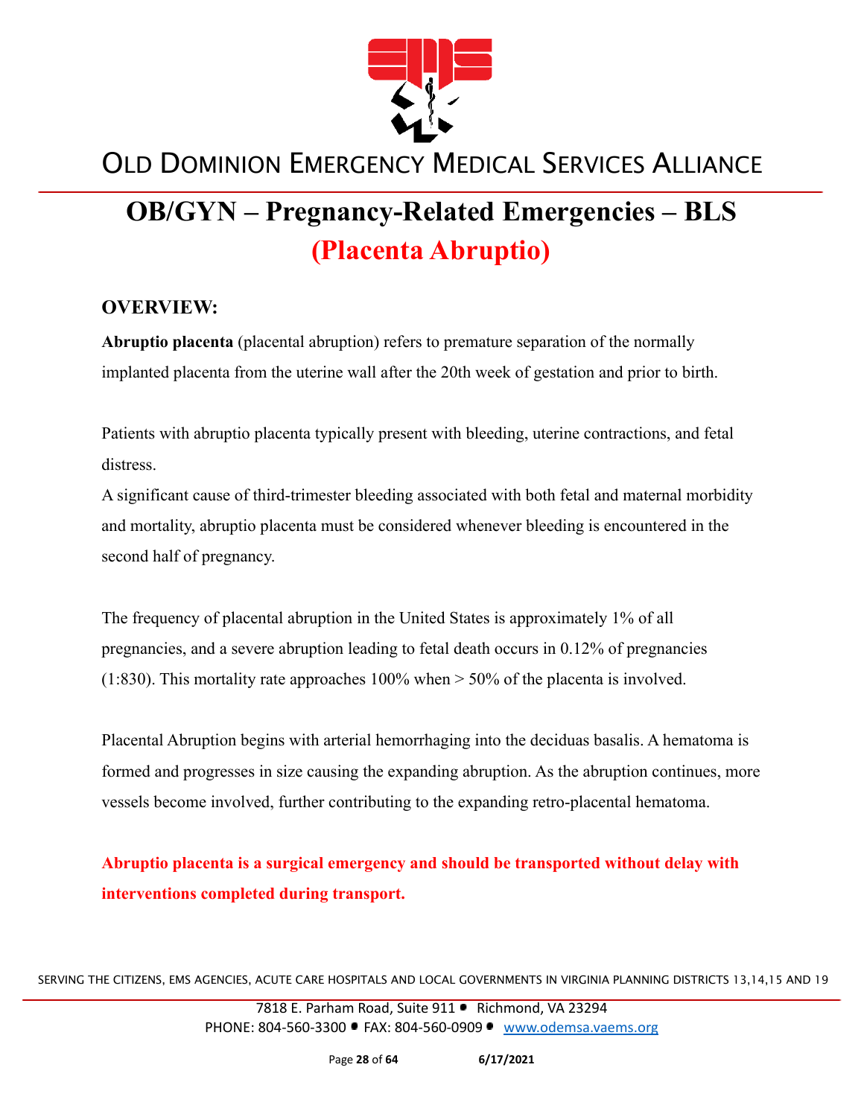

# **OB/GYN – Pregnancy-Related Emergencies – BLS (Placenta Abruptio)**

#### **OVERVIEW:**

**Abruptio placenta** (placental abruption) refers to premature separation of the normally implanted placenta from the uterine wall after the 20th week of gestation and prior to birth.

Patients with abruptio placenta typically present with bleeding, uterine contractions, and fetal distress.

A significant cause of third-trimester bleeding associated with both fetal and maternal morbidity and mortality, abruptio placenta must be considered whenever bleeding is encountered in the second half of pregnancy.

The frequency of placental abruption in the United States is approximately 1% of all pregnancies, and a severe abruption leading to fetal death occurs in 0.12% of pregnancies (1:830). This mortality rate approaches  $100\%$  when  $> 50\%$  of the placenta is involved.

Placental Abruption begins with arterial hemorrhaging into the deciduas basalis. A hematoma is formed and progresses in size causing the expanding abruption. As the abruption continues, more vessels become involved, further contributing to the expanding retro-placental hematoma.

**Abruptio placenta is a surgical emergency and should be transported without delay with interventions completed during transport.**

SERVING THE CITIZENS, EMS AGENCIES, ACUTE CARE HOSPITALS AND LOCAL GOVERNMENTS IN VIRGINIA PLANNING DISTRICTS 13,14,15 AND 19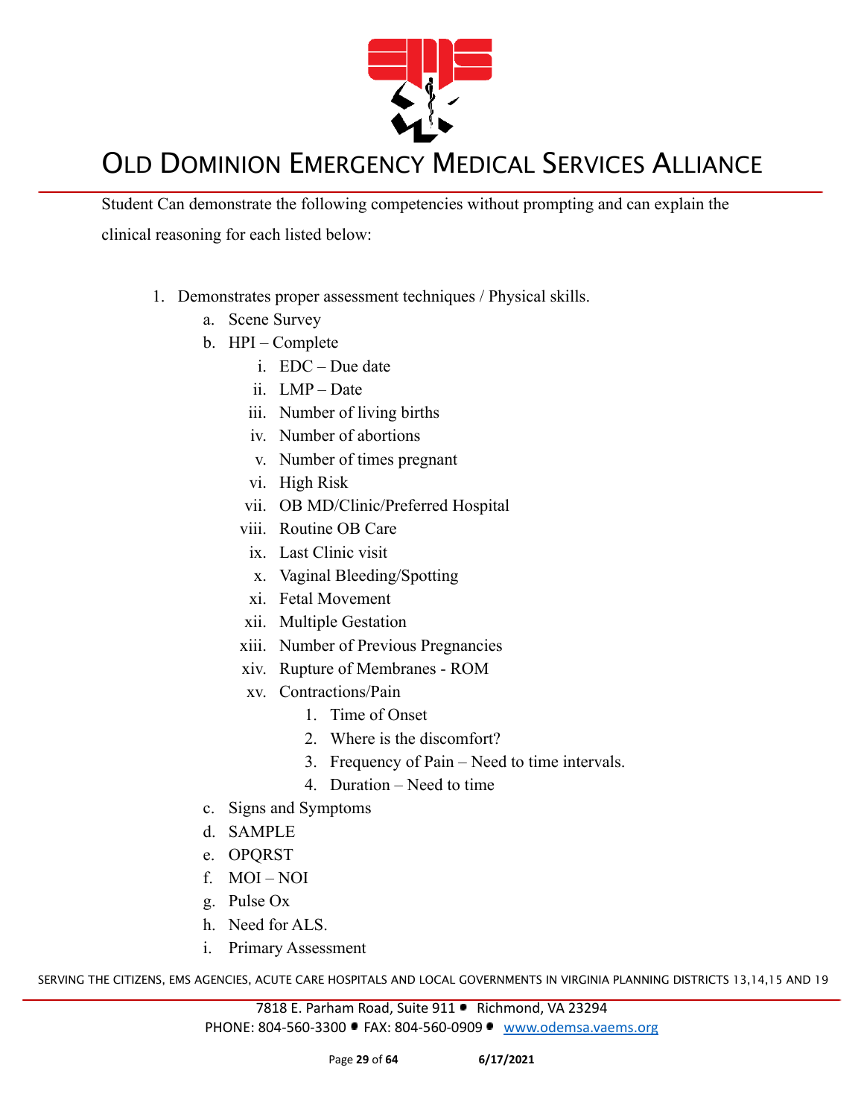

Student Can demonstrate the following competencies without prompting and can explain the clinical reasoning for each listed below:

- 1. Demonstrates proper assessment techniques / Physical skills.
	- a. Scene Survey
	- b. HPI Complete
		- i. EDC Due date
		- ii. LMP Date
		- iii. Number of living births
		- iv. Number of abortions
		- v. Number of times pregnant
		- vi. High Risk
		- vii. OB MD/Clinic/Preferred Hospital
		- viii. Routine OB Care
			- ix. Last Clinic visit
			- x. Vaginal Bleeding/Spotting
		- xi. Fetal Movement
		- xii. Multiple Gestation
		- xiii. Number of Previous Pregnancies
		- xiv. Rupture of Membranes ROM
		- xv. Contractions/Pain
			- 1. Time of Onset
			- 2. Where is the discomfort?
			- 3. Frequency of Pain Need to time intervals.
			- 4. Duration Need to time
	- c. Signs and Symptoms
	- d. SAMPLE
	- e. OPQRST
	- f. MOI NOI
	- g. Pulse Ox
	- h. Need for ALS.
	- i. Primary Assessment

SERVING THE CITIZENS, EMS AGENCIES, ACUTE CARE HOSPITALS AND LOCAL GOVERNMENTS IN VIRGINIA PLANNING DISTRICTS 13,14,15 AND 19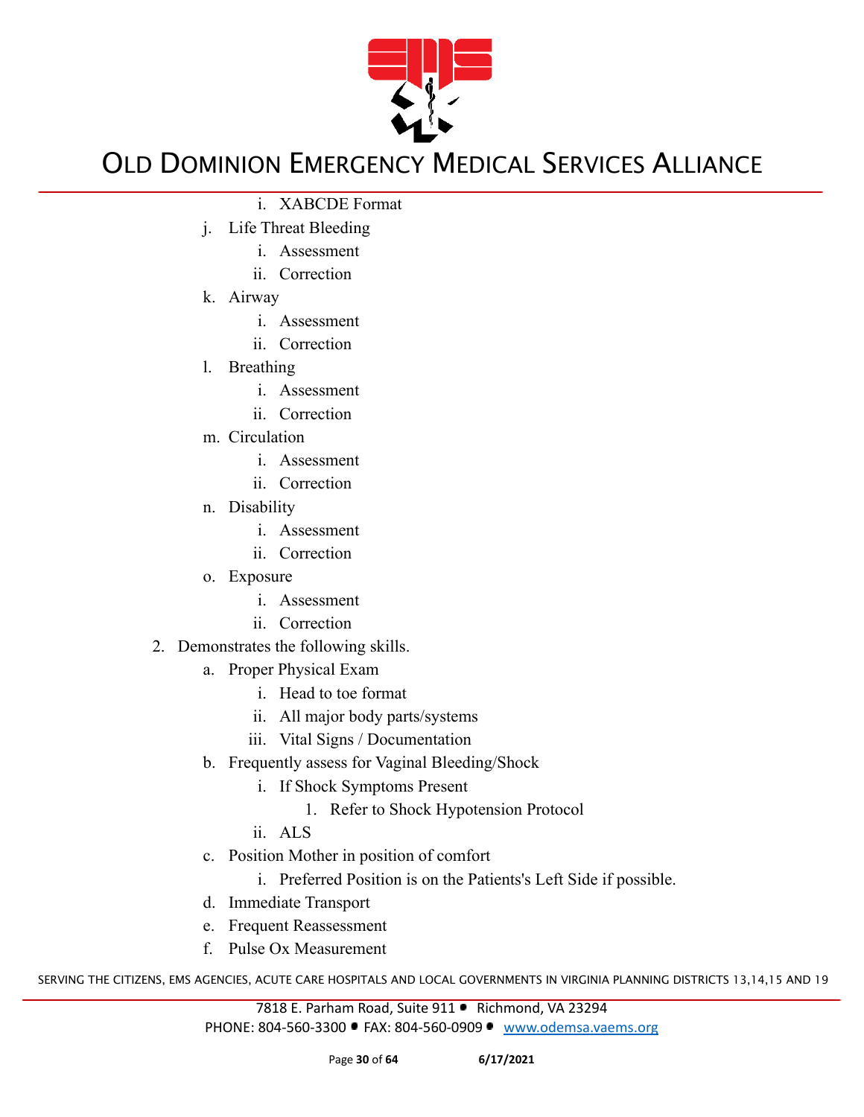

- i. XABCDE Format
- j. Life Threat Bleeding
	- i. Assessment
	- ii. Correction
- k. Airway
	- i. Assessment
	- ii. Correction
- l. Breathing
	- i. Assessment
	- ii. Correction
- m. Circulation
	- i. Assessment
	- ii. Correction
- n. Disability
	- i. Assessment
	- ii. Correction
- o. Exposure
	- i. Assessment
	- ii. Correction
- 2. Demonstrates the following skills.
	- a. Proper Physical Exam
		- i. Head to toe format
		- ii. All major body parts/systems
		- iii. Vital Signs / Documentation
	- b. Frequently assess for Vaginal Bleeding/Shock
		- i. If Shock Symptoms Present
			- 1. Refer to Shock Hypotension Protocol
		- ii. ALS
	- c. Position Mother in position of comfort
		- i. Preferred Position is on the Patients's Left Side if possible.
	- d. Immediate Transport
	- e. Frequent Reassessment
	- f. Pulse Ox Measurement

SERVING THE CITIZENS, EMS AGENCIES, ACUTE CARE HOSPITALS AND LOCAL GOVERNMENTS IN VIRGINIA PLANNING DISTRICTS 13,14,15 AND 19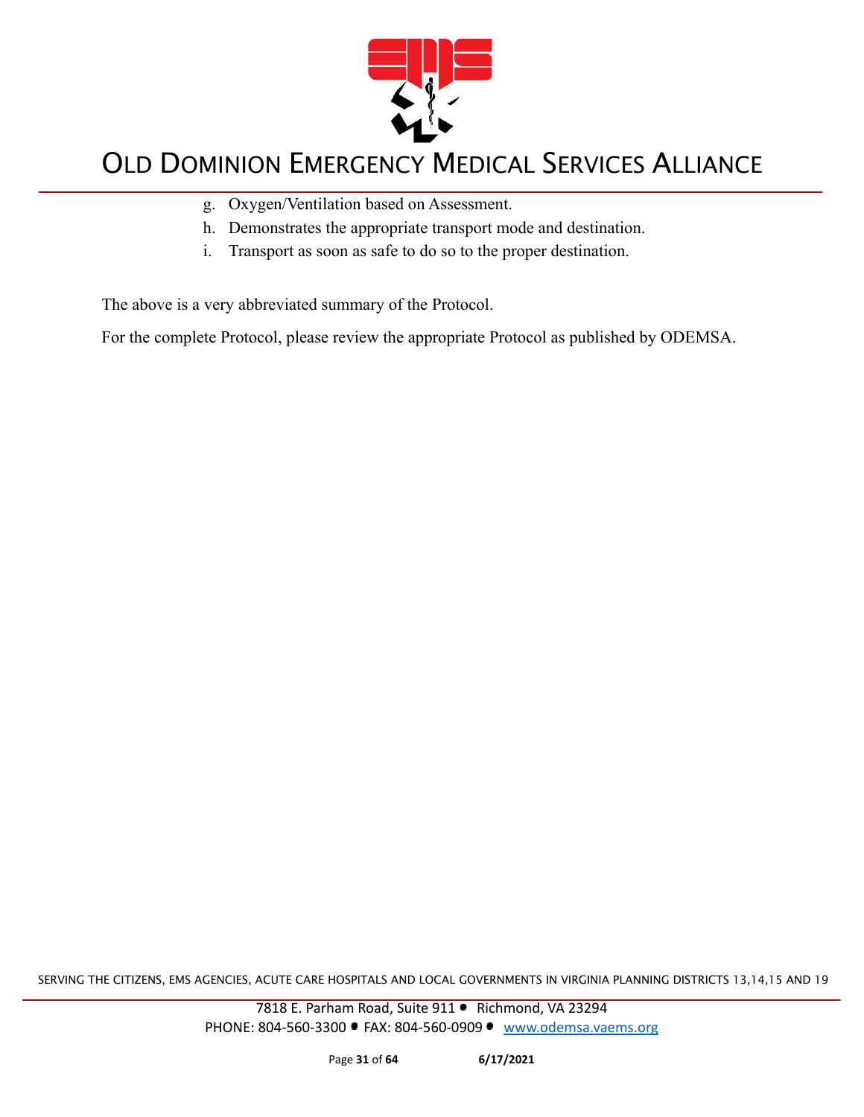

- g. Oxygen/Ventilation based on Assessment.
- h. Demonstrates the appropriate transport mode and destination.
- i. Transport as soon as safe to do so to the proper destination.

The above is a very abbreviated summary of the Protocol.

For the complete Protocol, please review the appropriate Protocol as published by ODEMSA.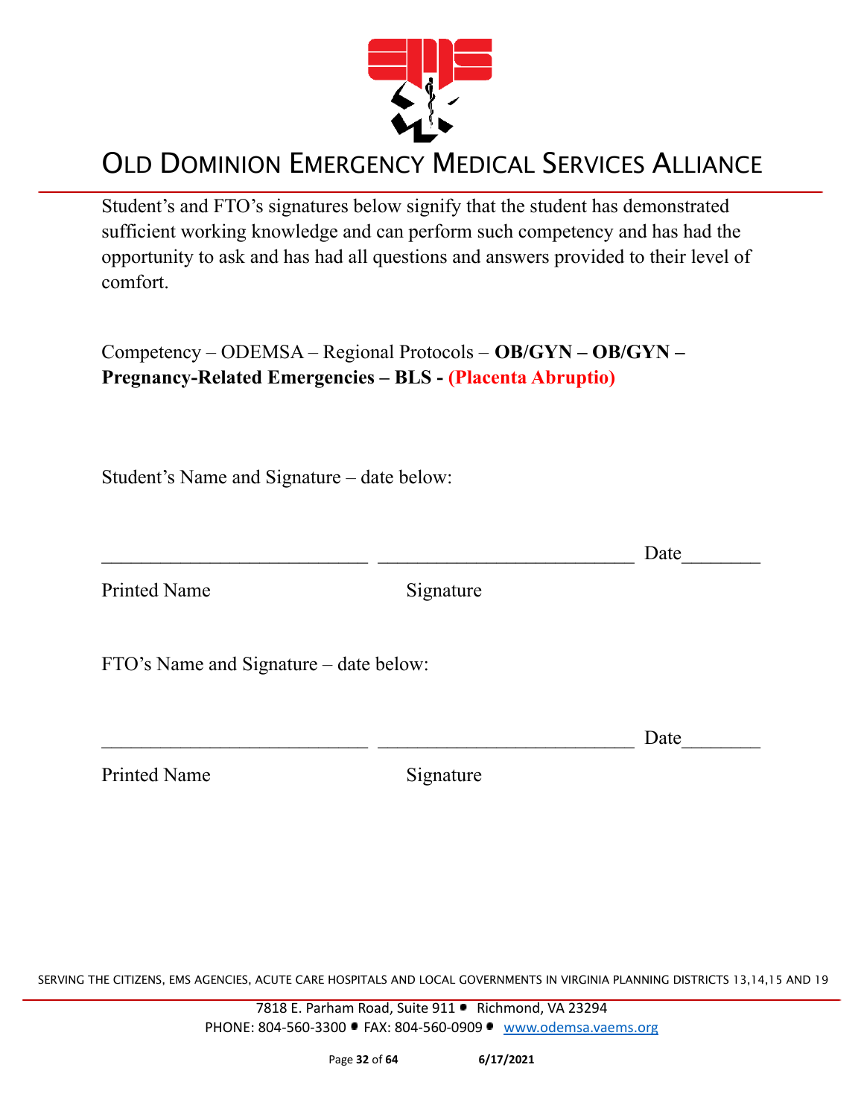

Student's and FTO's signatures below signify that the student has demonstrated sufficient working knowledge and can perform such competency and has had the opportunity to ask and has had all questions and answers provided to their level of comfort.

Competency – ODEMSA – Regional Protocols – **OB/GYN – OB/GYN – Pregnancy-Related Emergencies – BLS - (Placenta Abruptio)**

Student's Name and Signature – date below:

 $\Box$  Date Printed Name Signature FTO's Name and Signature – date below:  $\Box$  Date

Printed Name Signature

SERVING THE CITIZENS, EMS AGENCIES, ACUTE CARE HOSPITALS AND LOCAL GOVERNMENTS IN VIRGINIA PLANNING DISTRICTS 13,14,15 AND 19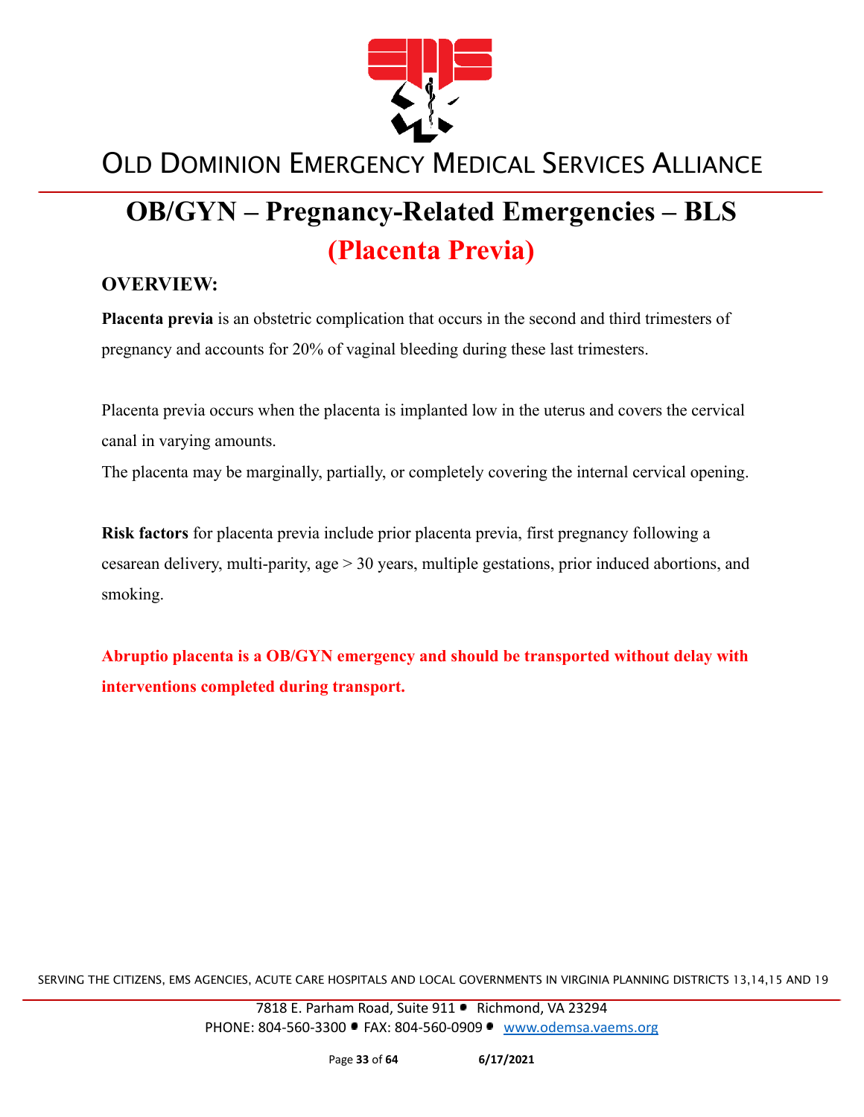

# **OB/GYN – Pregnancy-Related Emergencies – BLS (Placenta Previa)**

#### **OVERVIEW:**

**Placenta previa** is an obstetric complication that occurs in the second and third trimesters of pregnancy and accounts for 20% of vaginal bleeding during these last trimesters.

Placenta previa occurs when the placenta is implanted low in the uterus and covers the cervical canal in varying amounts.

The placenta may be marginally, partially, or completely covering the internal cervical opening.

**Risk factors** for placenta previa include prior placenta previa, first pregnancy following a cesarean delivery, multi-parity, age > 30 years, multiple gestations, prior induced abortions, and smoking.

**Abruptio placenta is a OB/GYN emergency and should be transported without delay with interventions completed during transport.**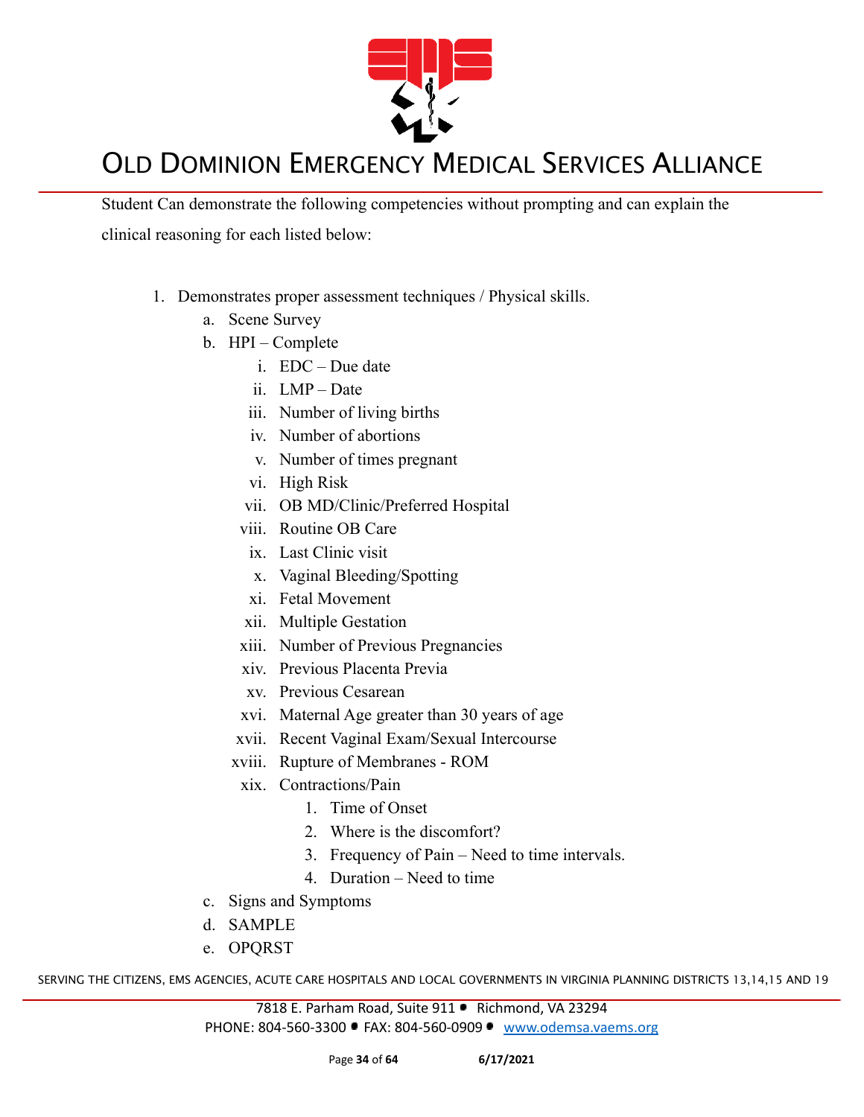

Student Can demonstrate the following competencies without prompting and can explain the clinical reasoning for each listed below:

- 1. Demonstrates proper assessment techniques / Physical skills.
	- a. Scene Survey
	- b. HPI Complete
		- i. EDC Due date
		- ii. LMP Date
		- iii. Number of living births
		- iv. Number of abortions
		- v. Number of times pregnant
		- vi. High Risk
		- vii. OB MD/Clinic/Preferred Hospital
		- viii. Routine OB Care
			- ix. Last Clinic visit
			- x. Vaginal Bleeding/Spotting
		- xi. Fetal Movement
		- xii. Multiple Gestation
		- xiii. Number of Previous Pregnancies
		- xiv. Previous Placenta Previa
		- xv. Previous Cesarean
		- xvi. Maternal Age greater than 30 years of age
		- xvii. Recent Vaginal Exam/Sexual Intercourse
		- xviii. Rupture of Membranes ROM
			- xix. Contractions/Pain
				- 1. Time of Onset
				- 2. Where is the discomfort?
				- 3. Frequency of Pain Need to time intervals.
				- 4. Duration Need to time
	- c. Signs and Symptoms
	- d. SAMPLE
	- e. OPQRST

SERVING THE CITIZENS, EMS AGENCIES, ACUTE CARE HOSPITALS AND LOCAL GOVERNMENTS IN VIRGINIA PLANNING DISTRICTS 13,14,15 AND 19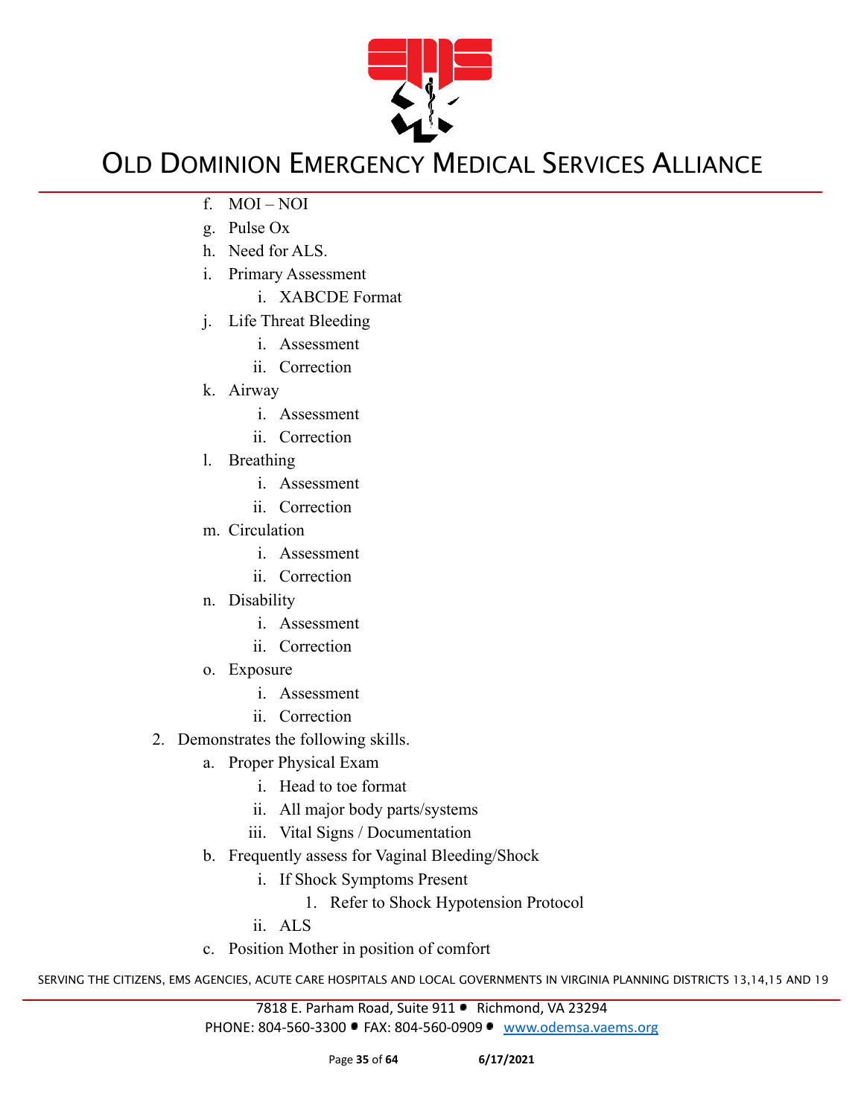

- f. MOI NOI
- g. Pulse Ox
- h. Need for ALS.
- i. Primary Assessment
	- i. XABCDE Format
- j. Life Threat Bleeding
	- i. Assessment
	- ii. Correction
- k. Airway
	- i. Assessment
	- ii. Correction
- l. Breathing
	- i. Assessment
	- ii. Correction
- m. Circulation
	- i. Assessment
	- ii. Correction
- n. Disability
	- i. Assessment
	- ii. Correction
- o. Exposure
	- i. Assessment
	- ii. Correction
- 2. Demonstrates the following skills.
	- a. Proper Physical Exam
		- i. Head to toe format
		- ii. All major body parts/systems
		- iii. Vital Signs / Documentation
	- b. Frequently assess for Vaginal Bleeding/Shock
		- i. If Shock Symptoms Present
			- 1. Refer to Shock Hypotension Protocol

ii. ALS

c. Position Mother in position of comfort

SERVING THE CITIZENS, EMS AGENCIES, ACUTE CARE HOSPITALS AND LOCAL GOVERNMENTS IN VIRGINIA PLANNING DISTRICTS 13,14,15 AND 19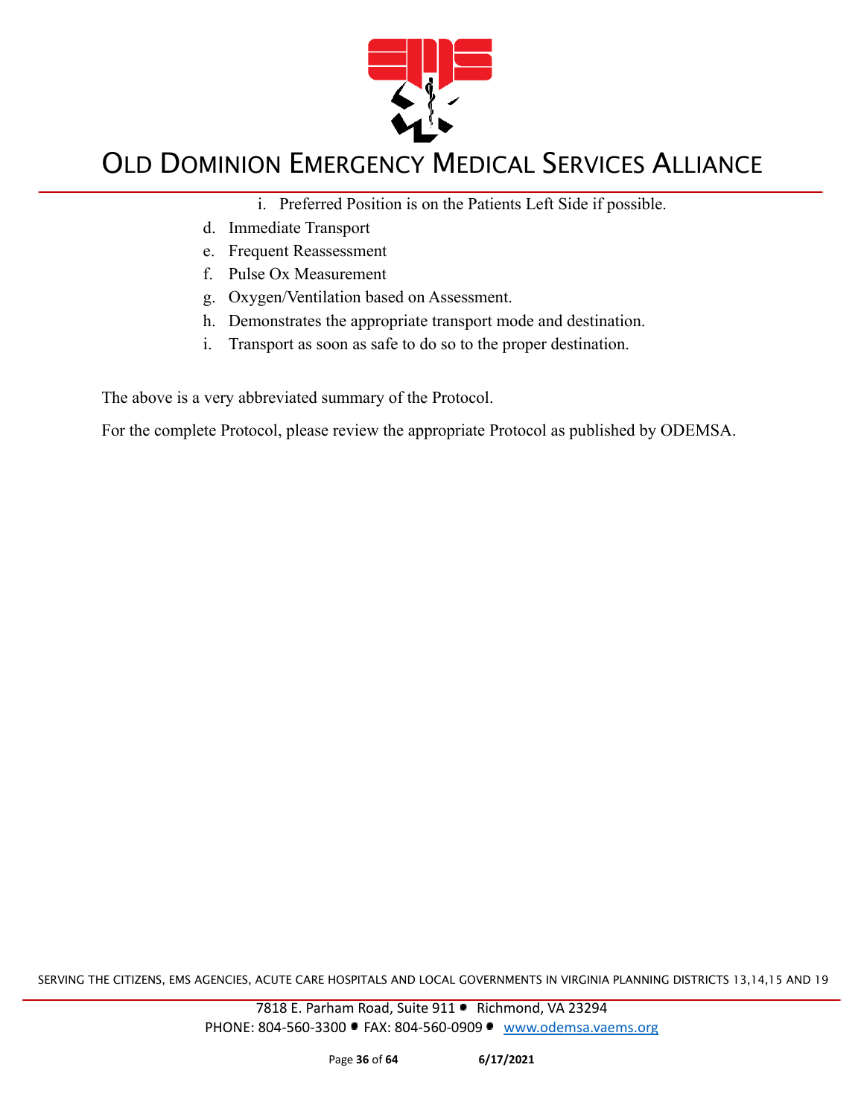

- i. Preferred Position is on the Patients Left Side if possible.
- d. Immediate Transport
- e. Frequent Reassessment
- f. Pulse Ox Measurement
- g. Oxygen/Ventilation based on Assessment.
- h. Demonstrates the appropriate transport mode and destination.
- i. Transport as soon as safe to do so to the proper destination.

The above is a very abbreviated summary of the Protocol.

For the complete Protocol, please review the appropriate Protocol as published by ODEMSA.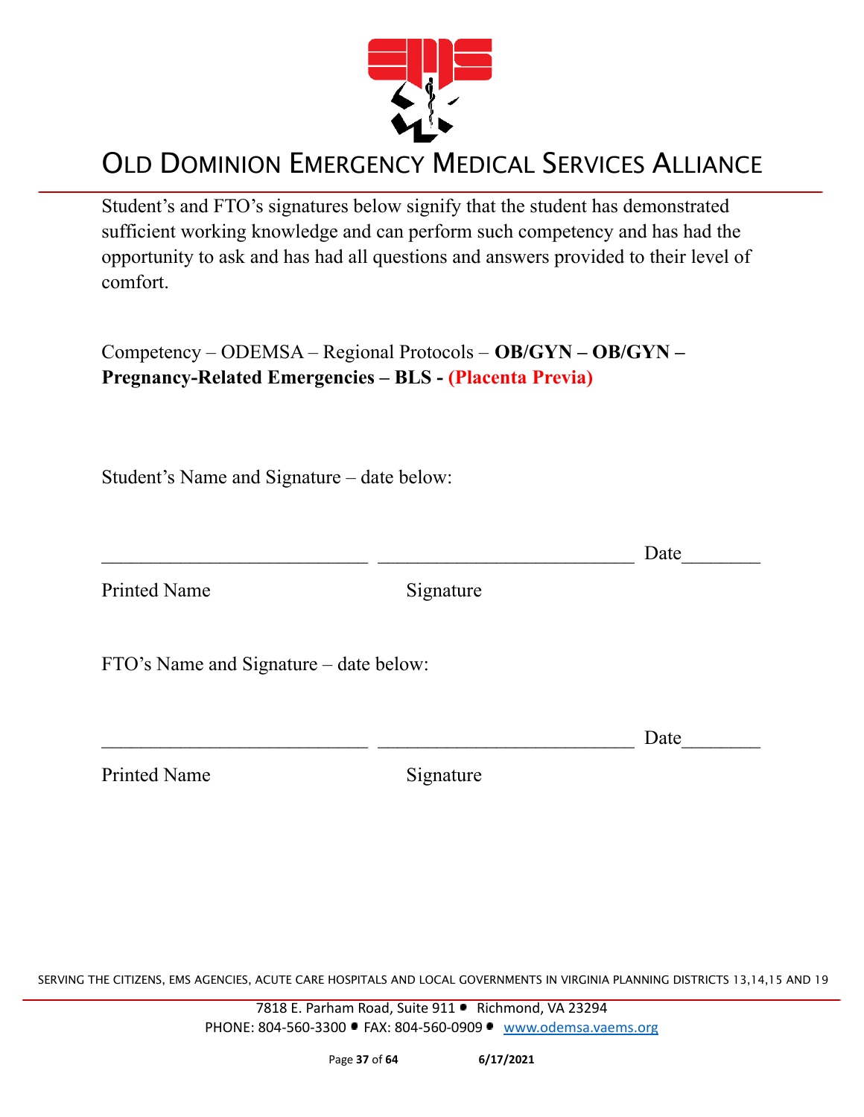

Student's and FTO's signatures below signify that the student has demonstrated sufficient working knowledge and can perform such competency and has had the opportunity to ask and has had all questions and answers provided to their level of comfort.

Competency – ODEMSA – Regional Protocols – **OB/GYN – OB/GYN – Pregnancy-Related Emergencies – BLS - (Placenta Previa)**

Student's Name and Signature – date below:

 $\Box$  Date Printed Name Signature FTO's Name and Signature – date below:  $\Box$  Date

Printed Name Signature

SERVING THE CITIZENS, EMS AGENCIES, ACUTE CARE HOSPITALS AND LOCAL GOVERNMENTS IN VIRGINIA PLANNING DISTRICTS 13,14,15 AND 19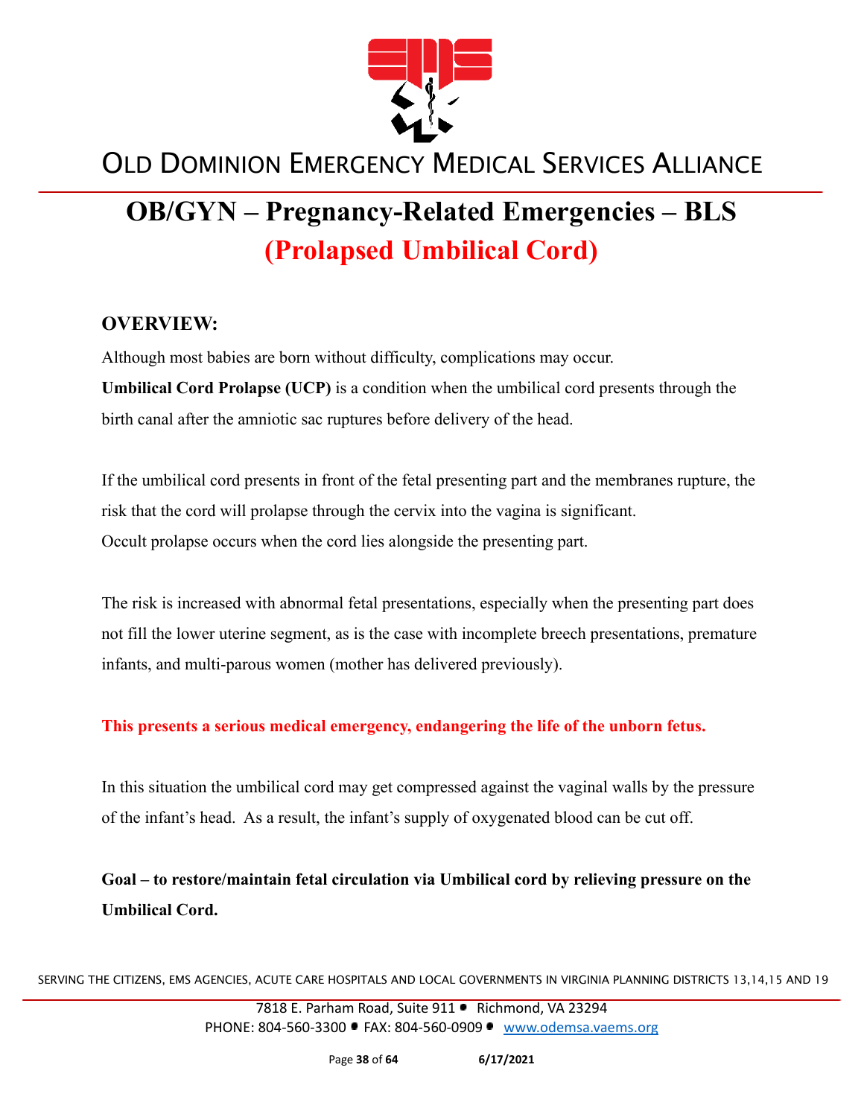

# **OB/GYN – Pregnancy-Related Emergencies – BLS (Prolapsed Umbilical Cord)**

#### **OVERVIEW:**

Although most babies are born without difficulty, complications may occur. **Umbilical Cord Prolapse (UCP)** is a condition when the umbilical cord presents through the birth canal after the amniotic sac ruptures before delivery of the head.

If the umbilical cord presents in front of the fetal presenting part and the membranes rupture, the risk that the cord will prolapse through the cervix into the vagina is significant. Occult prolapse occurs when the cord lies alongside the presenting part.

The risk is increased with abnormal fetal presentations, especially when the presenting part does not fill the lower uterine segment, as is the case with incomplete breech presentations, premature infants, and multi-parous women (mother has delivered previously).

**This presents a serious medical emergency, endangering the life of the unborn fetus.**

In this situation the umbilical cord may get compressed against the vaginal walls by the pressure of the infant's head. As a result, the infant's supply of oxygenated blood can be cut off.

**Goal – to restore/maintain fetal circulation via Umbilical cord by relieving pressure on the Umbilical Cord.**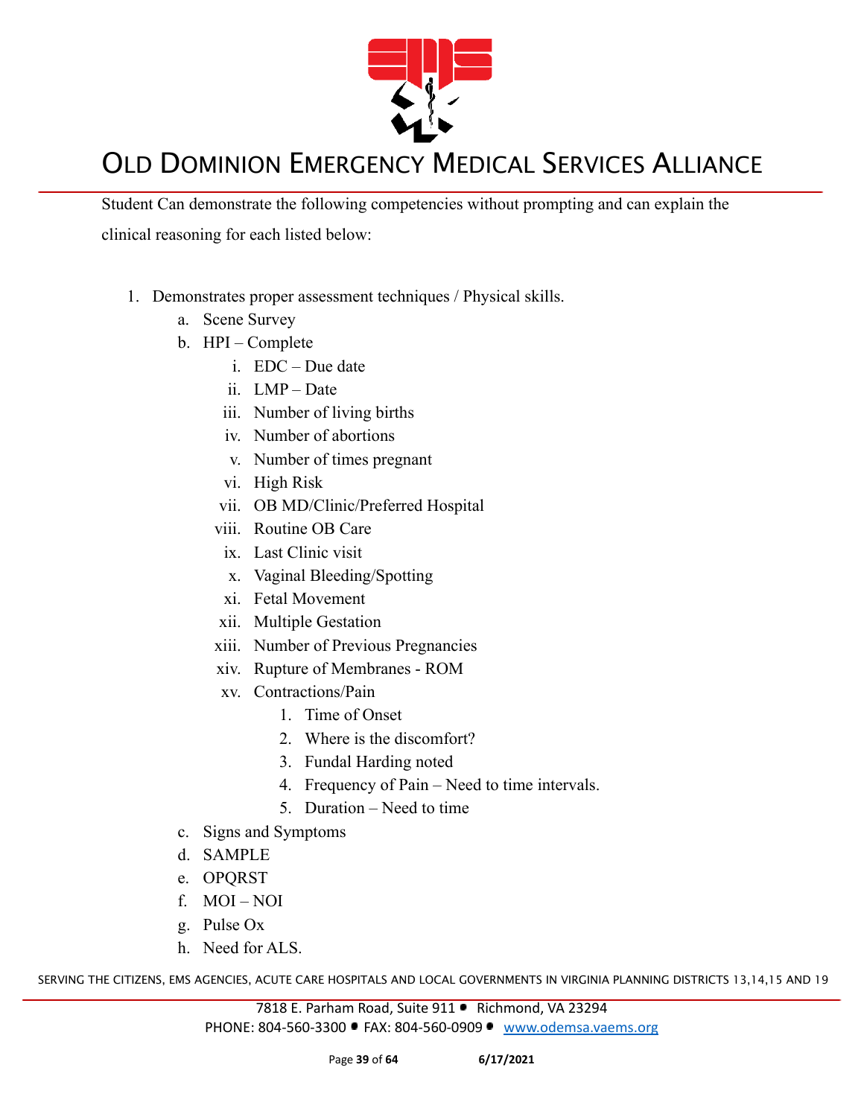

Student Can demonstrate the following competencies without prompting and can explain the clinical reasoning for each listed below:

- 1. Demonstrates proper assessment techniques / Physical skills.
	- a. Scene Survey
	- b. HPI Complete
		- i. EDC Due date
		- ii. LMP Date
		- iii. Number of living births
		- iv. Number of abortions
		- v. Number of times pregnant
		- vi. High Risk
		- vii. OB MD/Clinic/Preferred Hospital
		- viii. Routine OB Care
		- ix. Last Clinic visit
		- x. Vaginal Bleeding/Spotting
		- xi. Fetal Movement
		- xii. Multiple Gestation
		- xiii. Number of Previous Pregnancies
		- xiv. Rupture of Membranes ROM
		- xv. Contractions/Pain
			- 1. Time of Onset
			- 2. Where is the discomfort?
			- 3. Fundal Harding noted
			- 4. Frequency of Pain Need to time intervals.
			- 5. Duration Need to time
	- c. Signs and Symptoms
	- d. SAMPLE
	- e. OPQRST
	- f. MOI NOI
	- g. Pulse Ox
	- h. Need for ALS.

SERVING THE CITIZENS, EMS AGENCIES, ACUTE CARE HOSPITALS AND LOCAL GOVERNMENTS IN VIRGINIA PLANNING DISTRICTS 13,14,15 AND 19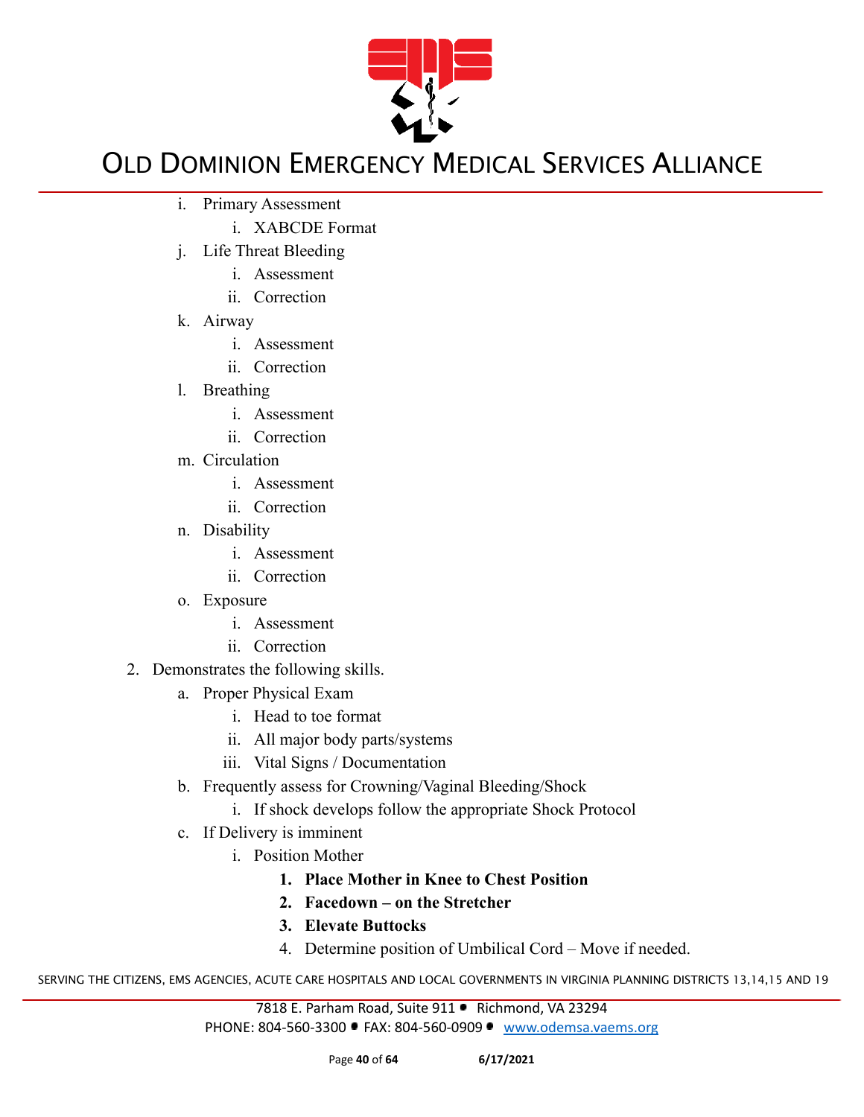

- i. Primary Assessment
	- i. XABCDE Format
- j. Life Threat Bleeding
	- i. Assessment
	- ii. Correction
- k. Airway
	- i. Assessment
	- ii. Correction
- l. Breathing
	- i. Assessment
	- ii. Correction
- m. Circulation
	- i. Assessment
	- ii. Correction
- n. Disability
	- i. Assessment
	- ii. Correction
- o. Exposure
	- i. Assessment
	- ii. Correction
- 2. Demonstrates the following skills.
	- a. Proper Physical Exam
		- i. Head to toe format
		- ii. All major body parts/systems
		- iii. Vital Signs / Documentation
	- b. Frequently assess for Crowning/Vaginal Bleeding/Shock
		- i. If shock develops follow the appropriate Shock Protocol
	- c. If Delivery is imminent
		- i. Position Mother
			- **1. Place Mother in Knee to Chest Position**
			- **2. Facedown on the Stretcher**
			- **3. Elevate Buttocks**
			- 4. Determine position of Umbilical Cord Move if needed.

SERVING THE CITIZENS, EMS AGENCIES, ACUTE CARE HOSPITALS AND LOCAL GOVERNMENTS IN VIRGINIA PLANNING DISTRICTS 13,14,15 AND 19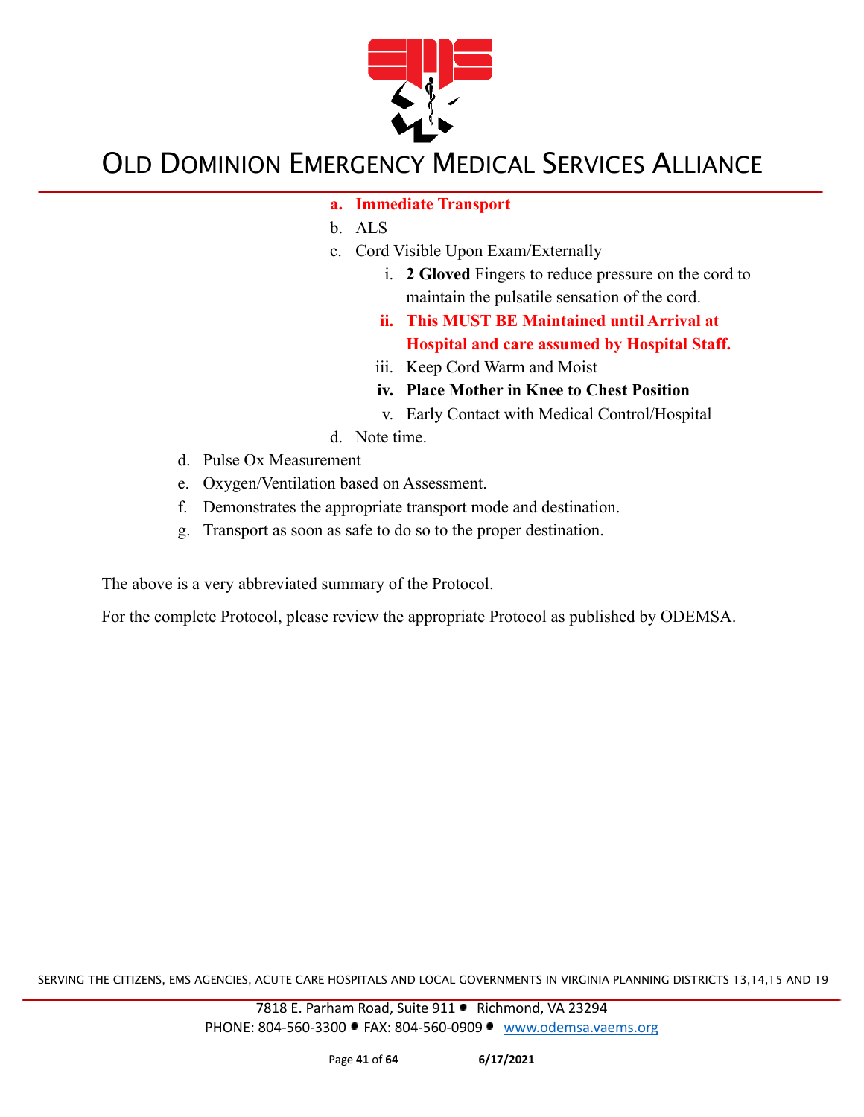

- **a. Immediate Transport**
- b. ALS
- c. Cord Visible Upon Exam/Externally
	- i. **2 Gloved** Fingers to reduce pressure on the cord to maintain the pulsatile sensation of the cord.
	- **ii. This MUST BE Maintained until Arrival at Hospital and care assumed by Hospital Staff.**
	- iii. Keep Cord Warm and Moist
	- **iv. Place Mother in Knee to Chest Position**
	- v. Early Contact with Medical Control/Hospital
- d. Note time.
- d. Pulse Ox Measurement
- e. Oxygen/Ventilation based on Assessment.
- f. Demonstrates the appropriate transport mode and destination.
- g. Transport as soon as safe to do so to the proper destination.

The above is a very abbreviated summary of the Protocol.

For the complete Protocol, please review the appropriate Protocol as published by ODEMSA.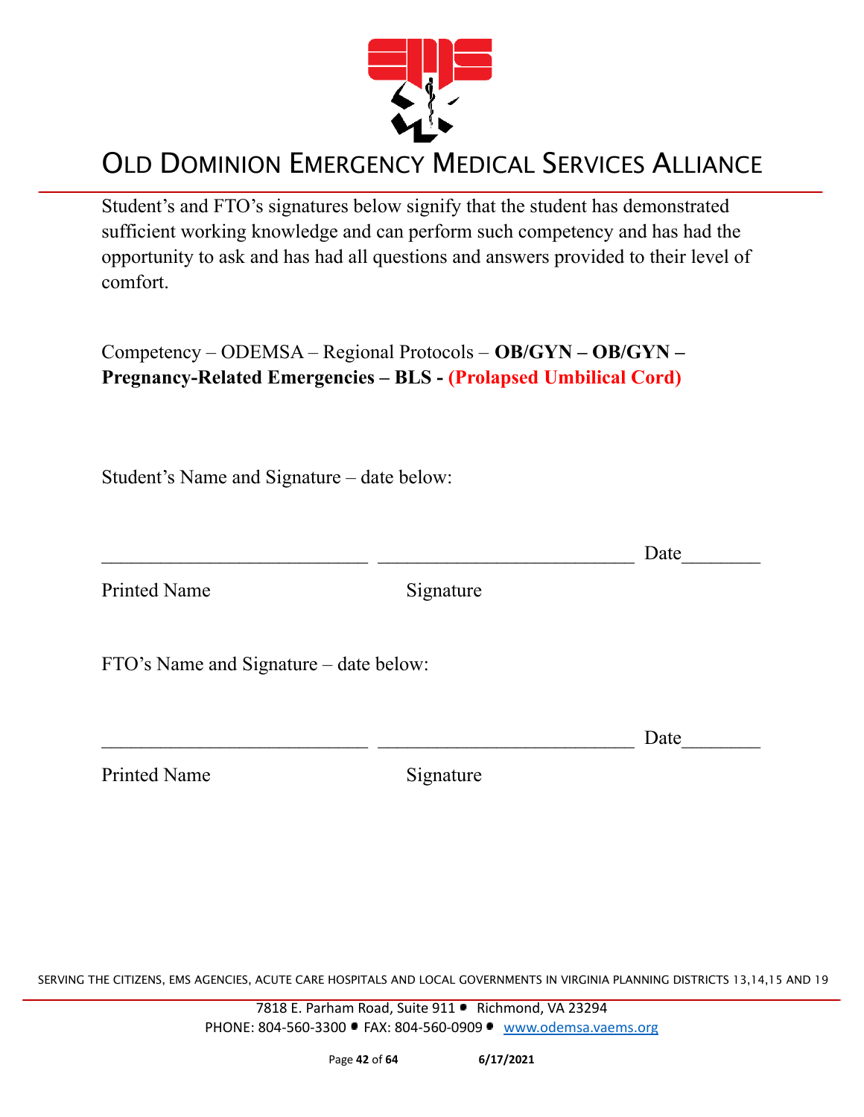

Student's and FTO's signatures below signify that the student has demonstrated sufficient working knowledge and can perform such competency and has had the opportunity to ask and has had all questions and answers provided to their level of comfort.

Competency – ODEMSA – Regional Protocols – **OB/GYN – OB/GYN – Pregnancy-Related Emergencies – BLS - (Prolapsed Umbilical Cord)**

Student's Name and Signature – date below:

|                                        |           | Date |
|----------------------------------------|-----------|------|
| <b>Printed Name</b>                    | Signature |      |
| FTO's Name and Signature – date below: |           |      |
|                                        |           | Date |
| <b>Printed Name</b>                    | Signature |      |

SERVING THE CITIZENS, EMS AGENCIES, ACUTE CARE HOSPITALS AND LOCAL GOVERNMENTS IN VIRGINIA PLANNING DISTRICTS 13,14,15 AND 19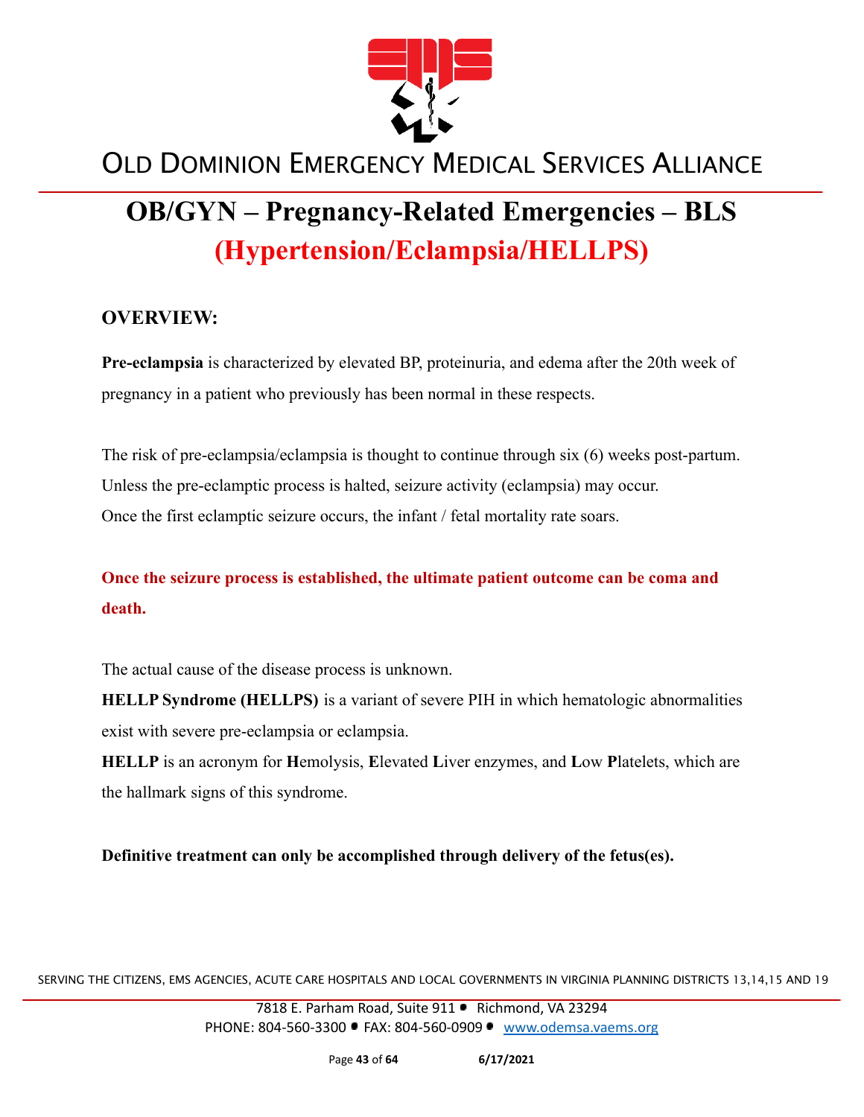

# **OB/GYN – Pregnancy-Related Emergencies – BLS (Hypertension/Eclampsia/HELLPS)**

#### **OVERVIEW:**

**Pre-eclampsia** is characterized by elevated BP, proteinuria, and edema after the 20th week of pregnancy in a patient who previously has been normal in these respects.

The risk of pre-eclampsia/eclampsia is thought to continue through six (6) weeks post-partum. Unless the pre-eclamptic process is halted, seizure activity (eclampsia) may occur. Once the first eclamptic seizure occurs, the infant / fetal mortality rate soars.

#### **Once the seizure process is established, the ultimate patient outcome can be coma and death.**

The actual cause of the disease process is unknown.

**HELLP Syndrome (HELLPS)** is a variant of severe PIH in which hematologic abnormalities exist with severe pre-eclampsia or eclampsia.

**HELLP** is an acronym for **H**emolysis, **E**levated **L**iver enzymes, and **L**ow **P**latelets, which are the hallmark signs of this syndrome.

**Definitive treatment can only be accomplished through delivery of the fetus(es).**

SERVING THE CITIZENS, EMS AGENCIES, ACUTE CARE HOSPITALS AND LOCAL GOVERNMENTS IN VIRGINIA PLANNING DISTRICTS 13,14,15 AND 19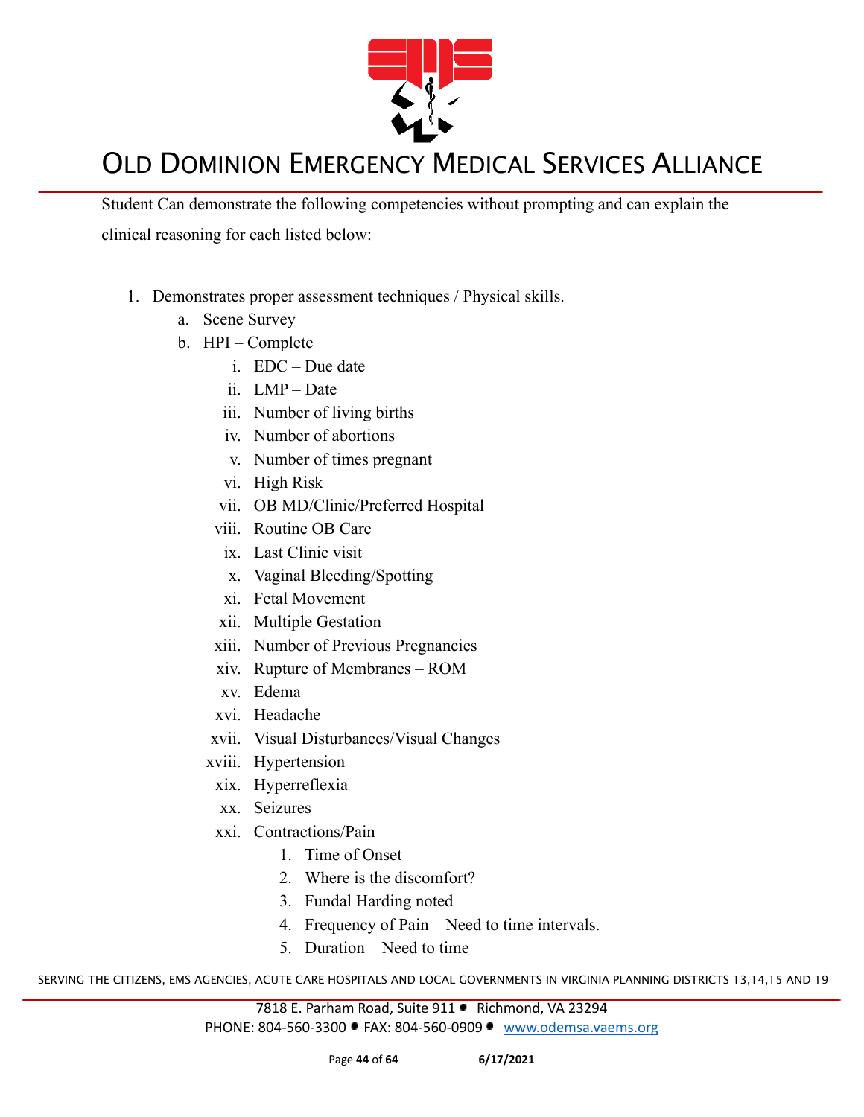

Student Can demonstrate the following competencies without prompting and can explain the clinical reasoning for each listed below:

- 1. Demonstrates proper assessment techniques / Physical skills.
	- a. Scene Survey
	- b. HPI Complete
		- i. EDC Due date
		- ii. LMP Date
		- iii. Number of living births
		- iv. Number of abortions
		- v. Number of times pregnant
		- vi. High Risk
		- vii. OB MD/Clinic/Preferred Hospital
		- viii. Routine OB Care
		- ix. Last Clinic visit
		- x. Vaginal Bleeding/Spotting
		- xi. Fetal Movement
		- xii. Multiple Gestation
		- xiii. Number of Previous Pregnancies
		- xiv. Rupture of Membranes ROM
		- xv. Edema
		- xvi. Headache
		- xvii. Visual Disturbances/Visual Changes
		- xviii. Hypertension
		- xix. Hyperreflexia
		- xx. Seizures
		- xxi. Contractions/Pain
			- 1. Time of Onset
			- 2. Where is the discomfort?
			- 3. Fundal Harding noted
			- 4. Frequency of Pain Need to time intervals.
			- 5. Duration Need to time

SERVING THE CITIZENS, EMS AGENCIES, ACUTE CARE HOSPITALS AND LOCAL GOVERNMENTS IN VIRGINIA PLANNING DISTRICTS 13,14,15 AND 19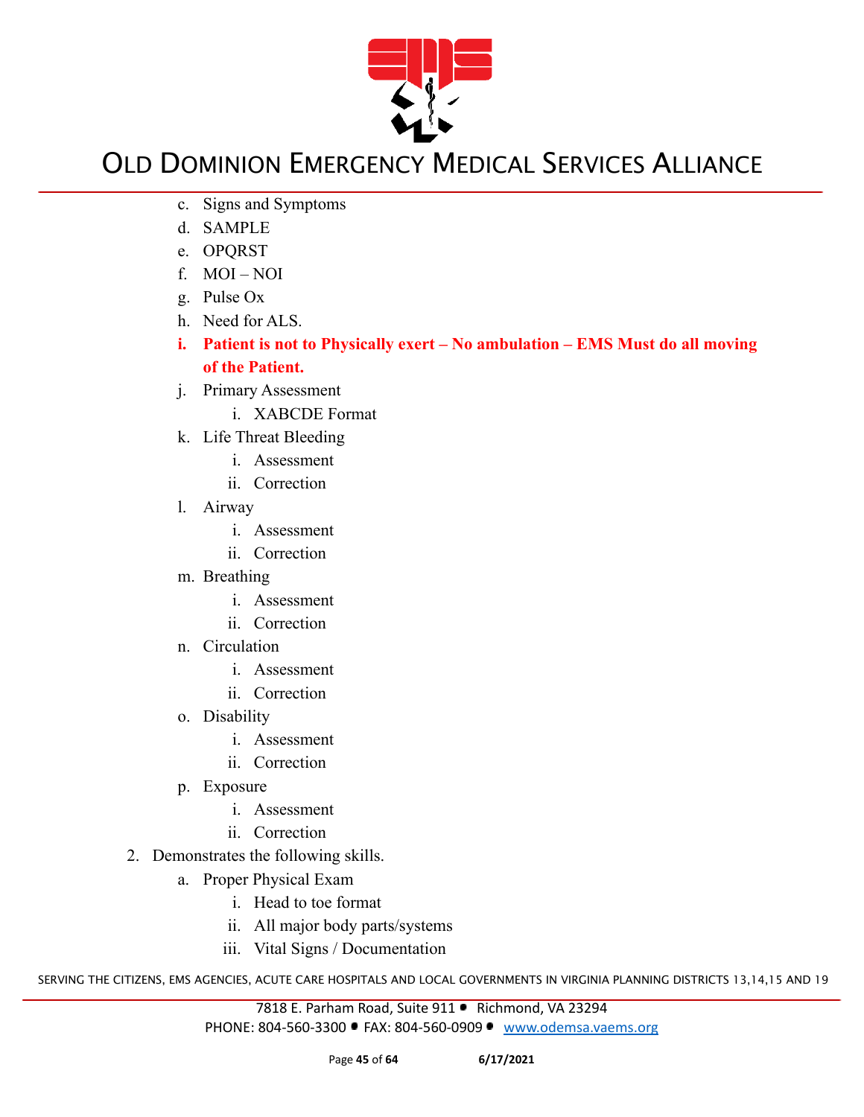

- c. Signs and Symptoms
- d. SAMPLE
- e. OPQRST
- f. MOI NOI
- g. Pulse Ox
- h. Need for ALS.
- **i. Patient is not to Physically exert No ambulation EMS Must do all moving of the Patient.**
- j. Primary Assessment
	- i. XABCDE Format
- k. Life Threat Bleeding
	- i. Assessment
	- ii. Correction
- l. Airway
	- i. Assessment
	- ii. Correction
- m. Breathing
	- i. Assessment
	- ii. Correction
- n. Circulation
	- i. Assessment
	- ii. Correction
- o. Disability
	- i. Assessment
	- ii. Correction
- p. Exposure
	- i. Assessment
	- ii. Correction
- 2. Demonstrates the following skills.
	- a. Proper Physical Exam
		- i. Head to toe format
		- ii. All major body parts/systems
		- iii. Vital Signs / Documentation

SERVING THE CITIZENS, EMS AGENCIES, ACUTE CARE HOSPITALS AND LOCAL GOVERNMENTS IN VIRGINIA PLANNING DISTRICTS 13,14,15 AND 19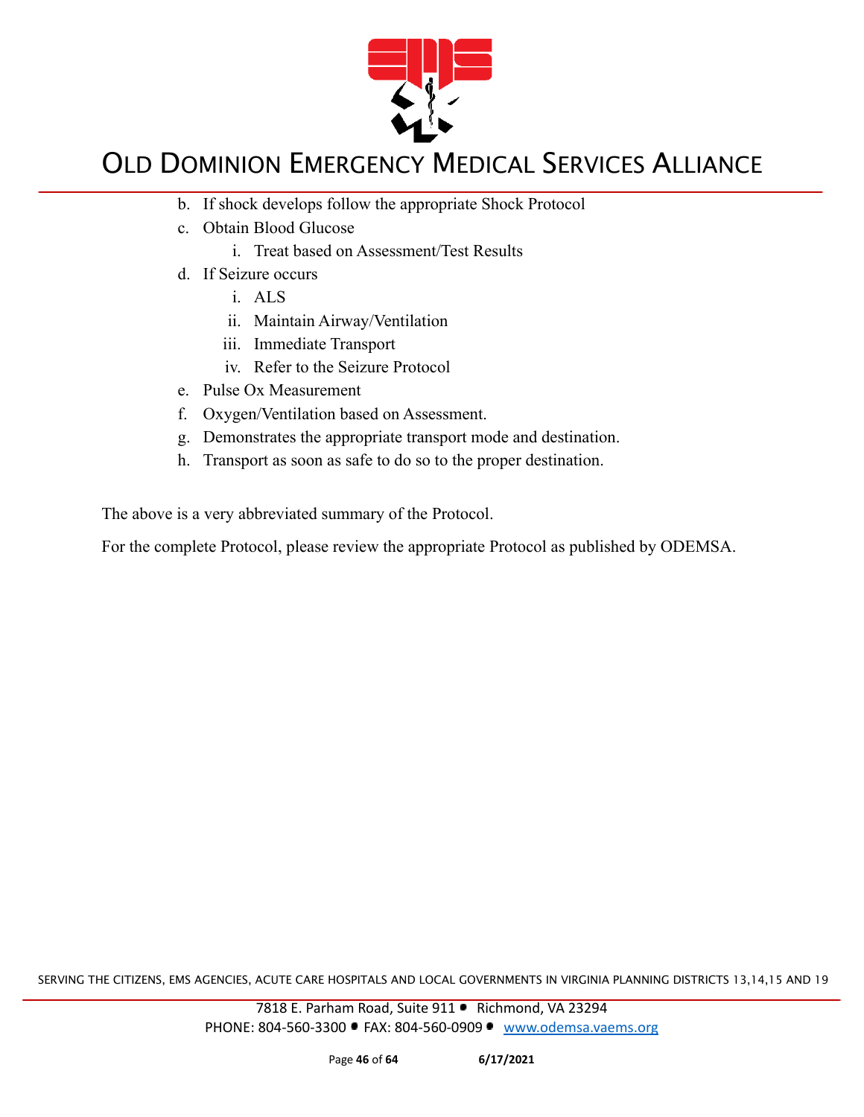

- b. If shock develops follow the appropriate Shock Protocol
- c. Obtain Blood Glucose
	- i. Treat based on Assessment/Test Results
- d. If Seizure occurs
	- i. ALS
	- ii. Maintain Airway/Ventilation
	- iii. Immediate Transport
	- iv. Refer to the Seizure Protocol
- e. Pulse Ox Measurement
- f. Oxygen/Ventilation based on Assessment.
- g. Demonstrates the appropriate transport mode and destination.
- h. Transport as soon as safe to do so to the proper destination.

The above is a very abbreviated summary of the Protocol.

For the complete Protocol, please review the appropriate Protocol as published by ODEMSA.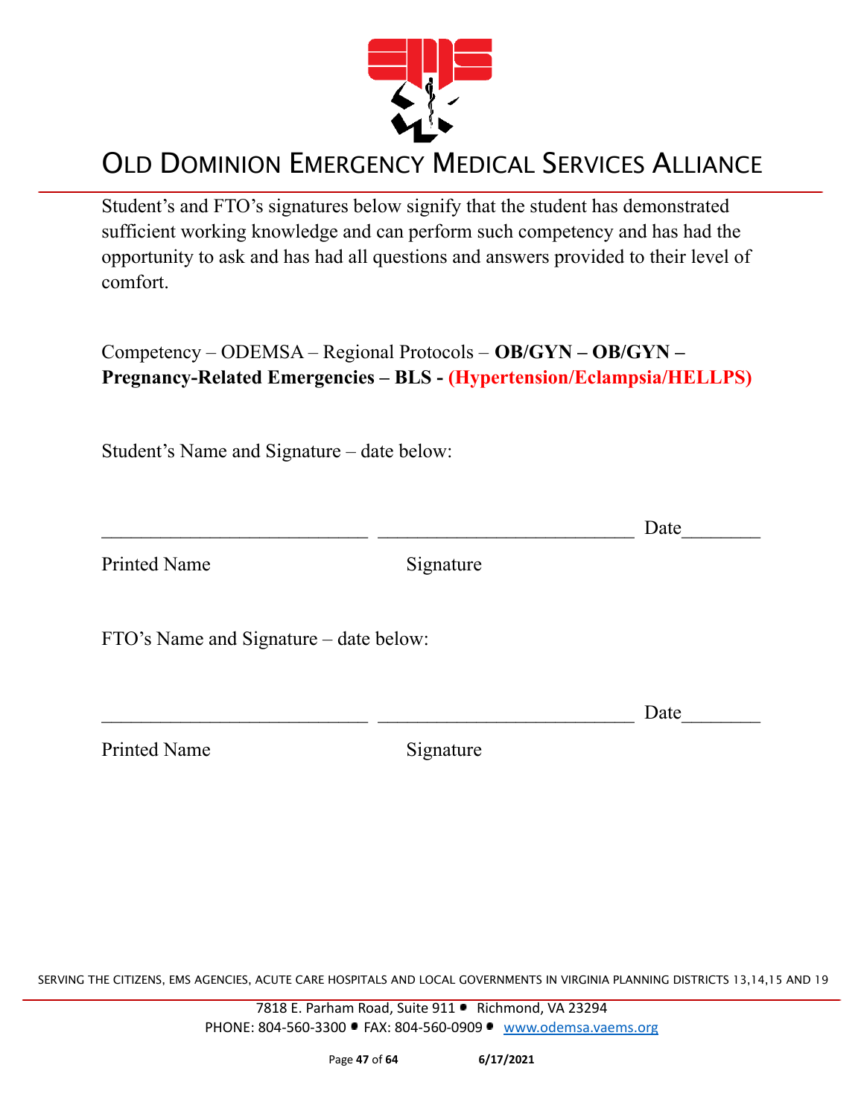

Student's and FTO's signatures below signify that the student has demonstrated sufficient working knowledge and can perform such competency and has had the opportunity to ask and has had all questions and answers provided to their level of comfort.

Competency – ODEMSA – Regional Protocols – **OB/GYN – OB/GYN – Pregnancy-Related Emergencies – BLS - (Hypertension/Eclampsia/HELLPS)**

Student's Name and Signature – date below:

|                                        |           | Date |
|----------------------------------------|-----------|------|
| <b>Printed Name</b>                    | Signature |      |
| FTO's Name and Signature – date below: |           |      |
|                                        |           | Date |
| <b>Printed Name</b>                    | Signature |      |
|                                        |           |      |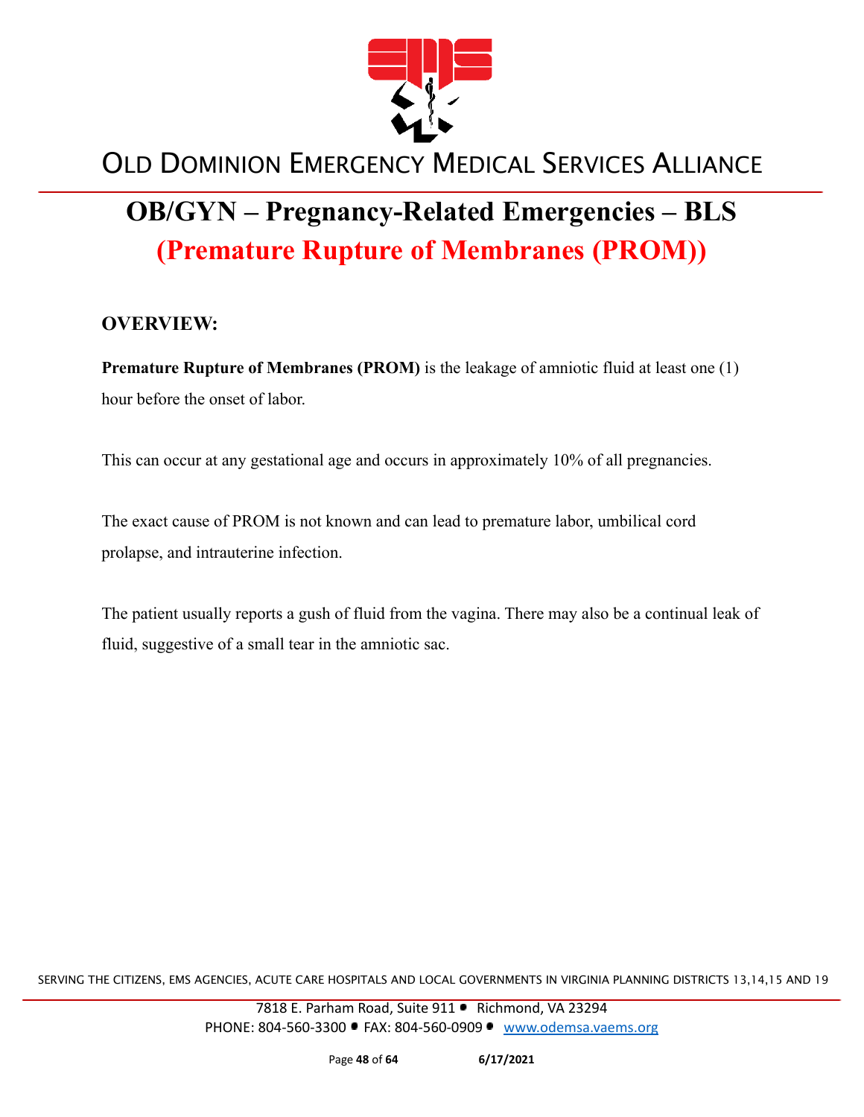

# **OB/GYN – Pregnancy-Related Emergencies – BLS (Premature Rupture of Membranes (PROM))**

#### **OVERVIEW:**

**Premature Rupture of Membranes (PROM)** is the leakage of amniotic fluid at least one (1) hour before the onset of labor.

This can occur at any gestational age and occurs in approximately 10% of all pregnancies.

The exact cause of PROM is not known and can lead to premature labor, umbilical cord prolapse, and intrauterine infection.

The patient usually reports a gush of fluid from the vagina. There may also be a continual leak of fluid, suggestive of a small tear in the amniotic sac.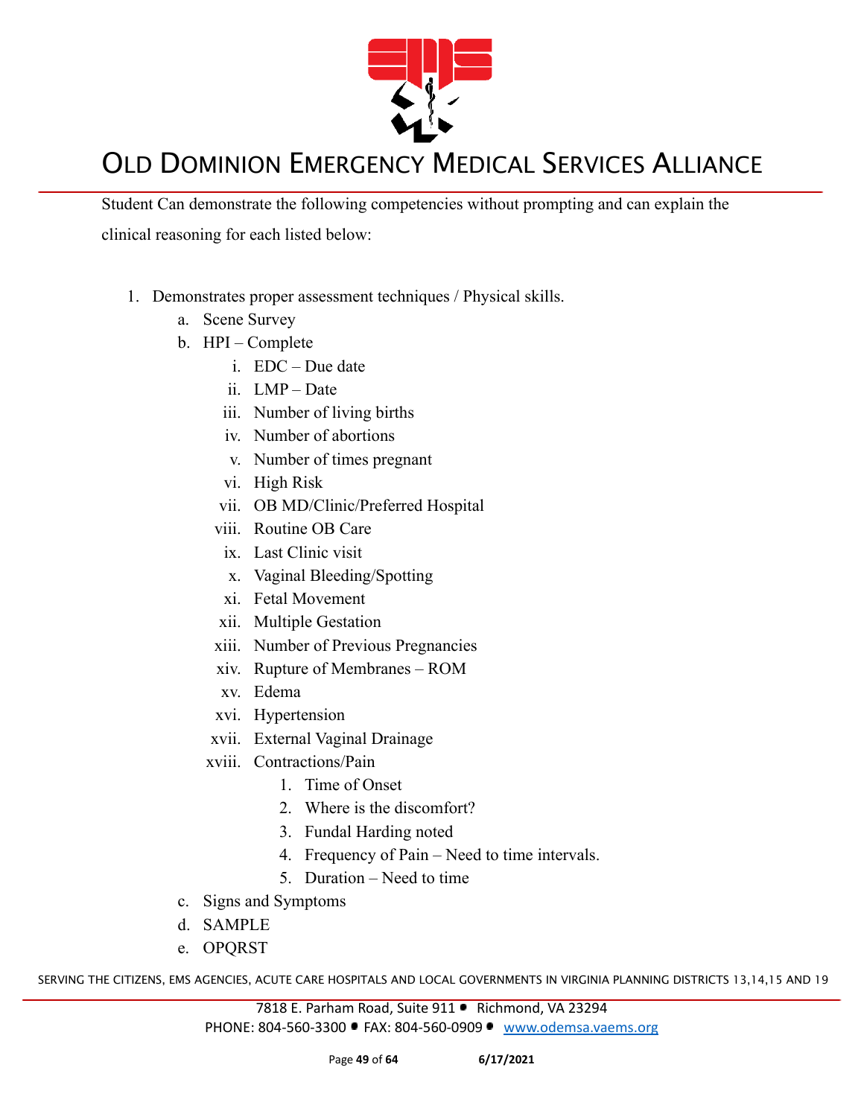

Student Can demonstrate the following competencies without prompting and can explain the clinical reasoning for each listed below:

- 1. Demonstrates proper assessment techniques / Physical skills.
	- a. Scene Survey
	- b. HPI Complete
		- i. EDC Due date
		- ii. LMP Date
		- iii. Number of living births
		- iv. Number of abortions
		- v. Number of times pregnant
		- vi. High Risk
		- vii. OB MD/Clinic/Preferred Hospital
		- viii. Routine OB Care
		- ix. Last Clinic visit
		- x. Vaginal Bleeding/Spotting
		- xi. Fetal Movement
		- xii. Multiple Gestation
		- xiii. Number of Previous Pregnancies
		- xiv. Rupture of Membranes ROM
		- xv. Edema
		- xvi. Hypertension
		- xvii. External Vaginal Drainage
		- xviii. Contractions/Pain
			- 1. Time of Onset
			- 2. Where is the discomfort?
			- 3. Fundal Harding noted
			- 4. Frequency of Pain Need to time intervals.
			- 5. Duration Need to time
	- c. Signs and Symptoms
	- d. SAMPLE
	- e. OPQRST

SERVING THE CITIZENS, EMS AGENCIES, ACUTE CARE HOSPITALS AND LOCAL GOVERNMENTS IN VIRGINIA PLANNING DISTRICTS 13,14,15 AND 19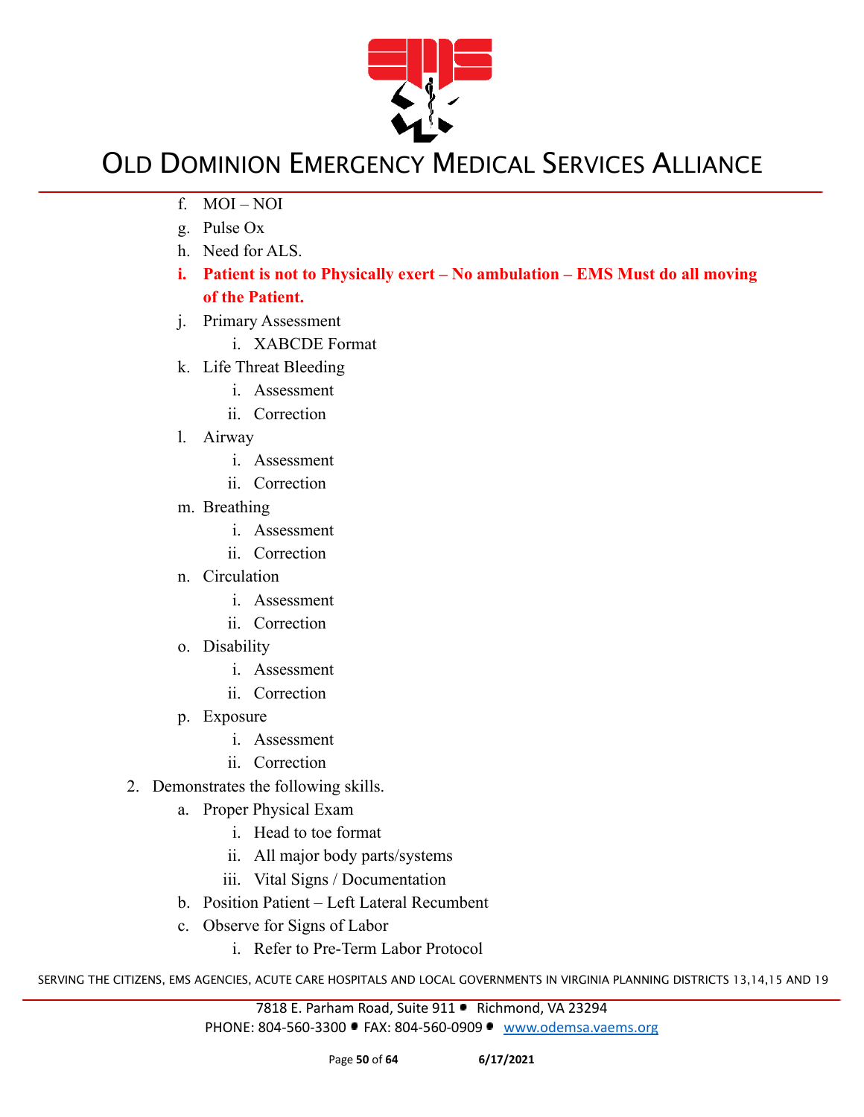

- f. MOI NOI
- g. Pulse Ox
- h. Need for ALS.
- **i. Patient is not to Physically exert No ambulation EMS Must do all moving of the Patient.**
- j. Primary Assessment
	- i. XABCDE Format
- k. Life Threat Bleeding
	- i. Assessment
	- ii. Correction
- l. Airway
	- i. Assessment
	- ii. Correction
- m. Breathing
	- i. Assessment
	- ii. Correction
- n. Circulation
	- i. Assessment
	- ii. Correction
- o. Disability
	- i. Assessment
	- ii. Correction
- p. Exposure
	- i. Assessment
	- ii. Correction
- 2. Demonstrates the following skills.
	- a. Proper Physical Exam
		- i. Head to toe format
		- ii. All major body parts/systems
		- iii. Vital Signs / Documentation
	- b. Position Patient Left Lateral Recumbent
	- c. Observe for Signs of Labor
		- i. Refer to Pre-Term Labor Protocol

SERVING THE CITIZENS, EMS AGENCIES, ACUTE CARE HOSPITALS AND LOCAL GOVERNMENTS IN VIRGINIA PLANNING DISTRICTS 13,14,15 AND 19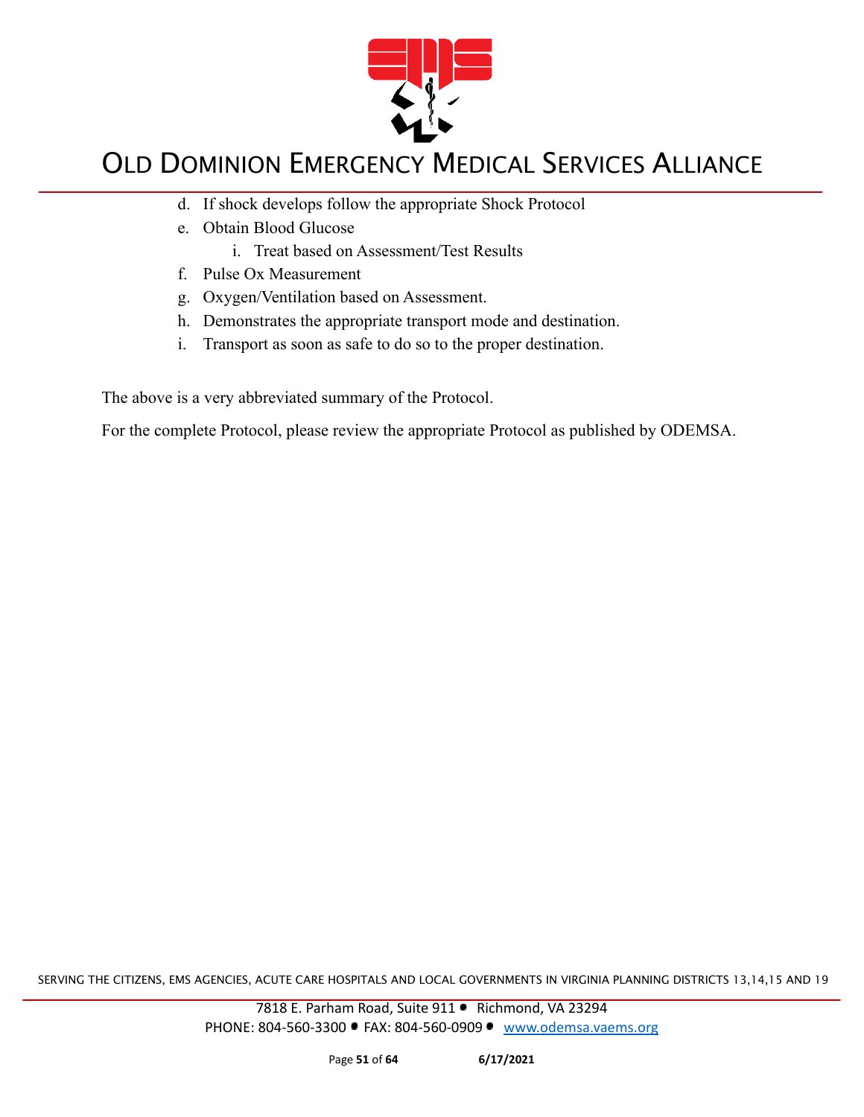

- d. If shock develops follow the appropriate Shock Protocol
- e. Obtain Blood Glucose
	- i. Treat based on Assessment/Test Results
- f. Pulse Ox Measurement
- g. Oxygen/Ventilation based on Assessment.
- h. Demonstrates the appropriate transport mode and destination.
- i. Transport as soon as safe to do so to the proper destination.

The above is a very abbreviated summary of the Protocol.

For the complete Protocol, please review the appropriate Protocol as published by ODEMSA.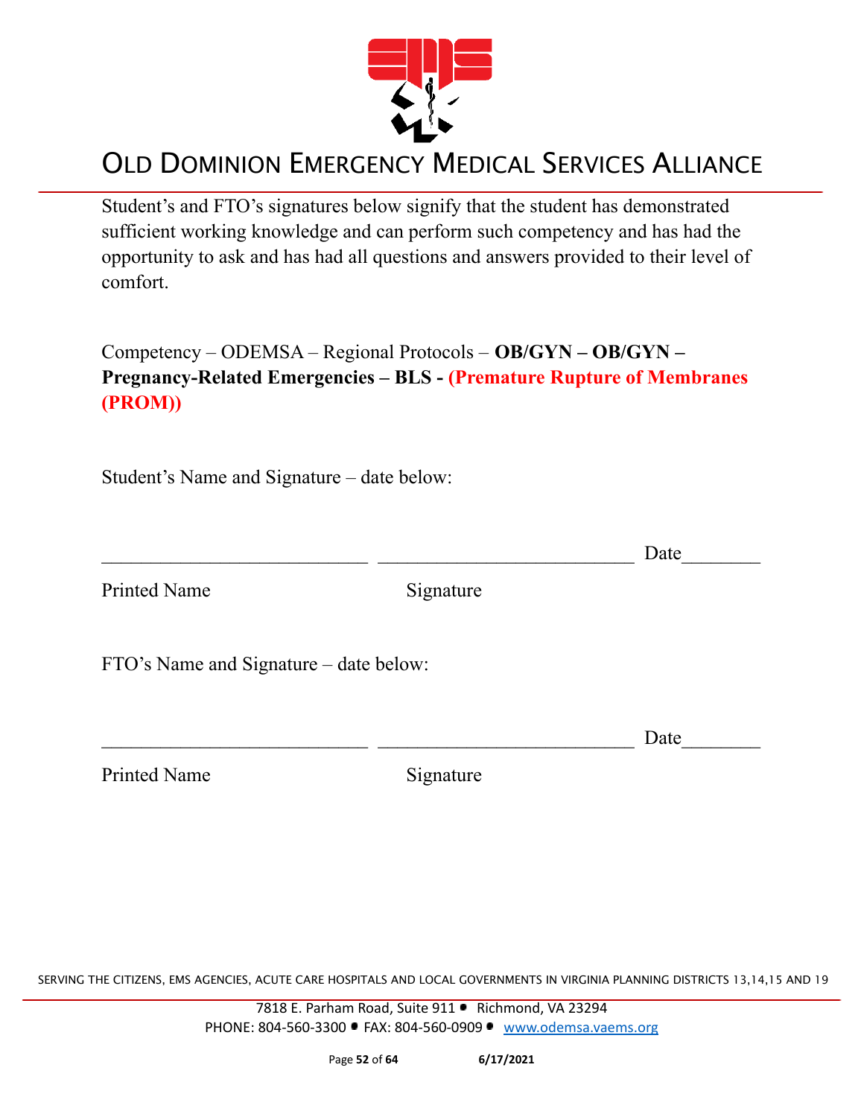

Student's and FTO's signatures below signify that the student has demonstrated sufficient working knowledge and can perform such competency and has had the opportunity to ask and has had all questions and answers provided to their level of comfort.

Competency – ODEMSA – Regional Protocols – **OB/GYN – OB/GYN – Pregnancy-Related Emergencies – BLS - (Premature Rupture of Membranes (PROM))**

Student's Name and Signature – date below:

Printed Name Signature

 $\Box$  Date Printed Name Signature FTO's Name and Signature – date below:  $\Box$  Date

SERVING THE CITIZENS, EMS AGENCIES, ACUTE CARE HOSPITALS AND LOCAL GOVERNMENTS IN VIRGINIA PLANNING DISTRICTS 13,14,15 AND 19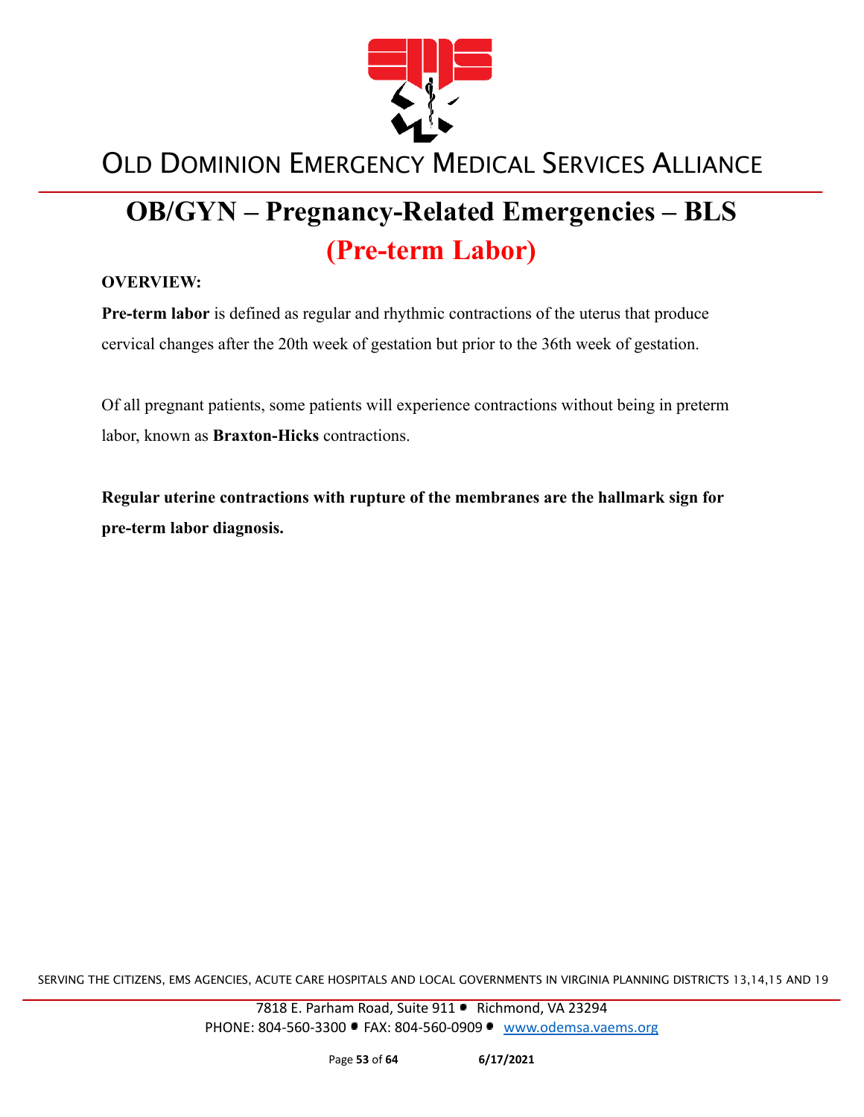

# **OB/GYN – Pregnancy-Related Emergencies – BLS (Pre-term Labor)**

#### **OVERVIEW:**

**Pre-term labor** is defined as regular and rhythmic contractions of the uterus that produce cervical changes after the 20th week of gestation but prior to the 36th week of gestation.

Of all pregnant patients, some patients will experience contractions without being in preterm labor, known as **Braxton-Hicks** contractions.

**Regular uterine contractions with rupture of the membranes are the hallmark sign for pre-term labor diagnosis.**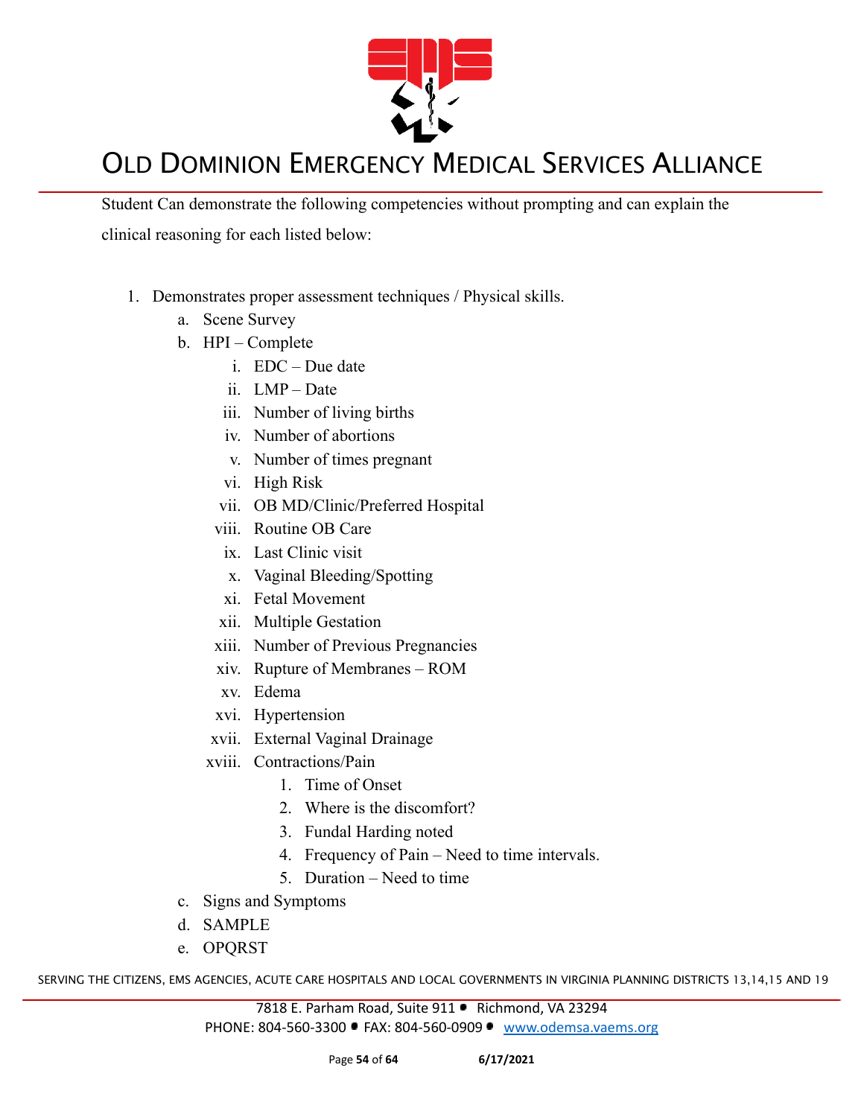

Student Can demonstrate the following competencies without prompting and can explain the clinical reasoning for each listed below:

- 1. Demonstrates proper assessment techniques / Physical skills.
	- a. Scene Survey
	- b. HPI Complete
		- i. EDC Due date
		- ii. LMP Date
		- iii. Number of living births
		- iv. Number of abortions
		- v. Number of times pregnant
		- vi. High Risk
		- vii. OB MD/Clinic/Preferred Hospital
		- viii. Routine OB Care
		- ix. Last Clinic visit
		- x. Vaginal Bleeding/Spotting
		- xi. Fetal Movement
		- xii. Multiple Gestation
		- xiii. Number of Previous Pregnancies
		- xiv. Rupture of Membranes ROM
		- xv. Edema
		- xvi. Hypertension
		- xvii. External Vaginal Drainage
		- xviii. Contractions/Pain
			- 1. Time of Onset
			- 2. Where is the discomfort?
			- 3. Fundal Harding noted
			- 4. Frequency of Pain Need to time intervals.
			- 5. Duration Need to time
	- c. Signs and Symptoms
	- d. SAMPLE
	- e. OPQRST

SERVING THE CITIZENS, EMS AGENCIES, ACUTE CARE HOSPITALS AND LOCAL GOVERNMENTS IN VIRGINIA PLANNING DISTRICTS 13,14,15 AND 19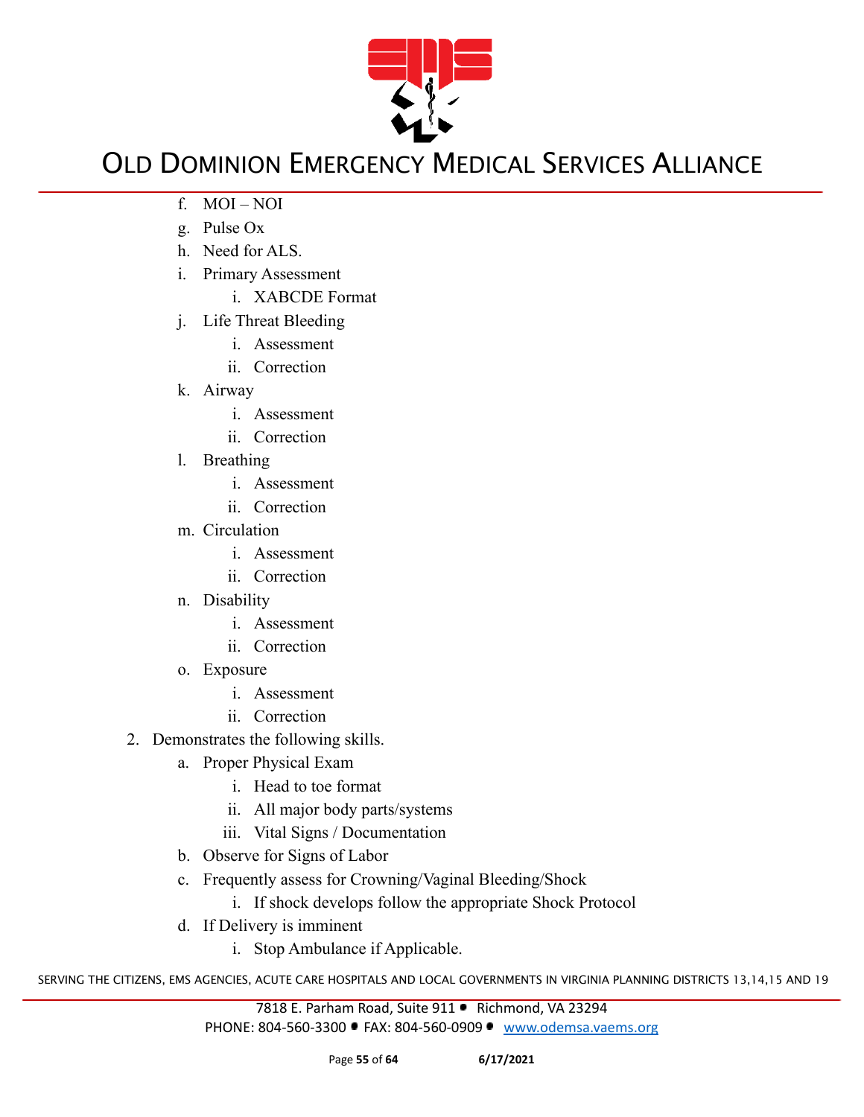

- f. MOI NOI
- g. Pulse Ox
- h. Need for ALS.
- i. Primary Assessment
	- i. XABCDE Format
- j. Life Threat Bleeding
	- i. Assessment
	- ii. Correction
- k. Airway
	- i. Assessment
	- ii. Correction
- l. Breathing
	- i. Assessment
	- ii. Correction
- m. Circulation
	- i. Assessment
	- ii. Correction
- n. Disability
	- i. Assessment
	- ii. Correction
- o. Exposure
	- i. Assessment
	- ii. Correction
- 2. Demonstrates the following skills.
	- a. Proper Physical Exam
		- i. Head to toe format
		- ii. All major body parts/systems
		- iii. Vital Signs / Documentation
	- b. Observe for Signs of Labor
	- c. Frequently assess for Crowning/Vaginal Bleeding/Shock
		- i. If shock develops follow the appropriate Shock Protocol
	- d. If Delivery is imminent
		- i. Stop Ambulance if Applicable.

SERVING THE CITIZENS, EMS AGENCIES, ACUTE CARE HOSPITALS AND LOCAL GOVERNMENTS IN VIRGINIA PLANNING DISTRICTS 13,14,15 AND 19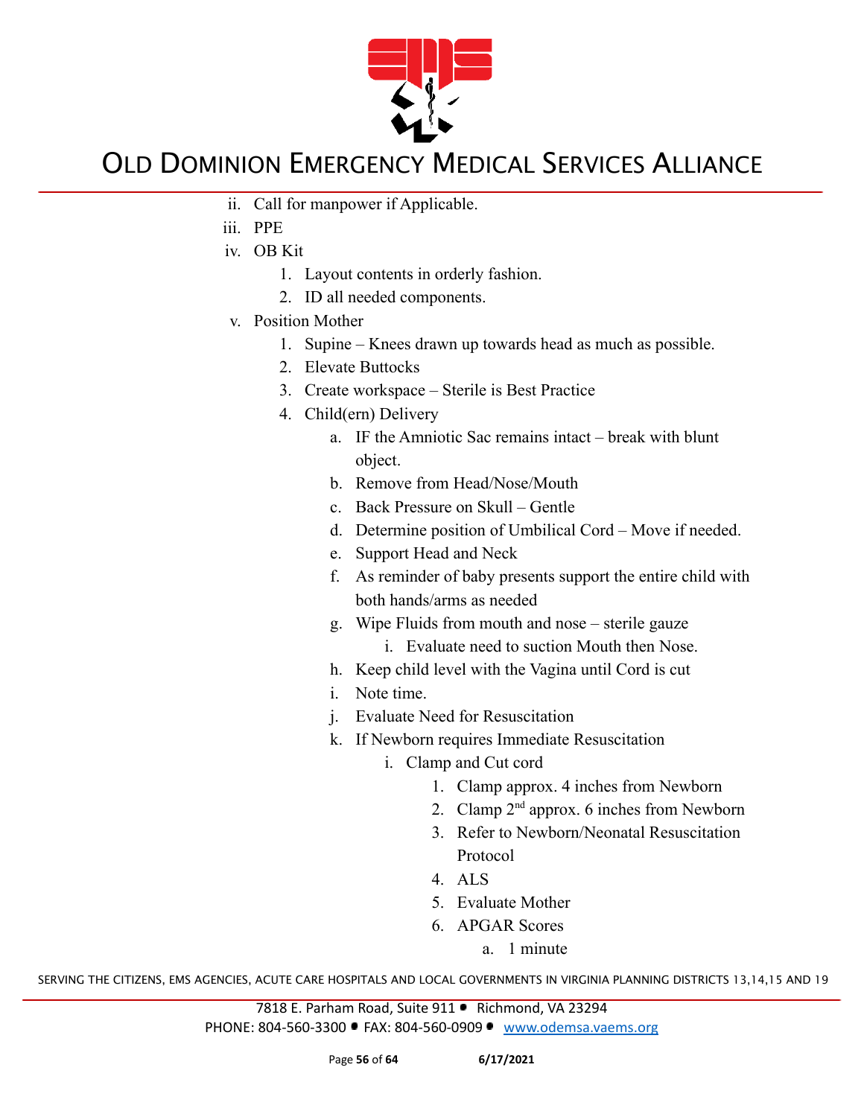

- ii. Call for manpower if Applicable.
- iii. PPE
- iv. OB Kit
	- 1. Layout contents in orderly fashion.
	- 2. ID all needed components.
- v. Position Mother
	- 1. Supine Knees drawn up towards head as much as possible.
	- 2. Elevate Buttocks
	- 3. Create workspace Sterile is Best Practice
	- 4. Child(ern) Delivery
		- a. IF the Amniotic Sac remains intact break with blunt object.
		- b. Remove from Head/Nose/Mouth
		- c. Back Pressure on Skull Gentle
		- d. Determine position of Umbilical Cord Move if needed.
		- e. Support Head and Neck
		- f. As reminder of baby presents support the entire child with both hands/arms as needed
		- g. Wipe Fluids from mouth and nose sterile gauze
			- i. Evaluate need to suction Mouth then Nose.
		- h. Keep child level with the Vagina until Cord is cut
		- i. Note time.
		- j. Evaluate Need for Resuscitation
		- k. If Newborn requires Immediate Resuscitation
			- i. Clamp and Cut cord
				- 1. Clamp approx. 4 inches from Newborn
				- 2. Clamp  $2<sup>nd</sup>$  approx. 6 inches from Newborn
				- 3. Refer to Newborn/Neonatal Resuscitation Protocol
				- 4. ALS
				- 5. Evaluate Mother
				- 6. APGAR Scores
					- a. 1 minute

SERVING THE CITIZENS, EMS AGENCIES, ACUTE CARE HOSPITALS AND LOCAL GOVERNMENTS IN VIRGINIA PLANNING DISTRICTS 13,14,15 AND 19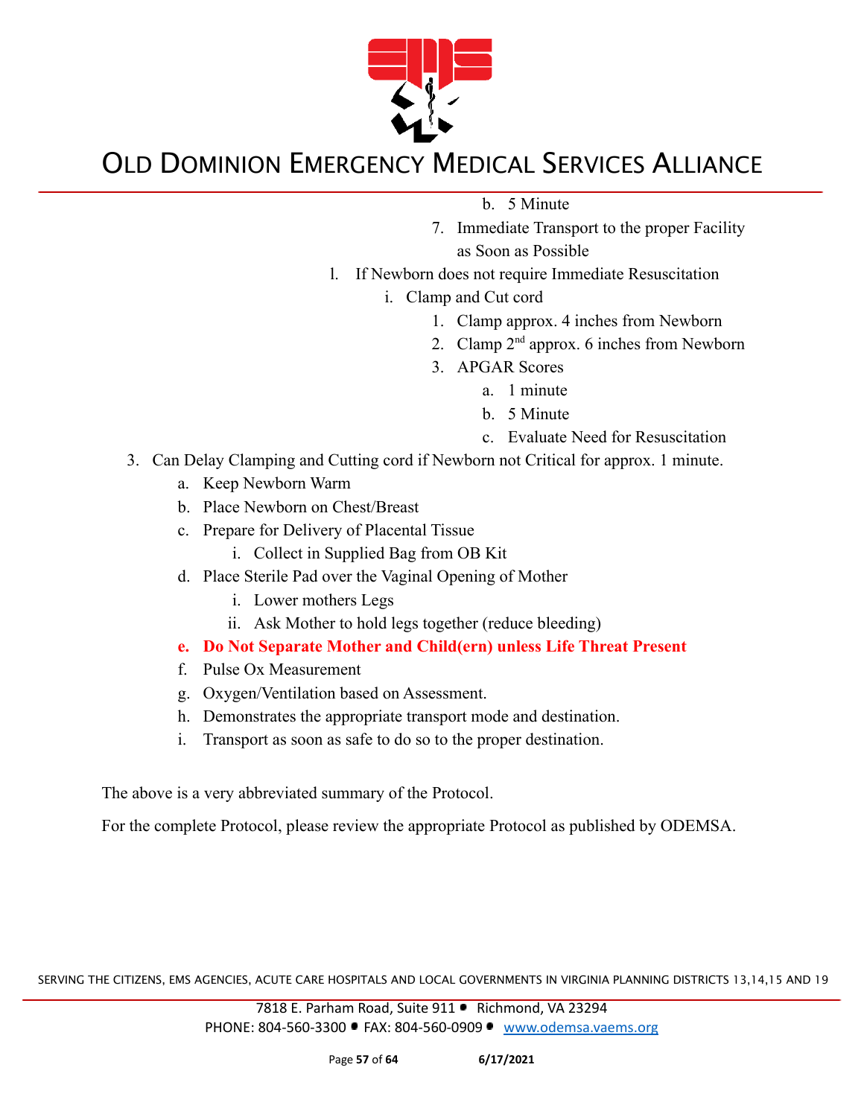

b. 5 Minute

- 7. Immediate Transport to the proper Facility as Soon as Possible
- l. If Newborn does not require Immediate Resuscitation
	- i. Clamp and Cut cord
		- 1. Clamp approx. 4 inches from Newborn
		- 2. Clamp  $2<sup>nd</sup>$  approx. 6 inches from Newborn
		- 3. APGAR Scores
			- a. 1 minute
			- b. 5 Minute
			- c. Evaluate Need for Resuscitation
- 3. Can Delay Clamping and Cutting cord if Newborn not Critical for approx. 1 minute.
	- a. Keep Newborn Warm
	- b. Place Newborn on Chest/Breast
	- c. Prepare for Delivery of Placental Tissue
		- i. Collect in Supplied Bag from OB Kit
	- d. Place Sterile Pad over the Vaginal Opening of Mother
		- i. Lower mothers Legs
		- ii. Ask Mother to hold legs together (reduce bleeding)
	- **e. Do Not Separate Mother and Child(ern) unless Life Threat Present**
	- f. Pulse Ox Measurement
	- g. Oxygen/Ventilation based on Assessment.
	- h. Demonstrates the appropriate transport mode and destination.
	- i. Transport as soon as safe to do so to the proper destination.

The above is a very abbreviated summary of the Protocol.

For the complete Protocol, please review the appropriate Protocol as published by ODEMSA.

SERVING THE CITIZENS, EMS AGENCIES, ACUTE CARE HOSPITALS AND LOCAL GOVERNMENTS IN VIRGINIA PLANNING DISTRICTS 13,14,15 AND 19

7818 E. Parham Road, Suite 911 · Richmond, VA 23294 PHONE: 804-560-3300 FAX: 804-560-0909 [www.odemsa.vaems.org](http://www.odemsa.vaems.org)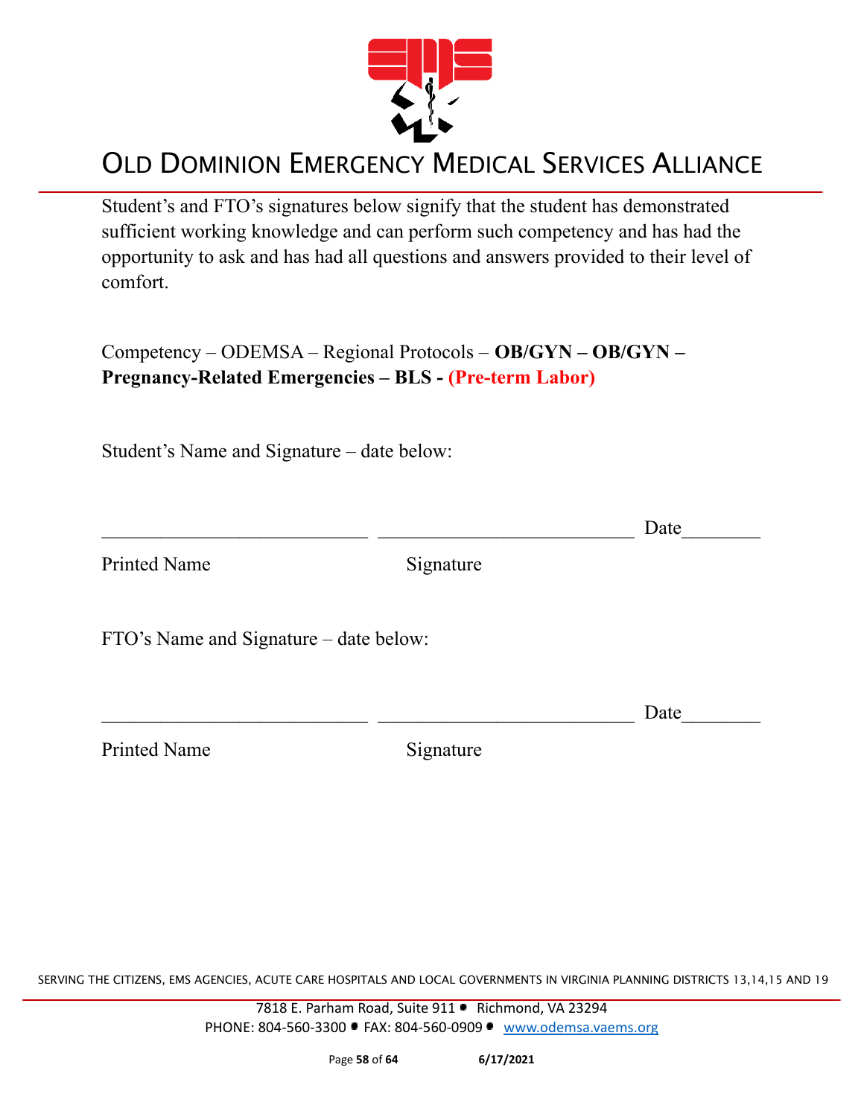

Student's and FTO's signatures below signify that the student has demonstrated sufficient working knowledge and can perform such competency and has had the opportunity to ask and has had all questions and answers provided to their level of comfort.

Competency – ODEMSA – Regional Protocols – **OB/GYN – OB/GYN – Pregnancy-Related Emergencies – BLS - (Pre-term Labor)**

Student's Name and Signature – date below:

| Date |
|------|
|      |
|      |

SERVING THE CITIZENS, EMS AGENCIES, ACUTE CARE HOSPITALS AND LOCAL GOVERNMENTS IN VIRGINIA PLANNING DISTRICTS 13,14,15 AND 19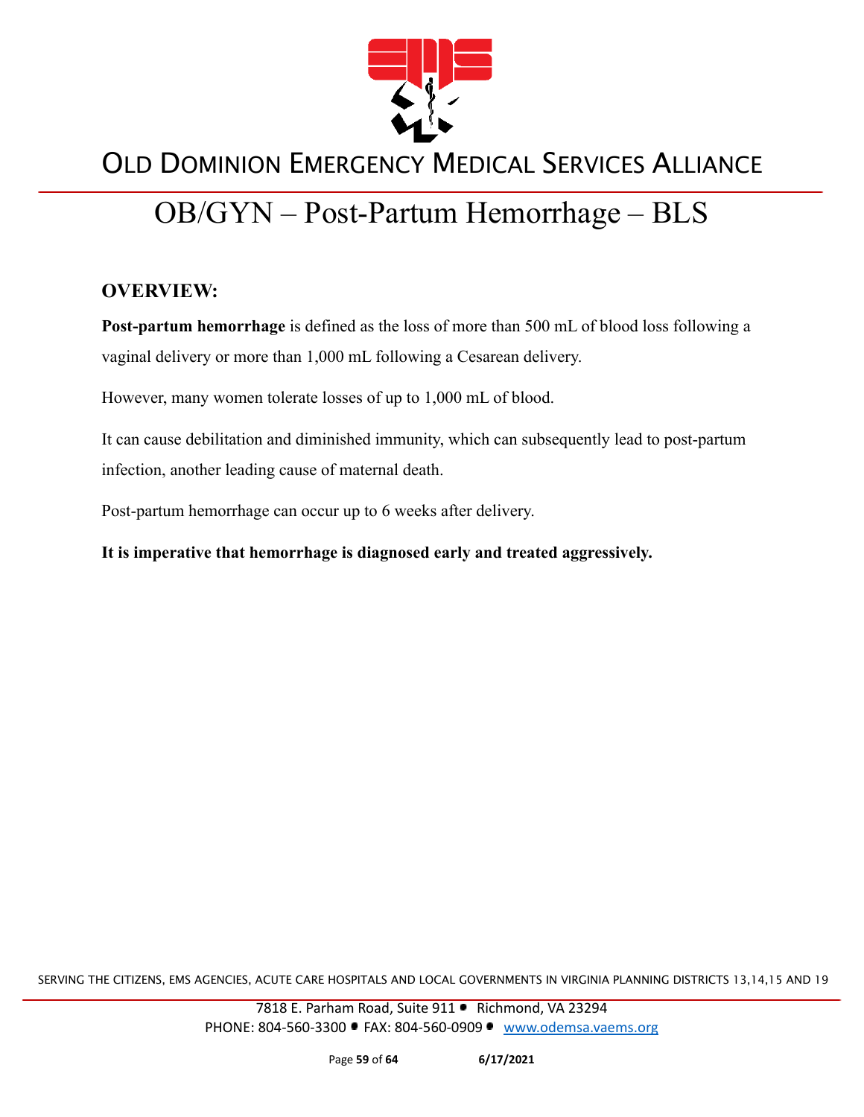

# OB/GYN – Post-Partum Hemorrhage – BLS

#### **OVERVIEW:**

**Post-partum hemorrhage** is defined as the loss of more than 500 mL of blood loss following a vaginal delivery or more than 1,000 mL following a Cesarean delivery.

However, many women tolerate losses of up to 1,000 mL of blood.

It can cause debilitation and diminished immunity, which can subsequently lead to post-partum infection, another leading cause of maternal death.

Post-partum hemorrhage can occur up to 6 weeks after delivery.

**It is imperative that hemorrhage is diagnosed early and treated aggressively.**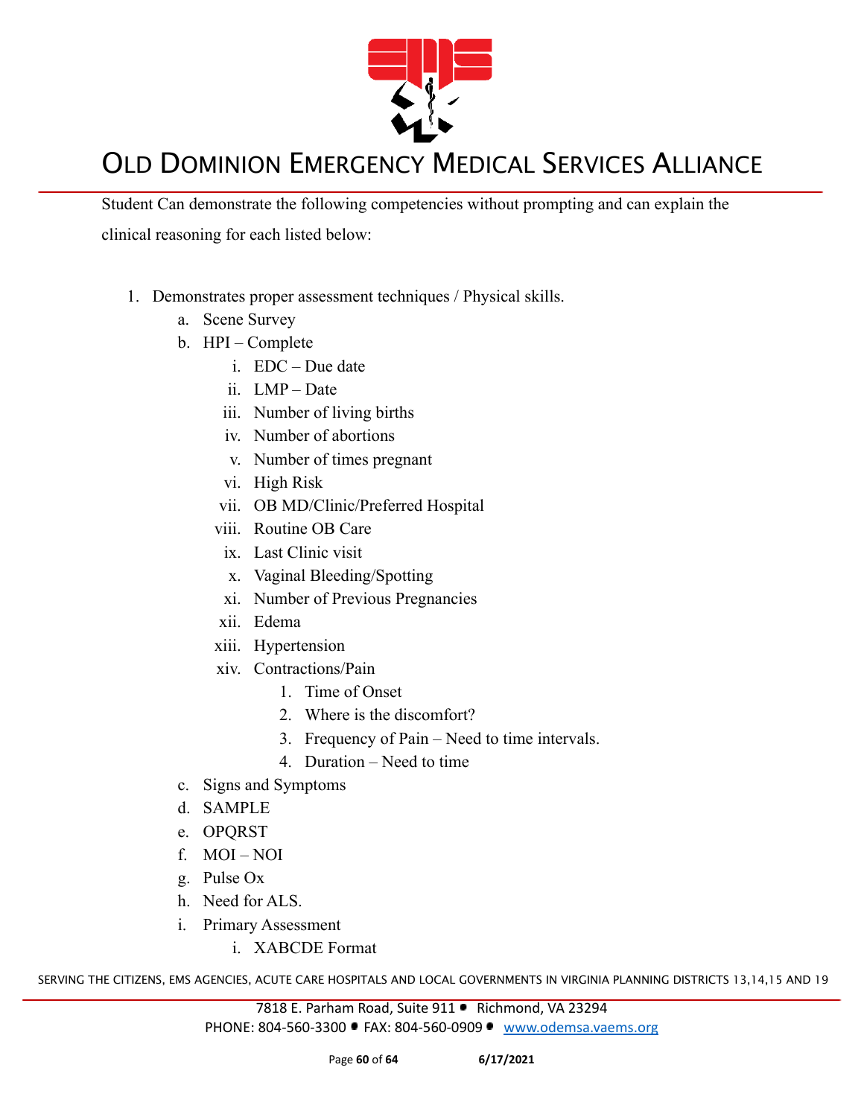

Student Can demonstrate the following competencies without prompting and can explain the clinical reasoning for each listed below:

- 1. Demonstrates proper assessment techniques / Physical skills.
	- a. Scene Survey
	- b. HPI Complete
		- i. EDC Due date
		- ii. LMP Date
		- iii. Number of living births
		- iv. Number of abortions
		- v. Number of times pregnant
		- vi. High Risk
		- vii. OB MD/Clinic/Preferred Hospital
		- viii. Routine OB Care
		- ix. Last Clinic visit
		- x. Vaginal Bleeding/Spotting
		- xi. Number of Previous Pregnancies
		- xii. Edema
		- xiii. Hypertension
		- xiv. Contractions/Pain
			- 1. Time of Onset
			- 2. Where is the discomfort?
			- 3. Frequency of Pain Need to time intervals.
			- 4. Duration Need to time
	- c. Signs and Symptoms
	- d. SAMPLE
	- e. OPQRST
	- f. MOI NOI
	- g. Pulse Ox
	- h. Need for ALS.
	- i. Primary Assessment
		- i. XABCDE Format

SERVING THE CITIZENS, EMS AGENCIES, ACUTE CARE HOSPITALS AND LOCAL GOVERNMENTS IN VIRGINIA PLANNING DISTRICTS 13,14,15 AND 19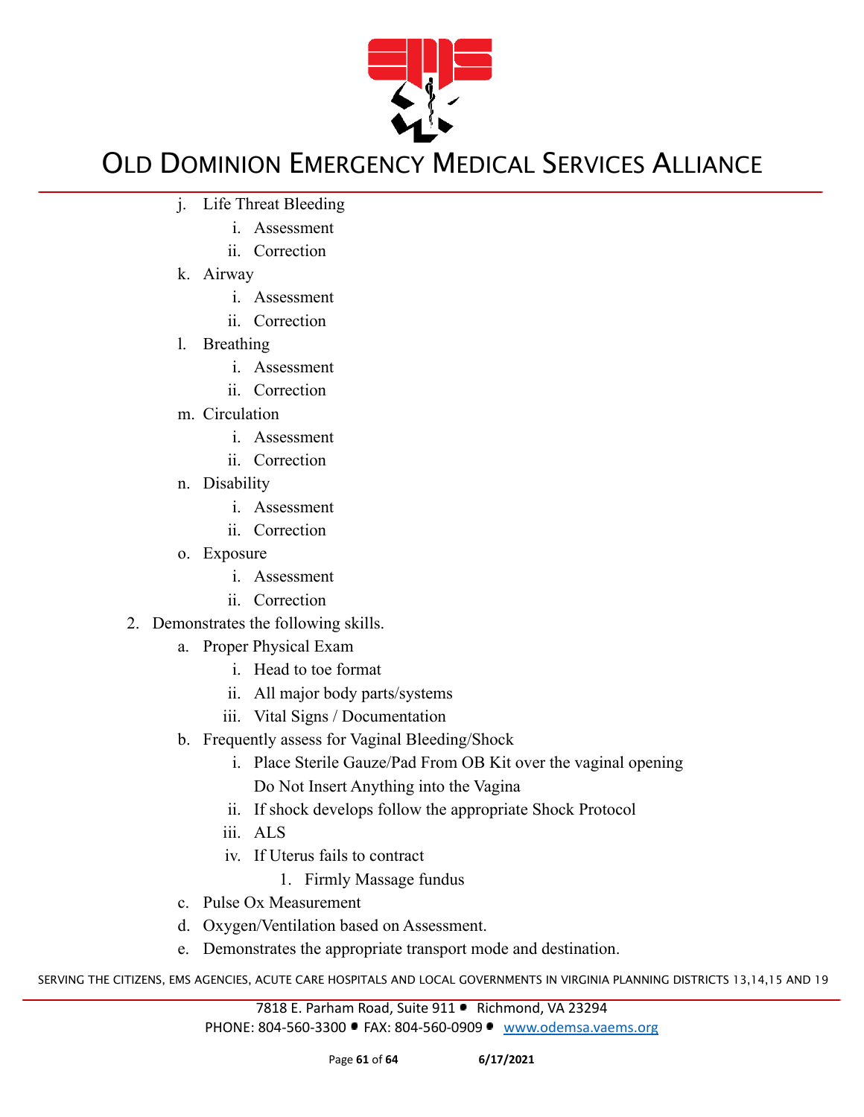

- j. Life Threat Bleeding
	- i. Assessment
	- ii. Correction
- k. Airway
	- i. Assessment
	- ii. Correction
- l. Breathing
	- i. Assessment
	- ii. Correction
- m. Circulation
	- i. Assessment
	- ii. Correction
- n. Disability
	- i. Assessment
	- ii. Correction
- o. Exposure
	- i. Assessment
	- ii. Correction
- 2. Demonstrates the following skills.
	- a. Proper Physical Exam
		- i. Head to toe format
		- ii. All major body parts/systems
		- iii. Vital Signs / Documentation
	- b. Frequently assess for Vaginal Bleeding/Shock
		- i. Place Sterile Gauze/Pad From OB Kit over the vaginal opening Do Not Insert Anything into the Vagina
		- ii. If shock develops follow the appropriate Shock Protocol
		- iii. ALS
		- iv. If Uterus fails to contract
			- 1. Firmly Massage fundus
	- c. Pulse Ox Measurement
	- d. Oxygen/Ventilation based on Assessment.
	- e. Demonstrates the appropriate transport mode and destination.

SERVING THE CITIZENS, EMS AGENCIES, ACUTE CARE HOSPITALS AND LOCAL GOVERNMENTS IN VIRGINIA PLANNING DISTRICTS 13,14,15 AND 19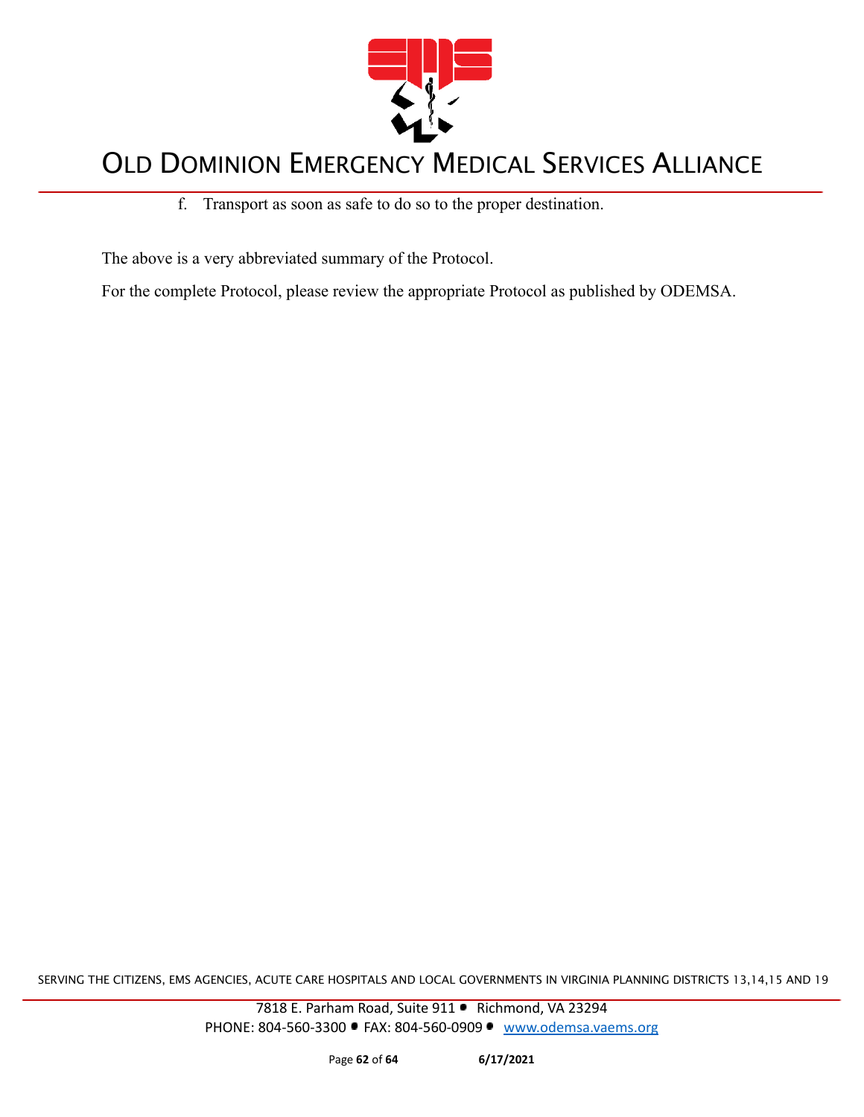

#### f. Transport as soon as safe to do so to the proper destination.

The above is a very abbreviated summary of the Protocol.

For the complete Protocol, please review the appropriate Protocol as published by ODEMSA.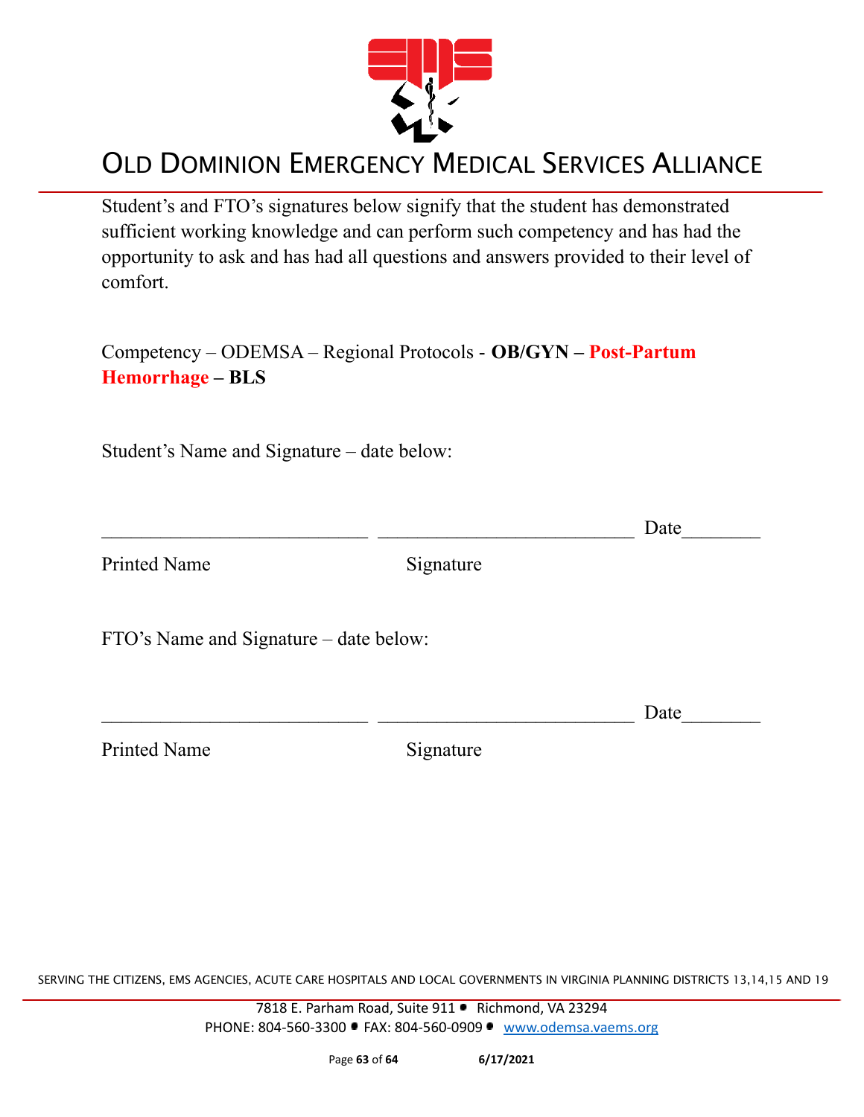

Student's and FTO's signatures below signify that the student has demonstrated sufficient working knowledge and can perform such competency and has had the opportunity to ask and has had all questions and answers provided to their level of comfort.

Competency – ODEMSA – Regional Protocols - **OB/GYN – Post-Partum Hemorrhage – BLS**

Student's Name and Signature – date below:

|                                        |           | Date |
|----------------------------------------|-----------|------|
| <b>Printed Name</b>                    | Signature |      |
| FTO's Name and Signature – date below: |           |      |
|                                        |           | Date |
| <b>Printed Name</b>                    | Signature |      |

SERVING THE CITIZENS, EMS AGENCIES, ACUTE CARE HOSPITALS AND LOCAL GOVERNMENTS IN VIRGINIA PLANNING DISTRICTS 13,14,15 AND 19